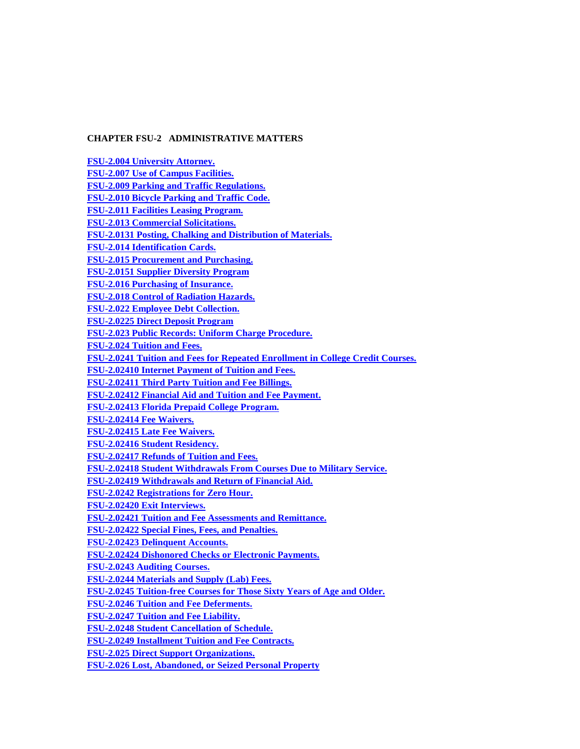# **CHAPTER FSU-2 ADMINISTRATIVE MATTERS**

**[FSU-2.004 University Attorney.](#page-1-0) [FSU-2.007 Use of Campus Facilities.](#page-1-1) [FSU-2.009 Parking and Traffic Regulations.](#page-7-0) [FSU-2.010 Bicycle Parking and Traffic Code.](#page-25-0) [FSU-2.011 Facilities Leasing Program.](#page-28-0) [FSU-2.013 Commercial Solicitations.](#page-30-0) [FSU-2.0131 Posting, Chalking](#page-31-0) and Distribution of Materials. [FSU-2.014 Identification Cards.](#page-35-0) [FSU-2.015 Procurement](#page-36-0) and Purchasing. [FSU-2.0151 Supplier Diversity Program](#page-59-0) [FSU-2.016 Purchasing of Insurance.](#page-60-0) [FSU-2.018 Control of Radiation Hazards.](#page-60-1) [FSU-2.022 Employee Debt Collection.](#page-61-0) [FSU-2.0225 Direct Deposit Program](#page-63-0) [FSU-2.023 Public Records: Uniform Charge Procedure.](#page-64-0) [FSU-2.024 Tuition and Fees.](#page-66-0) [FSU-2.0241 Tuition and Fees for Repeated Enrollment in College Credit Courses.](#page-74-0) [FSU-2.02410 Internet Payment of Tuition and Fees.](#page-74-1) [FSU-2.02411 Third Party Tuition and Fee Billings.](#page-74-2) [FSU-2.02412 Financial Aid and Tuition and Fee Payment.](#page-75-0) [FSU-2.02413 Florida Prepaid College Program.](#page-75-1) [FSU-2.02414 Fee Waivers.](#page-75-2) [FSU-2.02415 Late Fee Waivers.](#page-78-0) [FSU-2.02416 Student Residency.](#page-78-1) [FSU-2.02417 Refunds of Tuition and Fees.](#page-80-0) [FSU-2.02418 Student Withdrawals From Courses Due to Military Service.](#page-81-0) [FSU-2.02419 Withdrawals and Return of Financial Aid.](#page-81-1) [FSU-2.0242 Registrations for Zero Hour.](#page-82-0) [FSU-2.02420 Exit Interviews.](#page-82-1) [FSU-2.02421 Tuition and Fee Assessments and Remittance.](#page-82-2) [FSU-2.02422 Special Fines, Fees, and Penalties.](#page-83-0) [FSU-2.02423 Delinquent Accounts.](#page-85-0) [FSU-2.02424 Dishonored Checks or Electronic Payments.](#page-85-1) [FSU-2.0243 Auditing Courses.](#page-86-0) [FSU-2.0244 Materials and Supply \(Lab\) Fees.](#page-86-1) [FSU-2.0245 Tuition-free Courses for Those Sixty Years of Age and Older.](#page-87-0) [FSU-2.0246 Tuition and Fee Deferments.](#page-87-1) [FSU-2.0247 Tuition and Fee Liability.](#page-88-0) [FSU-2.0248 Student Cancellation of Schedule.](#page-88-1) [FSU-2.0249 Installment Tuition and Fee Contracts.](#page-89-0) FSU-2.025 Direct Support Organizations.**

**[FSU-2.026 Lost, Abandoned, or Seized Personal Property](#page-92-0)**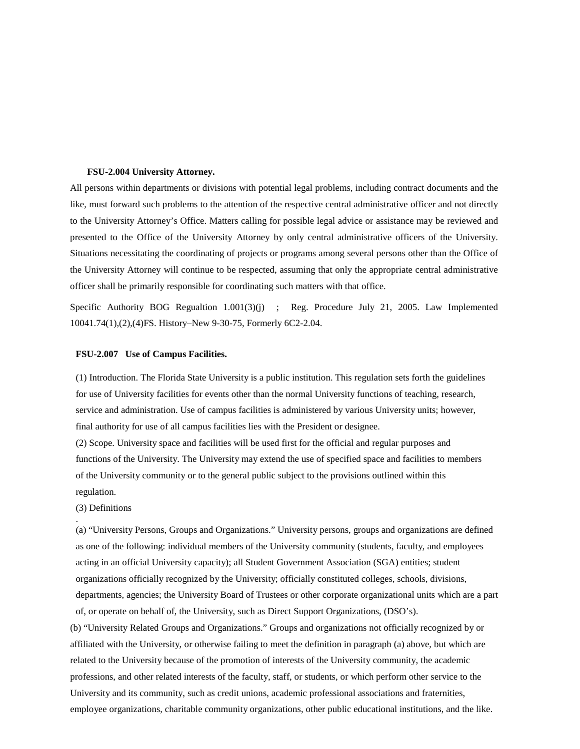## <span id="page-1-0"></span>**FSU-2.004 University Attorney.**

All persons within departments or divisions with potential legal problems, including contract documents and the like, must forward such problems to the attention of the respective central administrative officer and not directly to the University Attorney's Office. Matters calling for possible legal advice or assistance may be reviewed and presented to the Office of the University Attorney by only central administrative officers of the University. Situations necessitating the coordinating of projects or programs among several persons other than the Office of the University Attorney will continue to be respected, assuming that only the appropriate central administrative officer shall be primarily responsible for coordinating such matters with that office.

Specific Authority BOG Regualtion 1.001(3)(j) ; Reg. Procedure July 21, 2005. Law Implemented 10041.74(1),(2),(4)FS. History–New 9-30-75, Formerly 6C2-2.04.

## <span id="page-1-1"></span>**FSU-2.007 Use of Campus Facilities.**

(1) Introduction. The Florida State University is a public institution. This regulation sets forth the guidelines for use of University facilities for events other than the normal University functions of teaching, research, service and administration. Use of campus facilities is administered by various University units; however, final authority for use of all campus facilities lies with the President or designee.

(2) Scope. University space and facilities will be used first for the official and regular purposes and functions of the University. The University may extend the use of specified space and facilities to members of the University community or to the general public subject to the provisions outlined within this regulation.

## (3) Definitions

.

(a) "University Persons, Groups and Organizations." University persons, groups and organizations are defined as one of the following: individual members of the University community (students, faculty, and employees acting in an official University capacity); all Student Government Association (SGA) entities; student organizations officially recognized by the University; officially constituted colleges, schools, divisions, departments, agencies; the University Board of Trustees or other corporate organizational units which are a part of, or operate on behalf of, the University, such as Direct Support Organizations, (DSO's).

(b) "University Related Groups and Organizations." Groups and organizations not officially recognized by or affiliated with the University, or otherwise failing to meet the definition in paragraph (a) above, but which are related to the University because of the promotion of interests of the University community, the academic professions, and other related interests of the faculty, staff, or students, or which perform other service to the University and its community, such as credit unions, academic professional associations and fraternities, employee organizations, charitable community organizations, other public educational institutions, and the like.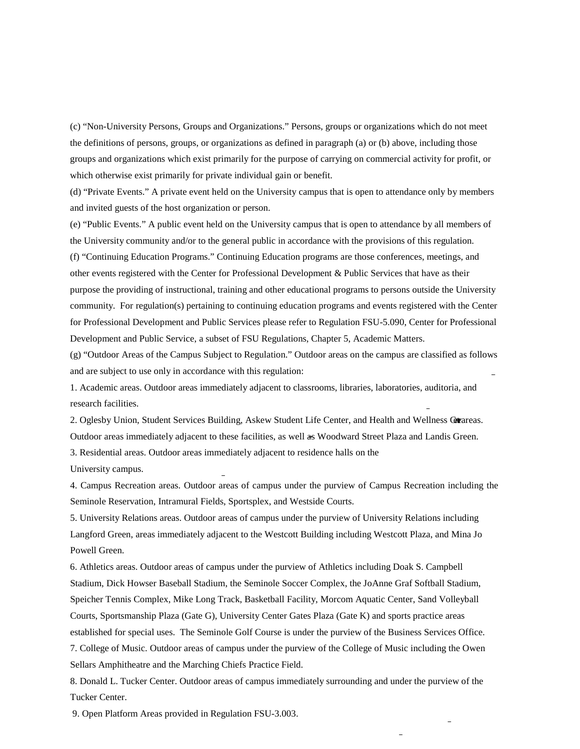(c) "Non-University Persons, Groups and Organizations." Persons, groups or organizations which do not meet the definitions of persons, groups, or organizations as defined in paragraph (a) or (b) above, including those groups and organizations which exist primarily for the purpose of carrying on commercial activity for profit, or which otherwise exist primarily for private individual gain or benefit.

(d) "Private Events." A private event held on the University campus that is open to attendance only by members and invited guests of the host organization or person.

(e) "Public Events." A public event held on the University campus that is open to attendance by all members of the University community and/or to the general public in accordance with the provisions of this regulation.

(f) "Continuing Education Programs." Continuing Education programs are those conferences, meetings, and other events registered with the Center for Professional Development & Public Services that have as their purpose the providing of instructional, training and other educational programs to persons outside the University community. For regulation(s) pertaining to continuing education programs and events registered with the Center for Professional Development and Public Services please refer to Regulation FSU-5.090, Center for Professional Development and Public Service, a subset of FSU Regulations, Chapter 5, Academic Matters.

(g) "Outdoor Areas of the Campus Subject to Regulation." Outdoor areas on the campus are classified as follows and are subject to use only in accordance with this regulation:

1. Academic areas. Outdoor areas immediately adjacent to classrooms, libraries, laboratories, auditoria, and research facilities.

2. Oglesby Union, Student Services Building, Askew Student Life Center, and Health and Wellness Graeas. Outdoor areas immediately adjacent to these facilities, as well as Woodward Street Plaza and Landis Green.

3. Residential areas. Outdoor areas immediately adjacent to residence halls on the

University campus.

4. Campus Recreation areas. Outdoor areas of campus under the purview of Campus Recreation including the Seminole Reservation, Intramural Fields, Sportsplex, and Westside Courts.

5. University Relations areas. Outdoor areas of campus under the purview of University Relations including Langford Green, areas immediately adjacent to the Westcott Building including Westcott Plaza, and Mina Jo Powell Green.

6. Athletics areas. Outdoor areas of campus under the purview of Athletics including Doak S. Campbell Stadium, Dick Howser Baseball Stadium, the Seminole Soccer Complex, the JoAnne Graf Softball Stadium, Speicher Tennis Complex, Mike Long Track, Basketball Facility, Morcom Aquatic Center, Sand Volleyball Courts, Sportsmanship Plaza (Gate G), University Center Gates Plaza (Gate K) and sports practice areas established for special uses. The Seminole Golf Course is under the purview of the Business Services Office. 7. College of Music. Outdoor areas of campus under the purview of the College of Music including the Owen Sellars Amphitheatre and the Marching Chiefs Practice Field.

8. Donald L. Tucker Center. Outdoor areas of campus immediately surrounding and under the purview of the Tucker Center.

9. Open Platform Areas provided in Regulation FSU-3.003.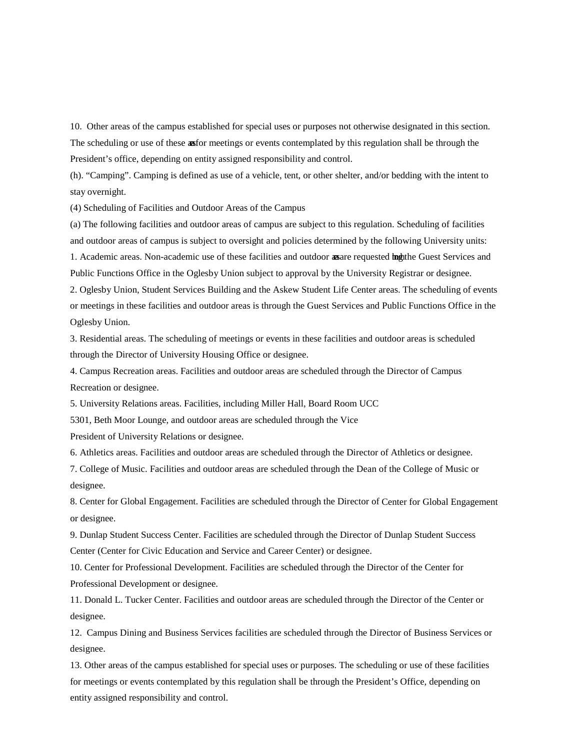10. Other areas of the campus established for special uses or purposes not otherwise designated in this section. The scheduling or use of these asfor meetings or events contemplated by this regulation shall be through the President's office, depending on entity assigned responsibility and control.

(h). "Camping". Camping is defined as use of a vehicle, tent, or other shelter, and/or bedding with the intent to stay overnight.

(4) Scheduling of Facilities and Outdoor Areas of the Campus

(a) The following facilities and outdoor areas of campus are subject to this regulation. Scheduling of facilities and outdoor areas of campus is subject to oversight and policies determined by the following University units:

1. Academic areas. Non-academic use of these facilities and outdoor **as** are requested **in** the Guest Services and Public Functions Office in the Oglesby Union subject to approval by the University Registrar or designee.

2. Oglesby Union, Student Services Building and the Askew Student Life Center areas. The scheduling of events or meetings in these facilities and outdoor areas is through the Guest Services and Public Functions Office in the Oglesby Union.

3. Residential areas. The scheduling of meetings or events in these facilities and outdoor areas is scheduled through the Director of University Housing Office or designee.

4. Campus Recreation areas. Facilities and outdoor areas are scheduled through the Director of Campus Recreation or designee.

5. University Relations areas. Facilities, including Miller Hall, Board Room UCC

5301, Beth Moor Lounge, and outdoor areas are scheduled through the Vice

President of University Relations or designee.

6. Athletics areas. Facilities and outdoor areas are scheduled through the Director of Athletics or designee.

7. College of Music. Facilities and outdoor areas are scheduled through the Dean of the College of Music or designee.

8. Center for Global Engagement. Facilities are scheduled through the Director of Center for Global Engagement or designee.

9. Dunlap Student Success Center. Facilities are scheduled through the Director of Dunlap Student Success Center (Center for Civic Education and Service and Career Center) or designee.

10. Center for Professional Development. Facilities are scheduled through the Director of the Center for Professional Development or designee.

11. Donald L. Tucker Center. Facilities and outdoor areas are scheduled through the Director of the Center or designee.

12. Campus Dining and Business Services facilities are scheduled through the Director of Business Services or designee.

13. Other areas of the campus established for special uses or purposes. The scheduling or use of these facilities for meetings or events contemplated by this regulation shall be through the President's Office, depending on entity assigned responsibility and control.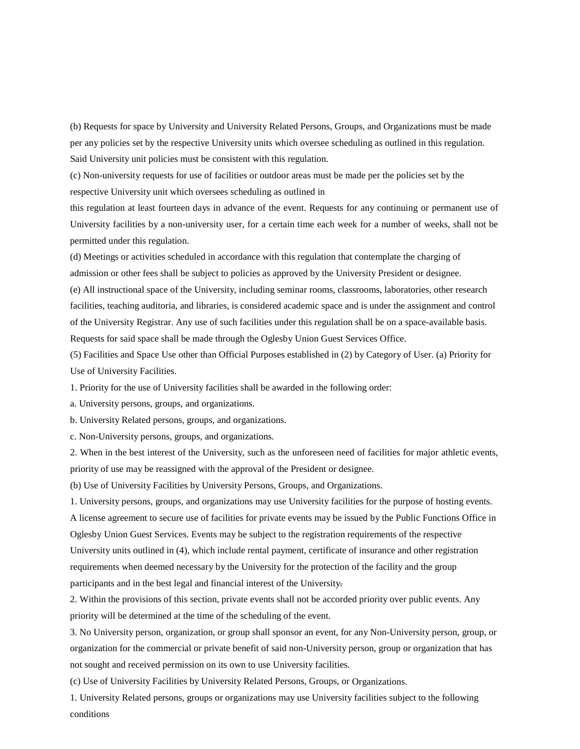(b) Requests for space by University and University Related Persons, Groups, and Organizations must be made per any policies set by the respective University units which oversee scheduling as outlined in this regulation. Said University unit policies must be consistent with this regulation.

(c) Non-university requests for use of facilities or outdoor areas must be made per the policies set by the respective University unit which oversees scheduling as outlined in

this regulation at least fourteen days in advance of the event. Requests for any continuing or permanent use of University facilities by a non-university user, for a certain time each week for a number of weeks, shall not be permitted under this regulation.

(d) Meetings or activities scheduled in accordance with this regulation that contemplate the charging of admission or other fees shall be subject to policies as approved by the University President or designee.

(e) All instructional space of the University, including seminar rooms, classrooms, laboratories, other research facilities, teaching auditoria, and libraries, is considered academic space and is under the assignment and control of the University Registrar. Any use of such facilities under this regulation shall be on a space-available basis. Requests for said space shall be made through the Oglesby Union Guest Services Office.

(5) Facilities and Space Use other than Official Purposes established in (2) by Category of User. (a) Priority for Use of University Facilities.

1. Priority for the use of University facilities shall be awarded in the following order:

a. University persons, groups, and organizations.

b. University Related persons, groups, and organizations.

c. Non-University persons, groups, and organizations.

2. When in the best interest of the University, such as the unforeseen need of facilities for major athletic events, priority of use may be reassigned with the approval of the President or designee.

(b) Use of University Facilities by University Persons, Groups, and Organizations.

1. University persons, groups, and organizations may use University facilities for the purpose of hosting events. A license agreement to secure use of facilities for private events may be issued by the Public Functions Office in Oglesby Union Guest Services. Events may be subject to the registration requirements of the respective University units outlined in (4), which include rental payment, certificate of insurance and other registration requirements when deemed necessary by the University for the protection of the facility and the group participants and in the best legal and financial interest of the University.

2. Within the provisions of this section, private events shall not be accorded priority over public events. Any priority will be determined at the time of the scheduling of the event.

3. No University person, organization, or group shall sponsor an event, for any Non-University person, group, or organization for the commercial or private benefit of said non-University person, group or organization that has not sought and received permission on its own to use University facilities.

(c) Use of University Facilities by University Related Persons, Groups, or Organizations.

1. University Related persons, groups or organizations may use University facilities subject to the following conditions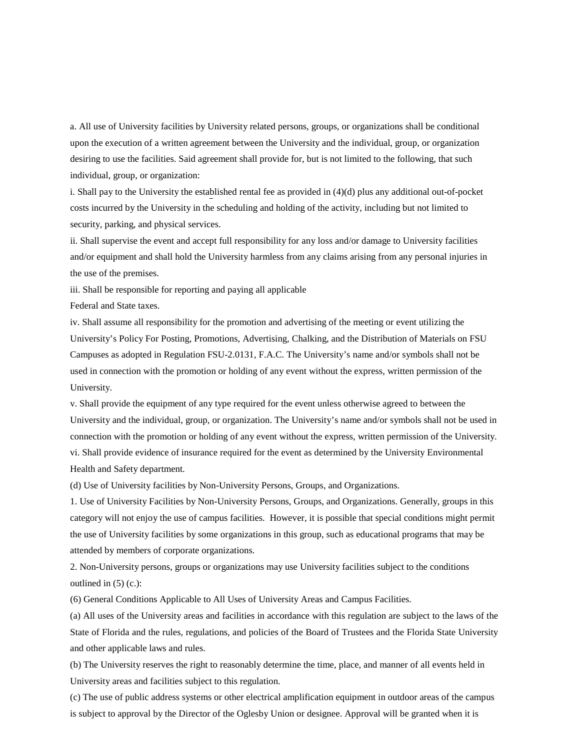a. All use of University facilities by University related persons, groups, or organizations shall be conditional upon the execution of a written agreement between the University and the individual, group, or organization desiring to use the facilities. Said agreement shall provide for, but is not limited to the following, that such individual, group, or organization:

i. Shall pay to the University the established rental fee as provided in (4)(d) plus any additional out-of-pocket costs incurred by the University in the scheduling and holding of the activity, including but not limited to security, parking, and physical services.

ii. Shall supervise the event and accept full responsibility for any loss and/or damage to University facilities and/or equipment and shall hold the University harmless from any claims arising from any personal injuries in the use of the premises.

iii. Shall be responsible for reporting and paying all applicable

Federal and State taxes.

iv. Shall assume all responsibility for the promotion and advertising of the meeting or event utilizing the University's Policy For Posting, Promotions, Advertising, Chalking, and the Distribution of Materials on FSU Campuses as adopted in Regulation FSU-2.0131, F.A.C. The University's name and/or symbols shall not be used in connection with the promotion or holding of any event without the express, written permission of the University.

v. Shall provide the equipment of any type required for the event unless otherwise agreed to between the University and the individual, group, or organization. The University's name and/or symbols shall not be used in connection with the promotion or holding of any event without the express, written permission of the University. vi. Shall provide evidence of insurance required for the event as determined by the University Environmental Health and Safety department.

(d) Use of University facilities by Non-University Persons, Groups, and Organizations.

1. Use of University Facilities by Non-University Persons, Groups, and Organizations. Generally, groups in this category will not enjoy the use of campus facilities. However, it is possible that special conditions might permit the use of University facilities by some organizations in this group, such as educational programs that may be attended by members of corporate organizations.

2. Non-University persons, groups or organizations may use University facilities subject to the conditions outlined in  $(5)$  (c.):

(6) General Conditions Applicable to All Uses of University Areas and Campus Facilities.

(a) All uses of the University areas and facilities in accordance with this regulation are subject to the laws of the State of Florida and the rules, regulations, and policies of the Board of Trustees and the Florida State University and other applicable laws and rules.

(b) The University reserves the right to reasonably determine the time, place, and manner of all events held in University areas and facilities subject to this regulation.

(c) The use of public address systems or other electrical amplification equipment in outdoor areas of the campus is subject to approval by the Director of the Oglesby Union or designee. Approval will be granted when it is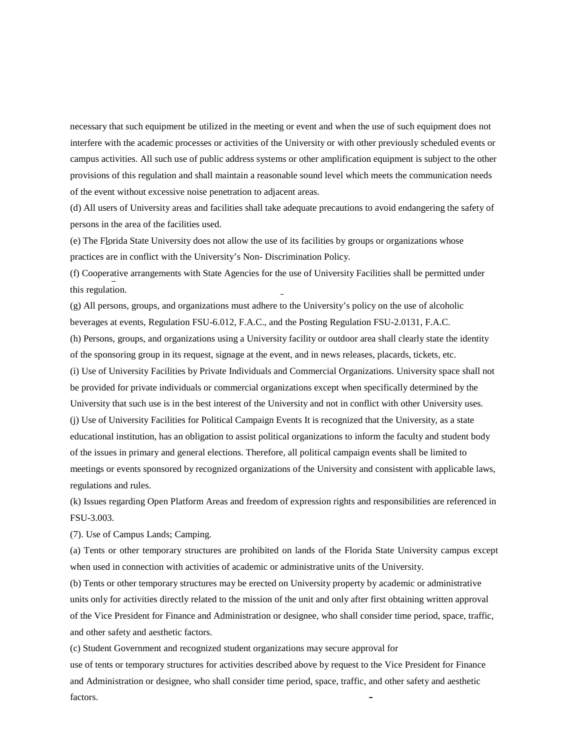necessary that such equipment be utilized in the meeting or event and when the use of such equipment does not interfere with the academic processes or activities of the University or with other previously scheduled events or campus activities. All such use of public address systems or other amplification equipment is subject to the other provisions of this regulation and shall maintain a reasonable sound level which meets the communication needs of the event without excessive noise penetration to adjacent areas.

(d) All users of University areas and facilities shall take adequate precautions to avoid endangering the safety of persons in the area of the facilities used.

(e) The Florida State University does not allow the use of its facilities by groups or organizations whose practices are in conflict with the University's Non- Discrimination Policy.

(f) Cooperative arrangements with State Agencies for the use of University Facilities shall be permitted under this regulation.

(g) All persons, groups, and organizations must adhere to the University's policy on the use of alcoholic beverages at events, Regulation FSU-6.012, F.A.C., and the Posting Regulation FSU-2.0131, F.A.C.

(h) Persons, groups, and organizations using a University facility or outdoor area shall clearly state the identity of the sponsoring group in its request, signage at the event, and in news releases, placards, tickets, etc.

(i) Use of University Facilities by Private Individuals and Commercial Organizations. University space shall not be provided for private individuals or commercial organizations except when specifically determined by the University that such use is in the best interest of the University and not in conflict with other University uses. (j) Use of University Facilities for Political Campaign Events It is recognized that the University, as a state educational institution, has an obligation to assist political organizations to inform the faculty and student body of the issues in primary and general elections. Therefore, all political campaign events shall be limited to meetings or events sponsored by recognized organizations of the University and consistent with applicable laws, regulations and rules.

(k) Issues regarding Open Platform Areas and freedom of expression rights and responsibilities are referenced in FSU-3.003.

(7). Use of Campus Lands; Camping.

(a) Tents or other temporary structures are prohibited on lands of the Florida State University campus except when used in connection with activities of academic or administrative units of the University.

(b) Tents or other temporary structures may be erected on University property by academic or administrative units only for activities directly related to the mission of the unit and only after first obtaining written approval of the Vice President for Finance and Administration or designee, who shall consider time period, space, traffic, and other safety and aesthetic factors.

(c) Student Government and recognized student organizations may secure approval for

use of tents or temporary structures for activities described above by request to the Vice President for Finance and Administration or designee, who shall consider time period, space, traffic, and other safety and aesthetic factors.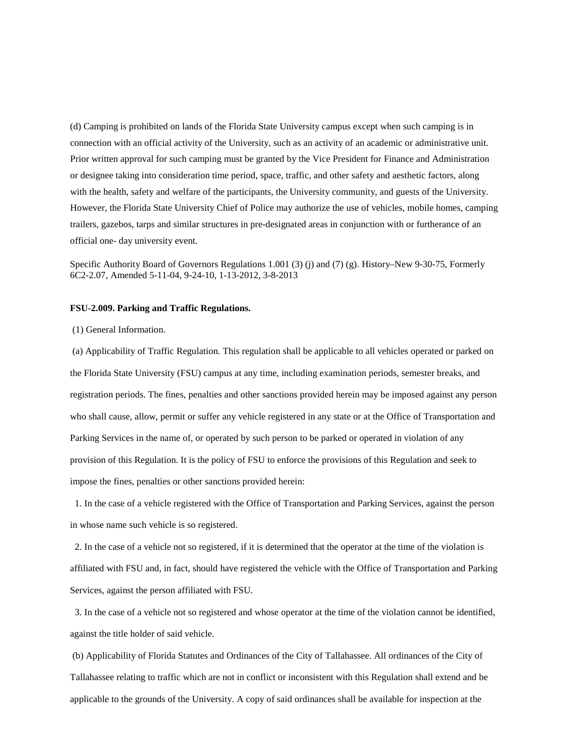(d) Camping is prohibited on lands of the Florida State University campus except when such camping is in connection with an official activity of the University, such as an activity of an academic or administrative unit. Prior written approval for such camping must be granted by the Vice President for Finance and Administration or designee taking into consideration time period, space, traffic, and other safety and aesthetic factors, along with the health, safety and welfare of the participants, the University community, and guests of the University. However, the Florida State University Chief of Police may authorize the use of vehicles, mobile homes, camping trailers, gazebos, tarps and similar structures in pre-designated areas in conjunction with or furtherance of an official one- day university event.

Specific Authority Board of Governors Regulations 1.001 (3) (j) and (7) (g). History–New 9-30-75, Formerly 6C2-2.07, Amended 5-11-04, 9-24-10, 1-13-2012, 3-8-2013

## <span id="page-7-0"></span>**FSU-2.009. Parking and Traffic Regulations.**

#### (1) General Information.

(a) Applicability of Traffic Regulation. This regulation shall be applicable to all vehicles operated or parked on the Florida State University (FSU) campus at any time, including examination periods, semester breaks, and registration periods. The fines, penalties and other sanctions provided herein may be imposed against any person who shall cause, allow, permit or suffer any vehicle registered in any state or at the Office of Transportation and Parking Services in the name of, or operated by such person to be parked or operated in violation of any provision of this Regulation. It is the policy of FSU to enforce the provisions of this Regulation and seek to impose the fines, penalties or other sanctions provided herein:

1. In the case of a vehicle registered with the Office of Transportation and Parking Services, against the person in whose name such vehicle is so registered.

2. In the case of a vehicle not so registered, if it is determined that the operator at the time of the violation is affiliated with FSU and, in fact, should have registered the vehicle with the Office of Transportation and Parking Services, against the person affiliated with FSU.

3. In the case of a vehicle not so registered and whose operator at the time of the violation cannot be identified, against the title holder of said vehicle.

(b) Applicability of Florida Statutes and Ordinances of the City of Tallahassee. All ordinances of the City of Tallahassee relating to traffic which are not in conflict or inconsistent with this Regulation shall extend and be applicable to the grounds of the University. A copy of said ordinances shall be available for inspection at the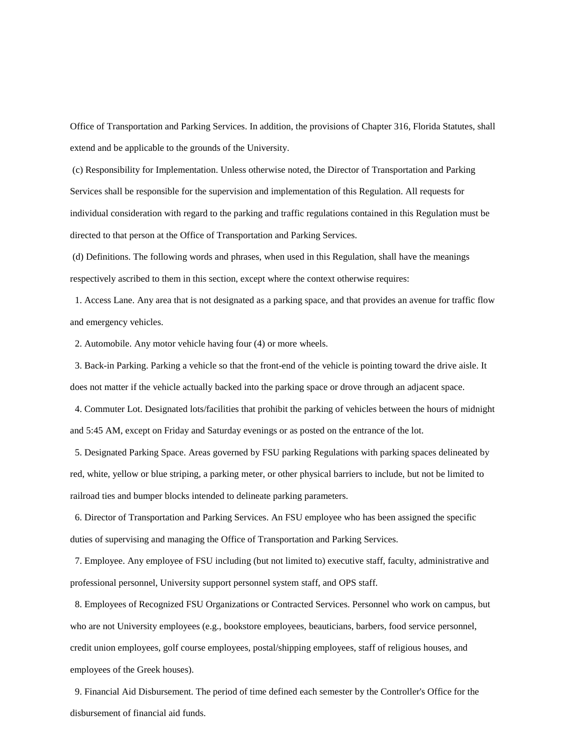Office of Transportation and Parking Services. In addition, the provisions of Chapter 316, Florida Statutes, shall extend and be applicable to the grounds of the University.

(c) Responsibility for Implementation. Unless otherwise noted, the Director of Transportation and Parking Services shall be responsible for the supervision and implementation of this Regulation. All requests for individual consideration with regard to the parking and traffic regulations contained in this Regulation must be directed to that person at the Office of Transportation and Parking Services.

(d) Definitions. The following words and phrases, when used in this Regulation, shall have the meanings respectively ascribed to them in this section, except where the context otherwise requires:

1. Access Lane. Any area that is not designated as a parking space, and that provides an avenue for traffic flow and emergency vehicles.

2. Automobile. Any motor vehicle having four (4) or more wheels.

3. Back-in Parking. Parking a vehicle so that the front-end of the vehicle is pointing toward the drive aisle. It does not matter if the vehicle actually backed into the parking space or drove through an adjacent space.

 4. Commuter Lot. Designated lots/facilities that prohibit the parking of vehicles between the hours of midnight and 5:45 AM, except on Friday and Saturday evenings or as posted on the entrance of the lot.

5. Designated Parking Space. Areas governed by FSU parking Regulations with parking spaces delineated by red, white, yellow or blue striping, a parking meter, or other physical barriers to include, but not be limited to railroad ties and bumper blocks intended to delineate parking parameters.

6. Director of Transportation and Parking Services. An FSU employee who has been assigned the specific duties of supervising and managing the Office of Transportation and Parking Services.

7. Employee. Any employee of FSU including (but not limited to) executive staff, faculty, administrative and professional personnel, University support personnel system staff, and OPS staff.

8. Employees of Recognized FSU Organizations or Contracted Services. Personnel who work on campus, but who are not University employees (e.g., bookstore employees, beauticians, barbers, food service personnel, credit union employees, golf course employees, postal/shipping employees, staff of religious houses, and employees of the Greek houses).

9. Financial Aid Disbursement. The period of time defined each semester by the Controller's Office for the disbursement of financial aid funds.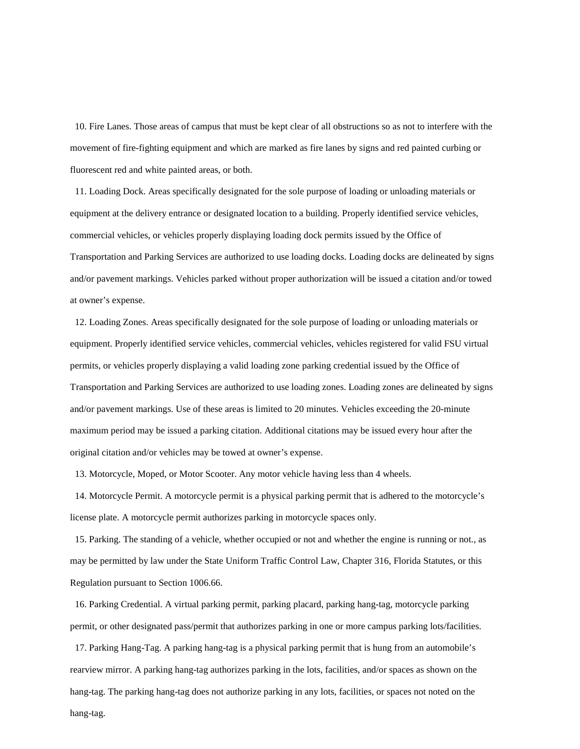10. Fire Lanes. Those areas of campus that must be kept clear of all obstructions so as not to interfere with the movement of fire-fighting equipment and which are marked as fire lanes by signs and red painted curbing or fluorescent red and white painted areas, or both.

 11. Loading Dock. Areas specifically designated for the sole purpose of loading or unloading materials or equipment at the delivery entrance or designated location to a building. Properly identified service vehicles, commercial vehicles, or vehicles properly displaying loading dock permits issued by the Office of Transportation and Parking Services are authorized to use loading docks. Loading docks are delineated by signs and/or pavement markings. Vehicles parked without proper authorization will be issued a citation and/or towed at owner's expense.

 12. Loading Zones. Areas specifically designated for the sole purpose of loading or unloading materials or equipment. Properly identified service vehicles, commercial vehicles, vehicles registered for valid FSU virtual permits, or vehicles properly displaying a valid loading zone parking credential issued by the Office of Transportation and Parking Services are authorized to use loading zones. Loading zones are delineated by signs and/or pavement markings. Use of these areas is limited to 20 minutes. Vehicles exceeding the 20-minute maximum period may be issued a parking citation. Additional citations may be issued every hour after the original citation and/or vehicles may be towed at owner's expense.

13. Motorcycle, Moped, or Motor Scooter. Any motor vehicle having less than 4 wheels.

 14. Motorcycle Permit. A motorcycle permit is a physical parking permit that is adhered to the motorcycle's license plate. A motorcycle permit authorizes parking in motorcycle spaces only.

15. Parking. The standing of a vehicle, whether occupied or not and whether the engine is running or not., as may be permitted by law under the State Uniform Traffic Control Law, Chapter 316, Florida Statutes, or this Regulation pursuant to Section 1006.66.

 16. Parking Credential. A virtual parking permit, parking placard, parking hang-tag, motorcycle parking permit, or other designated pass/permit that authorizes parking in one or more campus parking lots/facilities.

17. Parking Hang-Tag. A parking hang-tag is a physical parking permit that is hung from an automobile's rearview mirror. A parking hang-tag authorizes parking in the lots, facilities, and/or spaces as shown on the hang-tag. The parking hang-tag does not authorize parking in any lots, facilities, or spaces not noted on the hang-tag.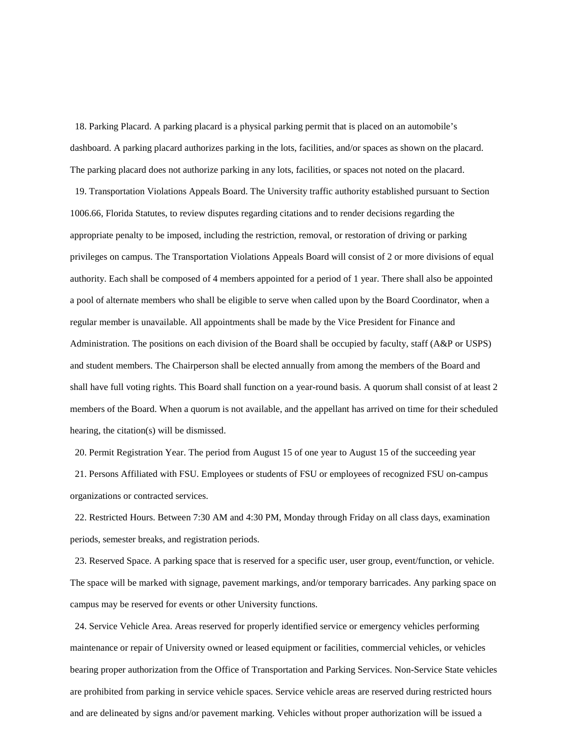18. Parking Placard. A parking placard is a physical parking permit that is placed on an automobile's dashboard. A parking placard authorizes parking in the lots, facilities, and/or spaces as shown on the placard. The parking placard does not authorize parking in any lots, facilities, or spaces not noted on the placard.

 19. Transportation Violations Appeals Board. The University traffic authority established pursuant to Section 1006.66, Florida Statutes, to review disputes regarding citations and to render decisions regarding the appropriate penalty to be imposed, including the restriction, removal, or restoration of driving or parking privileges on campus. The Transportation Violations Appeals Board will consist of 2 or more divisions of equal authority. Each shall be composed of 4 members appointed for a period of 1 year. There shall also be appointed a pool of alternate members who shall be eligible to serve when called upon by the Board Coordinator, when a regular member is unavailable. All appointments shall be made by the Vice President for Finance and Administration. The positions on each division of the Board shall be occupied by faculty, staff (A&P or USPS) and student members. The Chairperson shall be elected annually from among the members of the Board and shall have full voting rights. This Board shall function on a year-round basis. A quorum shall consist of at least 2 members of the Board. When a quorum is not available, and the appellant has arrived on time for their scheduled hearing, the citation(s) will be dismissed.

 20. Permit Registration Year. The period from August 15 of one year to August 15 of the succeeding year 21. Persons Affiliated with FSU. Employees or students of FSU or employees of recognized FSU on-campus organizations or contracted services.

 22. Restricted Hours. Between 7:30 AM and 4:30 PM, Monday through Friday on all class days, examination periods, semester breaks, and registration periods.

 23. Reserved Space. A parking space that is reserved for a specific user, user group, event/function, or vehicle. The space will be marked with signage, pavement markings, and/or temporary barricades. Any parking space on campus may be reserved for events or other University functions.

24. Service Vehicle Area. Areas reserved for properly identified service or emergency vehicles performing maintenance or repair of University owned or leased equipment or facilities, commercial vehicles, or vehicles bearing proper authorization from the Office of Transportation and Parking Services. Non-Service State vehicles are prohibited from parking in service vehicle spaces. Service vehicle areas are reserved during restricted hours and are delineated by signs and/or pavement marking. Vehicles without proper authorization will be issued a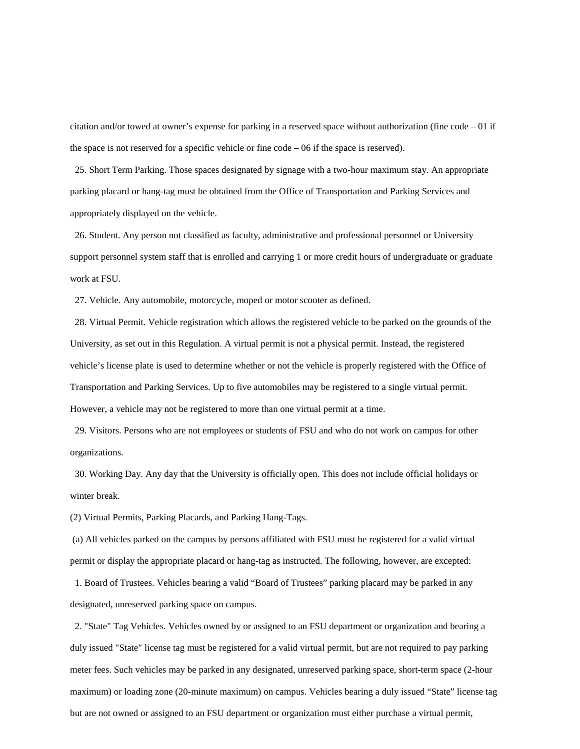citation and/or towed at owner's expense for parking in a reserved space without authorization (fine code  $-01$  if the space is not reserved for a specific vehicle or fine code  $-06$  if the space is reserved).

25. Short Term Parking. Those spaces designated by signage with a two-hour maximum stay. An appropriate parking placard or hang-tag must be obtained from the Office of Transportation and Parking Services and appropriately displayed on the vehicle.

26. Student. Any person not classified as faculty, administrative and professional personnel or University support personnel system staff that is enrolled and carrying 1 or more credit hours of undergraduate or graduate work at FSU.

27. Vehicle. Any automobile, motorcycle, moped or motor scooter as defined.

 28. Virtual Permit. Vehicle registration which allows the registered vehicle to be parked on the grounds of the University, as set out in this Regulation. A virtual permit is not a physical permit. Instead, the registered vehicle's license plate is used to determine whether or not the vehicle is properly registered with the Office of Transportation and Parking Services. Up to five automobiles may be registered to a single virtual permit. However, a vehicle may not be registered to more than one virtual permit at a time.

29. Visitors. Persons who are not employees or students of FSU and who do not work on campus for other organizations.

30. Working Day. Any day that the University is officially open. This does not include official holidays or winter break.

(2) Virtual Permits, Parking Placards, and Parking Hang-Tags.

(a) All vehicles parked on the campus by persons affiliated with FSU must be registered for a valid virtual permit or display the appropriate placard or hang-tag as instructed. The following, however, are excepted:

1. Board of Trustees. Vehicles bearing a valid "Board of Trustees" parking placard may be parked in any designated, unreserved parking space on campus.

2. "State" Tag Vehicles. Vehicles owned by or assigned to an FSU department or organization and bearing a duly issued "State" license tag must be registered for a valid virtual permit, but are not required to pay parking meter fees. Such vehicles may be parked in any designated, unreserved parking space, short-term space (2-hour maximum) or loading zone (20-minute maximum) on campus. Vehicles bearing a duly issued "State" license tag but are not owned or assigned to an FSU department or organization must either purchase a virtual permit,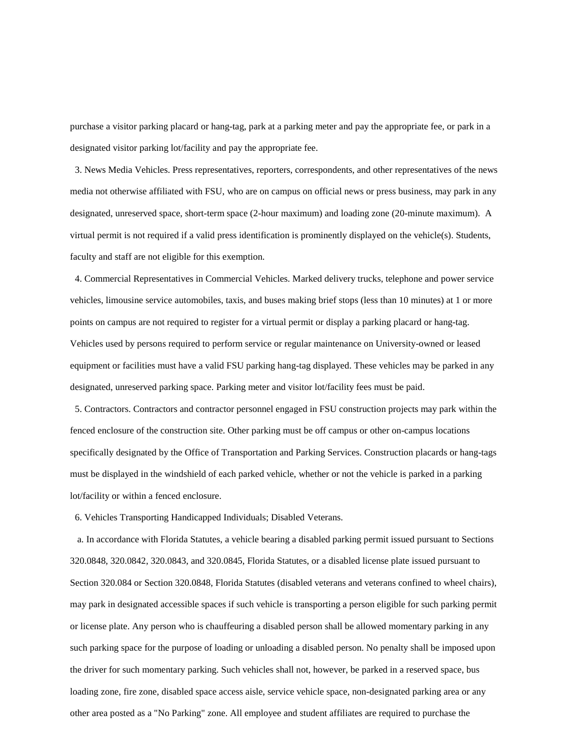purchase a visitor parking placard or hang-tag, park at a parking meter and pay the appropriate fee, or park in a designated visitor parking lot/facility and pay the appropriate fee.

3. News Media Vehicles. Press representatives, reporters, correspondents, and other representatives of the news media not otherwise affiliated with FSU, who are on campus on official news or press business, may park in any designated, unreserved space, short-term space (2-hour maximum) and loading zone (20-minute maximum). A virtual permit is not required if a valid press identification is prominently displayed on the vehicle(s). Students, faculty and staff are not eligible for this exemption.

4. Commercial Representatives in Commercial Vehicles. Marked delivery trucks, telephone and power service vehicles, limousine service automobiles, taxis, and buses making brief stops (less than 10 minutes) at 1 or more points on campus are not required to register for a virtual permit or display a parking placard or hang-tag. Vehicles used by persons required to perform service or regular maintenance on University-owned or leased equipment or facilities must have a valid FSU parking hang-tag displayed. These vehicles may be parked in any designated, unreserved parking space. Parking meter and visitor lot/facility fees must be paid.

5. Contractors. Contractors and contractor personnel engaged in FSU construction projects may park within the fenced enclosure of the construction site. Other parking must be off campus or other on-campus locations specifically designated by the Office of Transportation and Parking Services. Construction placards or hang-tags must be displayed in the windshield of each parked vehicle, whether or not the vehicle is parked in a parking lot/facility or within a fenced enclosure.

6. Vehicles Transporting Handicapped Individuals; Disabled Veterans.

 a. In accordance with Florida Statutes, a vehicle bearing a disabled parking permit issued pursuant to Sections 320.0848, 320.0842, 320.0843, and 320.0845, Florida Statutes, or a disabled license plate issued pursuant to Section 320.084 or Section 320.0848, Florida Statutes (disabled veterans and veterans confined to wheel chairs), may park in designated accessible spaces if such vehicle is transporting a person eligible for such parking permit or license plate. Any person who is chauffeuring a disabled person shall be allowed momentary parking in any such parking space for the purpose of loading or unloading a disabled person. No penalty shall be imposed upon the driver for such momentary parking. Such vehicles shall not, however, be parked in a reserved space, bus loading zone, fire zone, disabled space access aisle, service vehicle space, non-designated parking area or any other area posted as a "No Parking" zone. All employee and student affiliates are required to purchase the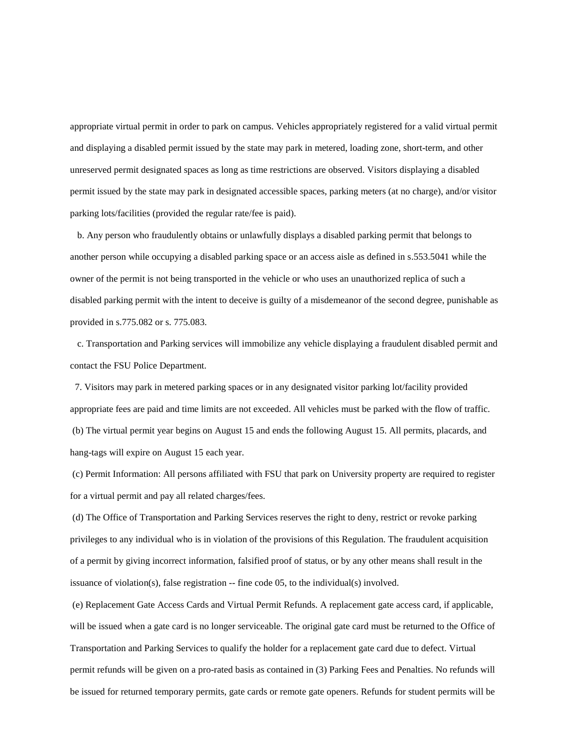appropriate virtual permit in order to park on campus. Vehicles appropriately registered for a valid virtual permit and displaying a disabled permit issued by the state may park in metered, loading zone, short-term, and other unreserved permit designated spaces as long as time restrictions are observed. Visitors displaying a disabled permit issued by the state may park in designated accessible spaces, parking meters (at no charge), and/or visitor parking lots/facilities (provided the regular rate/fee is paid).

 b. Any person who fraudulently obtains or unlawfully displays a disabled parking permit that belongs to another person while occupying a disabled parking space or an access aisle as defined in s.553.5041 while the owner of the permit is not being transported in the vehicle or who uses an unauthorized replica of such a disabled parking permit with the intent to deceive is guilty of a misdemeanor of the second degree, punishable as provided in s.775.082 or s. 775.083.

 c. Transportation and Parking services will immobilize any vehicle displaying a fraudulent disabled permit and contact the FSU Police Department.

7. Visitors may park in metered parking spaces or in any designated visitor parking lot/facility provided appropriate fees are paid and time limits are not exceeded. All vehicles must be parked with the flow of traffic. (b) The virtual permit year begins on August 15 and ends the following August 15. All permits, placards, and hang-tags will expire on August 15 each year.

(c) Permit Information: All persons affiliated with FSU that park on University property are required to register for a virtual permit and pay all related charges/fees.

(d) The Office of Transportation and Parking Services reserves the right to deny, restrict or revoke parking privileges to any individual who is in violation of the provisions of this Regulation. The fraudulent acquisition of a permit by giving incorrect information, falsified proof of status, or by any other means shall result in the issuance of violation(s), false registration -- fine code 05, to the individual(s) involved.

(e) Replacement Gate Access Cards and Virtual Permit Refunds. A replacement gate access card, if applicable, will be issued when a gate card is no longer serviceable. The original gate card must be returned to the Office of Transportation and Parking Services to qualify the holder for a replacement gate card due to defect. Virtual permit refunds will be given on a pro-rated basis as contained in (3) Parking Fees and Penalties. No refunds will be issued for returned temporary permits, gate cards or remote gate openers. Refunds for student permits will be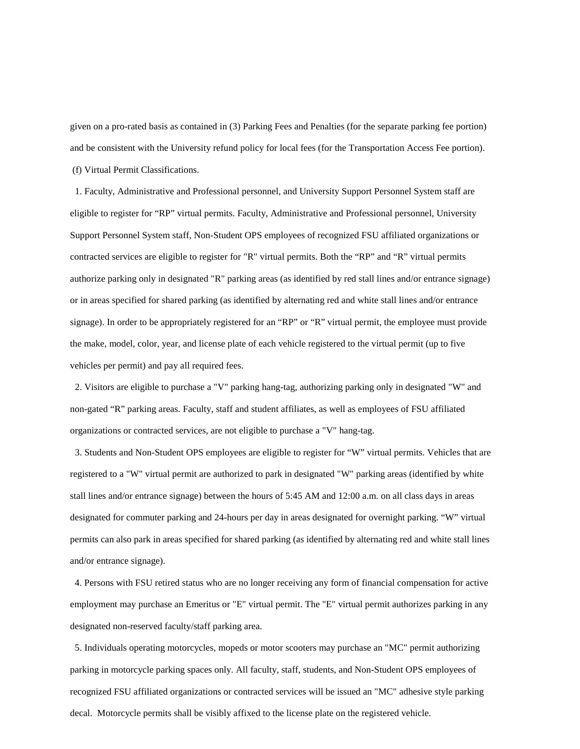given on a pro-rated basis as contained in (3) Parking Fees and Penalties (for the separate parking fee portion) and be consistent with the University refund policy for local fees (for the Transportation Access Fee portion). (f) Virtual Permit Classifications.

1. Faculty, Administrative and Professional personnel, and University Support Personnel System staff are eligible to register for "RP" virtual permits. Faculty, Administrative and Professional personnel, University Support Personnel System staff, Non-Student OPS employees of recognized FSU affiliated organizations or contracted services are eligible to register for "R" virtual permits. Both the "RP" and "R" virtual permits authorize parking only in designated "R" parking areas (as identified by red stall lines and/or entrance signage) or in areas specified for shared parking (as identified by alternating red and white stall lines and/or entrance signage). In order to be appropriately registered for an "RP" or "R" virtual permit, the employee must provide the make, model, color, year, and license plate of each vehicle registered to the virtual permit (up to five vehicles per permit) and pay all required fees.

2. Visitors are eligible to purchase a "V" parking hang-tag, authorizing parking only in designated "W" and non-gated "R" parking areas. Faculty, staff and student affiliates, as well as employees of FSU affiliated organizations or contracted services, are not eligible to purchase a "V" hang-tag.

3. Students and Non-Student OPS employees are eligible to register for "W" virtual permits. Vehicles that are registered to a "W" virtual permit are authorized to park in designated "W" parking areas (identified by white stall lines and/or entrance signage) between the hours of 5:45 AM and 12:00 a.m. on all class days in areas designated for commuter parking and 24-hours per day in areas designated for overnight parking. "W" virtual permits can also park in areas specified for shared parking (as identified by alternating red and white stall lines and/or entrance signage).

 4. Persons with FSU retired status who are no longer receiving any form of financial compensation for active employment may purchase an Emeritus or "E" virtual permit. The "E" virtual permit authorizes parking in any designated non-reserved faculty/staff parking area.

 5. Individuals operating motorcycles, mopeds or motor scooters may purchase an "MC" permit authorizing parking in motorcycle parking spaces only. All faculty, staff, students, and Non-Student OPS employees of recognized FSU affiliated organizations or contracted services will be issued an "MC" adhesive style parking decal. Motorcycle permits shall be visibly affixed to the license plate on the registered vehicle.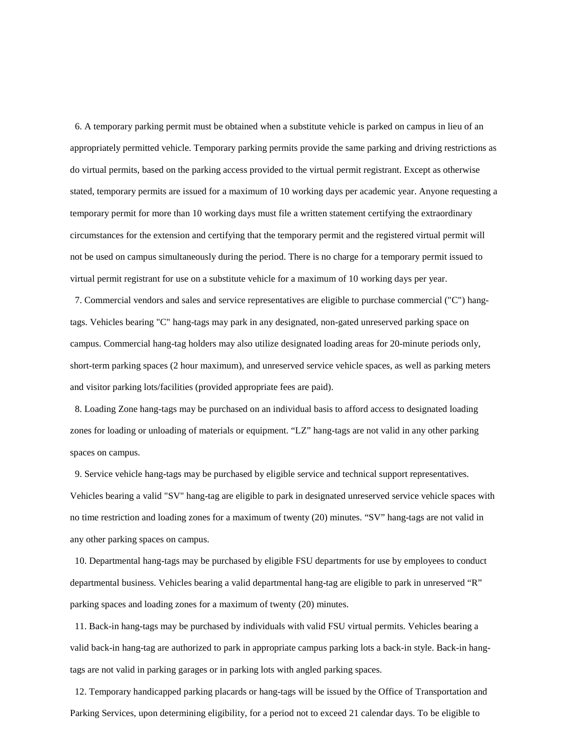6. A temporary parking permit must be obtained when a substitute vehicle is parked on campus in lieu of an appropriately permitted vehicle. Temporary parking permits provide the same parking and driving restrictions as do virtual permits, based on the parking access provided to the virtual permit registrant. Except as otherwise stated, temporary permits are issued for a maximum of 10 working days per academic year. Anyone requesting a temporary permit for more than 10 working days must file a written statement certifying the extraordinary circumstances for the extension and certifying that the temporary permit and the registered virtual permit will not be used on campus simultaneously during the period. There is no charge for a temporary permit issued to virtual permit registrant for use on a substitute vehicle for a maximum of 10 working days per year.

 7. Commercial vendors and sales and service representatives are eligible to purchase commercial ("C") hangtags. Vehicles bearing "C" hang-tags may park in any designated, non-gated unreserved parking space on campus. Commercial hang-tag holders may also utilize designated loading areas for 20-minute periods only, short-term parking spaces (2 hour maximum), and unreserved service vehicle spaces, as well as parking meters and visitor parking lots/facilities (provided appropriate fees are paid).

 8. Loading Zone hang-tags may be purchased on an individual basis to afford access to designated loading zones for loading or unloading of materials or equipment. "LZ" hang-tags are not valid in any other parking spaces on campus.

9. Service vehicle hang-tags may be purchased by eligible service and technical support representatives. Vehicles bearing a valid "SV" hang-tag are eligible to park in designated unreserved service vehicle spaces with no time restriction and loading zones for a maximum of twenty (20) minutes. "SV" hang-tags are not valid in any other parking spaces on campus.

 10. Departmental hang-tags may be purchased by eligible FSU departments for use by employees to conduct departmental business. Vehicles bearing a valid departmental hang-tag are eligible to park in unreserved "R" parking spaces and loading zones for a maximum of twenty (20) minutes.

 11. Back-in hang-tags may be purchased by individuals with valid FSU virtual permits. Vehicles bearing a valid back-in hang-tag are authorized to park in appropriate campus parking lots a back-in style. Back-in hangtags are not valid in parking garages or in parking lots with angled parking spaces.

 12. Temporary handicapped parking placards or hang-tags will be issued by the Office of Transportation and Parking Services, upon determining eligibility, for a period not to exceed 21 calendar days. To be eligible to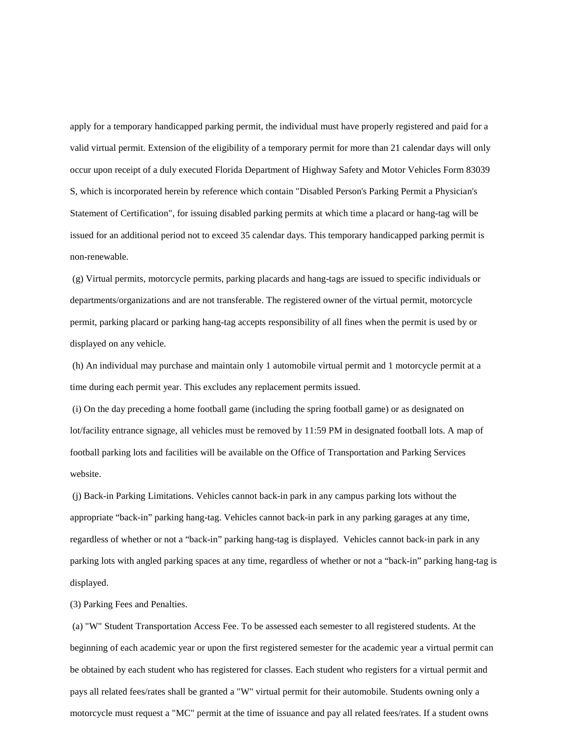apply for a temporary handicapped parking permit, the individual must have properly registered and paid for a valid virtual permit. Extension of the eligibility of a temporary permit for more than 21 calendar days will only occur upon receipt of a duly executed Florida Department of Highway Safety and Motor Vehicles Form 83039 S, which is incorporated herein by reference which contain "Disabled Person's Parking Permit a Physician's Statement of Certification", for issuing disabled parking permits at which time a placard or hang-tag will be issued for an additional period not to exceed 35 calendar days. This temporary handicapped parking permit is non-renewable.

(g) Virtual permits, motorcycle permits, parking placards and hang-tags are issued to specific individuals or departments/organizations and are not transferable. The registered owner of the virtual permit, motorcycle permit, parking placard or parking hang-tag accepts responsibility of all fines when the permit is used by or displayed on any vehicle.

(h) An individual may purchase and maintain only 1 automobile virtual permit and 1 motorcycle permit at a time during each permit year. This excludes any replacement permits issued.

(i) On the day preceding a home football game (including the spring football game) or as designated on lot/facility entrance signage, all vehicles must be removed by 11:59 PM in designated football lots. A map of football parking lots and facilities will be available on the Office of Transportation and Parking Services website.

(j) Back-in Parking Limitations. Vehicles cannot back-in park in any campus parking lots without the appropriate "back-in" parking hang-tag. Vehicles cannot back-in park in any parking garages at any time, regardless of whether or not a "back-in" parking hang-tag is displayed. Vehicles cannot back-in park in any parking lots with angled parking spaces at any time, regardless of whether or not a "back-in" parking hang-tag is displayed.

(3) Parking Fees and Penalties.

(a) "W" Student Transportation Access Fee. To be assessed each semester to all registered students. At the beginning of each academic year or upon the first registered semester for the academic year a virtual permit can be obtained by each student who has registered for classes. Each student who registers for a virtual permit and pays all related fees/rates shall be granted a "W" virtual permit for their automobile. Students owning only a motorcycle must request a "MC" permit at the time of issuance and pay all related fees/rates. If a student owns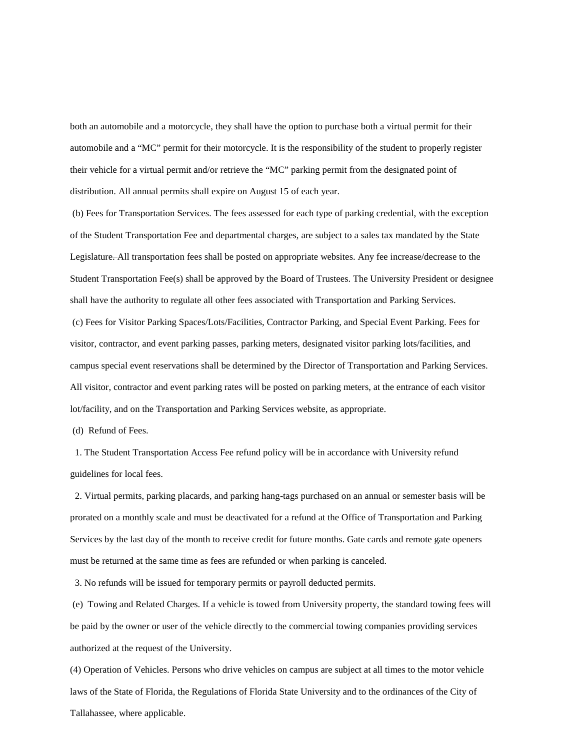both an automobile and a motorcycle, they shall have the option to purchase both a virtual permit for their automobile and a "MC" permit for their motorcycle. It is the responsibility of the student to properly register their vehicle for a virtual permit and/or retrieve the "MC" parking permit from the designated point of distribution. All annual permits shall expire on August 15 of each year.

(b) Fees for Transportation Services. The fees assessed for each type of parking credential, with the exception of the Student Transportation Fee and departmental charges, are subject to a sales tax mandated by the State Legislature. All transportation fees shall be posted on appropriate websites. Any fee increase/decrease to the Student Transportation Fee(s) shall be approved by the Board of Trustees. The University President or designee shall have the authority to regulate all other fees associated with Transportation and Parking Services. (c) Fees for Visitor Parking Spaces/Lots/Facilities, Contractor Parking, and Special Event Parking. Fees for visitor, contractor, and event parking passes, parking meters, designated visitor parking lots/facilities, and campus special event reservations shall be determined by the Director of Transportation and Parking Services. All visitor, contractor and event parking rates will be posted on parking meters, at the entrance of each visitor lot/facility, and on the Transportation and Parking Services website, as appropriate.

(d) Refund of Fees.

1. The Student Transportation Access Fee refund policy will be in accordance with University refund guidelines for local fees.

2. Virtual permits, parking placards, and parking hang-tags purchased on an annual or semester basis will be prorated on a monthly scale and must be deactivated for a refund at the Office of Transportation and Parking Services by the last day of the month to receive credit for future months. Gate cards and remote gate openers must be returned at the same time as fees are refunded or when parking is canceled.

3. No refunds will be issued for temporary permits or payroll deducted permits.

(e) Towing and Related Charges. If a vehicle is towed from University property, the standard towing fees will be paid by the owner or user of the vehicle directly to the commercial towing companies providing services authorized at the request of the University.

(4) Operation of Vehicles. Persons who drive vehicles on campus are subject at all times to the motor vehicle laws of the State of Florida, the Regulations of Florida State University and to the ordinances of the City of Tallahassee, where applicable.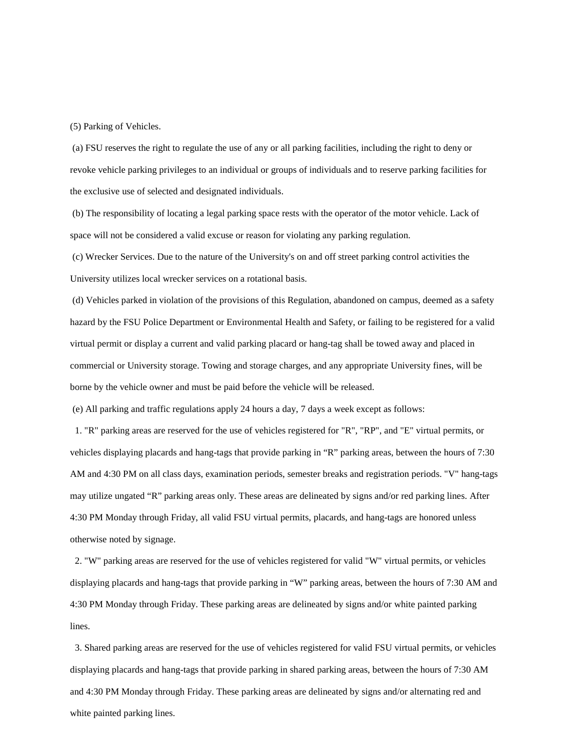(5) Parking of Vehicles.

(a) FSU reserves the right to regulate the use of any or all parking facilities, including the right to deny or revoke vehicle parking privileges to an individual or groups of individuals and to reserve parking facilities for the exclusive use of selected and designated individuals.

(b) The responsibility of locating a legal parking space rests with the operator of the motor vehicle. Lack of space will not be considered a valid excuse or reason for violating any parking regulation.

(c) Wrecker Services. Due to the nature of the University's on and off street parking control activities the University utilizes local wrecker services on a rotational basis.

(d) Vehicles parked in violation of the provisions of this Regulation, abandoned on campus, deemed as a safety hazard by the FSU Police Department or Environmental Health and Safety, or failing to be registered for a valid virtual permit or display a current and valid parking placard or hang-tag shall be towed away and placed in commercial or University storage. Towing and storage charges, and any appropriate University fines, will be borne by the vehicle owner and must be paid before the vehicle will be released.

(e) All parking and traffic regulations apply 24 hours a day, 7 days a week except as follows:

1. "R" parking areas are reserved for the use of vehicles registered for "R", "RP", and "E" virtual permits, or vehicles displaying placards and hang-tags that provide parking in "R" parking areas, between the hours of 7:30 AM and 4:30 PM on all class days, examination periods, semester breaks and registration periods. "V" hang-tags may utilize ungated "R" parking areas only. These areas are delineated by signs and/or red parking lines. After 4:30 PM Monday through Friday, all valid FSU virtual permits, placards, and hang-tags are honored unless otherwise noted by signage.

2. "W" parking areas are reserved for the use of vehicles registered for valid "W" virtual permits, or vehicles displaying placards and hang-tags that provide parking in "W" parking areas, between the hours of 7:30 AM and 4:30 PM Monday through Friday. These parking areas are delineated by signs and/or white painted parking lines.

3. Shared parking areas are reserved for the use of vehicles registered for valid FSU virtual permits, or vehicles displaying placards and hang-tags that provide parking in shared parking areas, between the hours of 7:30 AM and 4:30 PM Monday through Friday. These parking areas are delineated by signs and/or alternating red and white painted parking lines.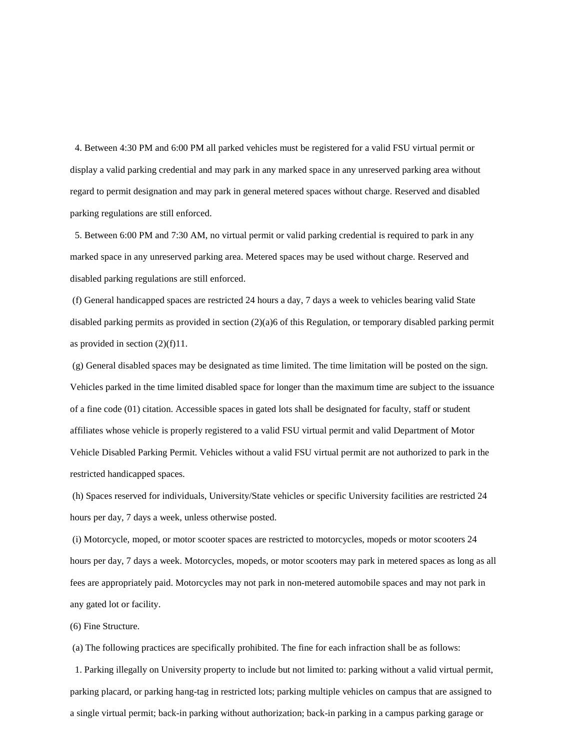4. Between 4:30 PM and 6:00 PM all parked vehicles must be registered for a valid FSU virtual permit or display a valid parking credential and may park in any marked space in any unreserved parking area without regard to permit designation and may park in general metered spaces without charge. Reserved and disabled parking regulations are still enforced.

 5. Between 6:00 PM and 7:30 AM, no virtual permit or valid parking credential is required to park in any marked space in any unreserved parking area. Metered spaces may be used without charge. Reserved and disabled parking regulations are still enforced.

(f) General handicapped spaces are restricted 24 hours a day, 7 days a week to vehicles bearing valid State disabled parking permits as provided in section (2)(a)6 of this Regulation, or temporary disabled parking permit as provided in section (2)(f)11.

(g) General disabled spaces may be designated as time limited. The time limitation will be posted on the sign. Vehicles parked in the time limited disabled space for longer than the maximum time are subject to the issuance of a fine code (01) citation. Accessible spaces in gated lots shall be designated for faculty, staff or student affiliates whose vehicle is properly registered to a valid FSU virtual permit and valid Department of Motor Vehicle Disabled Parking Permit. Vehicles without a valid FSU virtual permit are not authorized to park in the restricted handicapped spaces.

(h) Spaces reserved for individuals, University/State vehicles or specific University facilities are restricted 24 hours per day, 7 days a week, unless otherwise posted.

(i) Motorcycle, moped, or motor scooter spaces are restricted to motorcycles, mopeds or motor scooters 24 hours per day, 7 days a week. Motorcycles, mopeds, or motor scooters may park in metered spaces as long as all fees are appropriately paid. Motorcycles may not park in non-metered automobile spaces and may not park in any gated lot or facility.

(6) Fine Structure.

(a) The following practices are specifically prohibited. The fine for each infraction shall be as follows:

1. Parking illegally on University property to include but not limited to: parking without a valid virtual permit, parking placard, or parking hang-tag in restricted lots; parking multiple vehicles on campus that are assigned to a single virtual permit; back-in parking without authorization; back-in parking in a campus parking garage or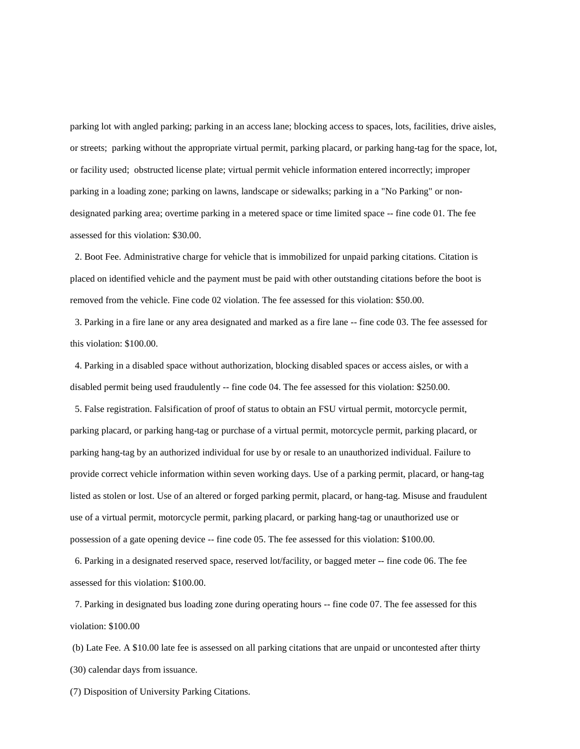parking lot with angled parking; parking in an access lane; blocking access to spaces, lots, facilities, drive aisles, or streets; parking without the appropriate virtual permit, parking placard, or parking hang-tag for the space, lot, or facility used; obstructed license plate; virtual permit vehicle information entered incorrectly; improper parking in a loading zone; parking on lawns, landscape or sidewalks; parking in a "No Parking" or nondesignated parking area; overtime parking in a metered space or time limited space -- fine code 01. The fee assessed for this violation: \$30.00.

2. Boot Fee. Administrative charge for vehicle that is immobilized for unpaid parking citations. Citation is placed on identified vehicle and the payment must be paid with other outstanding citations before the boot is removed from the vehicle. Fine code 02 violation. The fee assessed for this violation: \$50.00.

3. Parking in a fire lane or any area designated and marked as a fire lane -- fine code 03. The fee assessed for this violation: \$100.00.

4. Parking in a disabled space without authorization, blocking disabled spaces or access aisles, or with a disabled permit being used fraudulently -- fine code 04. The fee assessed for this violation: \$250.00.

5. False registration. Falsification of proof of status to obtain an FSU virtual permit, motorcycle permit, parking placard, or parking hang-tag or purchase of a virtual permit, motorcycle permit, parking placard, or parking hang-tag by an authorized individual for use by or resale to an unauthorized individual. Failure to provide correct vehicle information within seven working days. Use of a parking permit, placard, or hang-tag listed as stolen or lost. Use of an altered or forged parking permit, placard, or hang-tag. Misuse and fraudulent use of a virtual permit, motorcycle permit, parking placard, or parking hang-tag or unauthorized use or possession of a gate opening device -- fine code 05. The fee assessed for this violation: \$100.00.

 6. Parking in a designated reserved space, reserved lot/facility, or bagged meter -- fine code 06. The fee assessed for this violation: \$100.00.

 7. Parking in designated bus loading zone during operating hours -- fine code 07. The fee assessed for this violation: \$100.00

(b) Late Fee. A \$10.00 late fee is assessed on all parking citations that are unpaid or uncontested after thirty (30) calendar days from issuance.

(7) Disposition of University Parking Citations.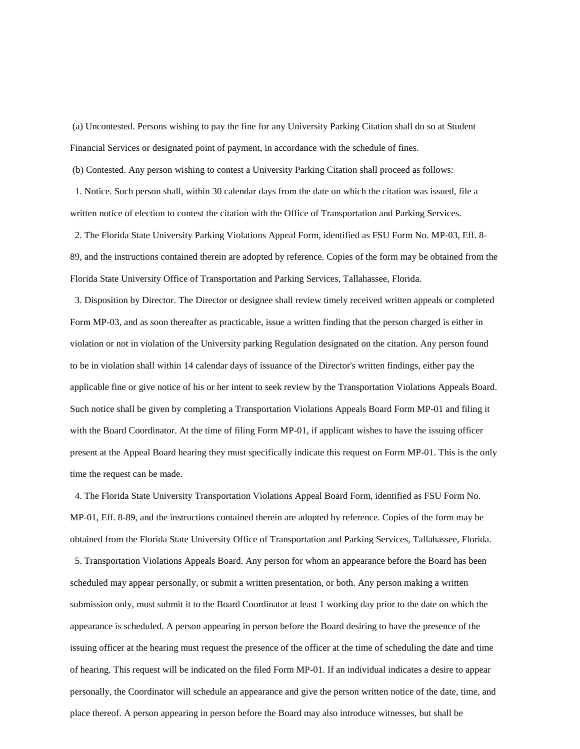(a) Uncontested. Persons wishing to pay the fine for any University Parking Citation shall do so at Student Financial Services or designated point of payment, in accordance with the schedule of fines.

(b) Contested. Any person wishing to contest a University Parking Citation shall proceed as follows:

1. Notice. Such person shall, within 30 calendar days from the date on which the citation was issued, file a written notice of election to contest the citation with the Office of Transportation and Parking Services.

2. The Florida State University Parking Violations Appeal Form, identified as FSU Form No. MP-03, Eff. 8- 89, and the instructions contained therein are adopted by reference. Copies of the form may be obtained from the Florida State University Office of Transportation and Parking Services, Tallahassee, Florida.

3. Disposition by Director. The Director or designee shall review timely received written appeals or completed Form MP-03, and as soon thereafter as practicable, issue a written finding that the person charged is either in violation or not in violation of the University parking Regulation designated on the citation. Any person found to be in violation shall within 14 calendar days of issuance of the Director's written findings, either pay the applicable fine or give notice of his or her intent to seek review by the Transportation Violations Appeals Board. Such notice shall be given by completing a Transportation Violations Appeals Board Form MP-01 and filing it with the Board Coordinator. At the time of filing Form MP-01, if applicant wishes to have the issuing officer present at the Appeal Board hearing they must specifically indicate this request on Form MP-01. This is the only time the request can be made.

4. The Florida State University Transportation Violations Appeal Board Form, identified as FSU Form No. MP-01, Eff. 8-89, and the instructions contained therein are adopted by reference. Copies of the form may be obtained from the Florida State University Office of Transportation and Parking Services, Tallahassee, Florida. 5. Transportation Violations Appeals Board. Any person for whom an appearance before the Board has been scheduled may appear personally, or submit a written presentation, or both. Any person making a written submission only, must submit it to the Board Coordinator at least 1 working day prior to the date on which the appearance is scheduled. A person appearing in person before the Board desiring to have the presence of the issuing officer at the hearing must request the presence of the officer at the time of scheduling the date and time of hearing. This request will be indicated on the filed Form MP-01. If an individual indicates a desire to appear personally, the Coordinator will schedule an appearance and give the person written notice of the date, time, and place thereof. A person appearing in person before the Board may also introduce witnesses, but shall be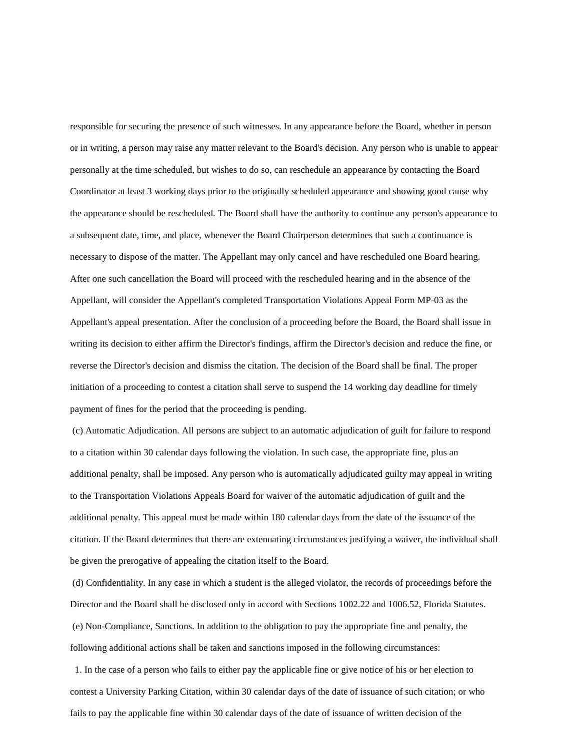responsible for securing the presence of such witnesses. In any appearance before the Board, whether in person or in writing, a person may raise any matter relevant to the Board's decision. Any person who is unable to appear personally at the time scheduled, but wishes to do so, can reschedule an appearance by contacting the Board Coordinator at least 3 working days prior to the originally scheduled appearance and showing good cause why the appearance should be rescheduled. The Board shall have the authority to continue any person's appearance to a subsequent date, time, and place, whenever the Board Chairperson determines that such a continuance is necessary to dispose of the matter. The Appellant may only cancel and have rescheduled one Board hearing. After one such cancellation the Board will proceed with the rescheduled hearing and in the absence of the Appellant, will consider the Appellant's completed Transportation Violations Appeal Form MP-03 as the Appellant's appeal presentation. After the conclusion of a proceeding before the Board, the Board shall issue in writing its decision to either affirm the Director's findings, affirm the Director's decision and reduce the fine, or reverse the Director's decision and dismiss the citation. The decision of the Board shall be final. The proper initiation of a proceeding to contest a citation shall serve to suspend the 14 working day deadline for timely payment of fines for the period that the proceeding is pending.

(c) Automatic Adjudication. All persons are subject to an automatic adjudication of guilt for failure to respond to a citation within 30 calendar days following the violation. In such case, the appropriate fine, plus an additional penalty, shall be imposed. Any person who is automatically adjudicated guilty may appeal in writing to the Transportation Violations Appeals Board for waiver of the automatic adjudication of guilt and the additional penalty. This appeal must be made within 180 calendar days from the date of the issuance of the citation. If the Board determines that there are extenuating circumstances justifying a waiver, the individual shall be given the prerogative of appealing the citation itself to the Board.

(d) Confidentiality. In any case in which a student is the alleged violator, the records of proceedings before the Director and the Board shall be disclosed only in accord with Sections 1002.22 and 1006.52, Florida Statutes. (e) Non-Compliance, Sanctions. In addition to the obligation to pay the appropriate fine and penalty, the following additional actions shall be taken and sanctions imposed in the following circumstances:

1. In the case of a person who fails to either pay the applicable fine or give notice of his or her election to contest a University Parking Citation, within 30 calendar days of the date of issuance of such citation; or who fails to pay the applicable fine within 30 calendar days of the date of issuance of written decision of the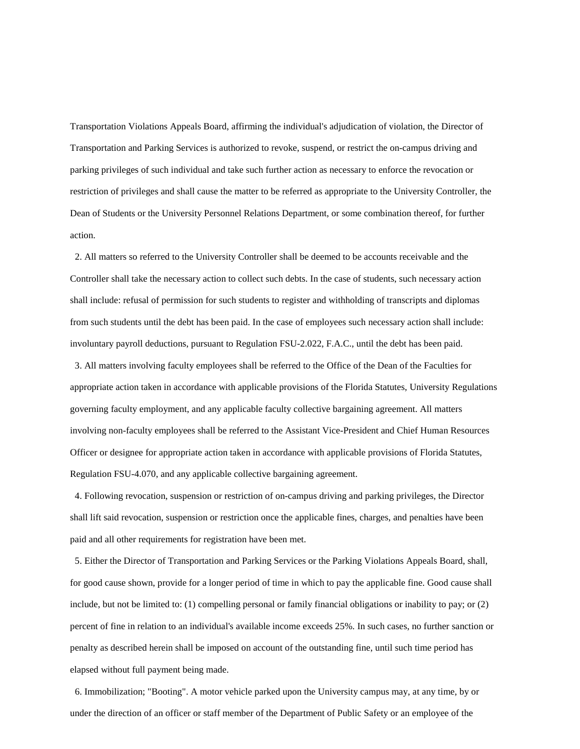Transportation Violations Appeals Board, affirming the individual's adjudication of violation, the Director of Transportation and Parking Services is authorized to revoke, suspend, or restrict the on-campus driving and parking privileges of such individual and take such further action as necessary to enforce the revocation or restriction of privileges and shall cause the matter to be referred as appropriate to the University Controller, the Dean of Students or the University Personnel Relations Department, or some combination thereof, for further action.

2. All matters so referred to the University Controller shall be deemed to be accounts receivable and the Controller shall take the necessary action to collect such debts. In the case of students, such necessary action shall include: refusal of permission for such students to register and withholding of transcripts and diplomas from such students until the debt has been paid. In the case of employees such necessary action shall include: involuntary payroll deductions, pursuant to Regulation FSU-2.022, F.A.C., until the debt has been paid.

 3. All matters involving faculty employees shall be referred to the Office of the Dean of the Faculties for appropriate action taken in accordance with applicable provisions of the Florida Statutes, University Regulations governing faculty employment, and any applicable faculty collective bargaining agreement. All matters involving non-faculty employees shall be referred to the Assistant Vice-President and Chief Human Resources Officer or designee for appropriate action taken in accordance with applicable provisions of Florida Statutes, Regulation FSU-4.070, and any applicable collective bargaining agreement.

 4. Following revocation, suspension or restriction of on-campus driving and parking privileges, the Director shall lift said revocation, suspension or restriction once the applicable fines, charges, and penalties have been paid and all other requirements for registration have been met.

5. Either the Director of Transportation and Parking Services or the Parking Violations Appeals Board, shall, for good cause shown, provide for a longer period of time in which to pay the applicable fine. Good cause shall include, but not be limited to: (1) compelling personal or family financial obligations or inability to pay; or (2) percent of fine in relation to an individual's available income exceeds 25%. In such cases, no further sanction or penalty as described herein shall be imposed on account of the outstanding fine, until such time period has elapsed without full payment being made.

6. Immobilization; "Booting". A motor vehicle parked upon the University campus may, at any time, by or under the direction of an officer or staff member of the Department of Public Safety or an employee of the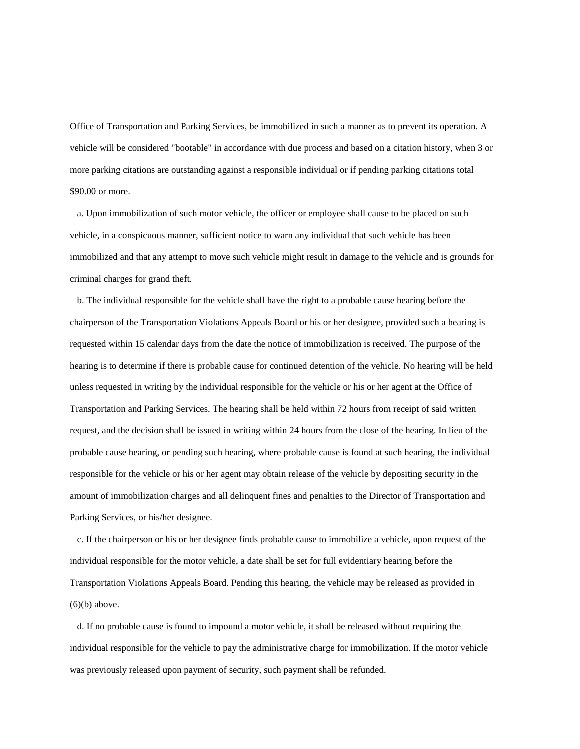Office of Transportation and Parking Services, be immobilized in such a manner as to prevent its operation. A vehicle will be considered "bootable" in accordance with due process and based on a citation history, when 3 or more parking citations are outstanding against a responsible individual or if pending parking citations total \$90.00 or more.

 a. Upon immobilization of such motor vehicle, the officer or employee shall cause to be placed on such vehicle, in a conspicuous manner, sufficient notice to warn any individual that such vehicle has been immobilized and that any attempt to move such vehicle might result in damage to the vehicle and is grounds for criminal charges for grand theft.

 b. The individual responsible for the vehicle shall have the right to a probable cause hearing before the chairperson of the Transportation Violations Appeals Board or his or her designee, provided such a hearing is requested within 15 calendar days from the date the notice of immobilization is received. The purpose of the hearing is to determine if there is probable cause for continued detention of the vehicle. No hearing will be held unless requested in writing by the individual responsible for the vehicle or his or her agent at the Office of Transportation and Parking Services. The hearing shall be held within 72 hours from receipt of said written request, and the decision shall be issued in writing within 24 hours from the close of the hearing. In lieu of the probable cause hearing, or pending such hearing, where probable cause is found at such hearing, the individual responsible for the vehicle or his or her agent may obtain release of the vehicle by depositing security in the amount of immobilization charges and all delinquent fines and penalties to the Director of Transportation and Parking Services, or his/her designee.

 c. If the chairperson or his or her designee finds probable cause to immobilize a vehicle, upon request of the individual responsible for the motor vehicle, a date shall be set for full evidentiary hearing before the Transportation Violations Appeals Board. Pending this hearing, the vehicle may be released as provided in  $(6)(b)$  above.

 d. If no probable cause is found to impound a motor vehicle, it shall be released without requiring the individual responsible for the vehicle to pay the administrative charge for immobilization. If the motor vehicle was previously released upon payment of security, such payment shall be refunded.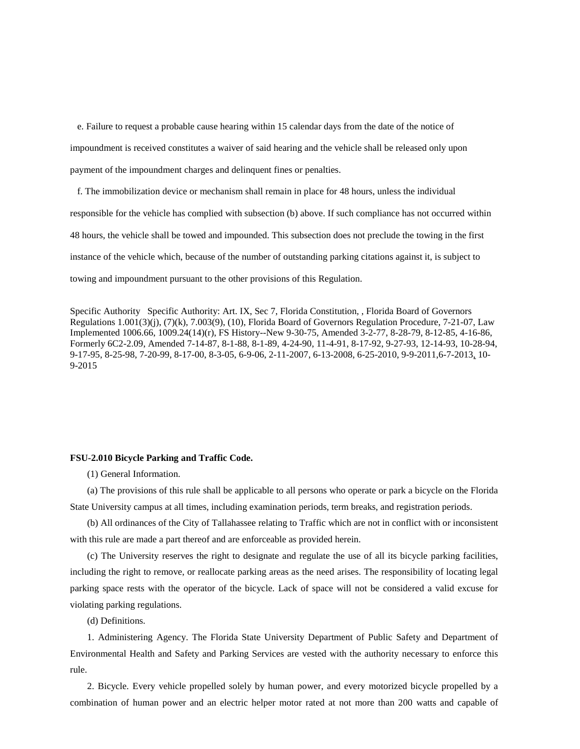e. Failure to request a probable cause hearing within 15 calendar days from the date of the notice of impoundment is received constitutes a waiver of said hearing and the vehicle shall be released only upon payment of the impoundment charges and delinquent fines or penalties.

 f. The immobilization device or mechanism shall remain in place for 48 hours, unless the individual responsible for the vehicle has complied with subsection (b) above. If such compliance has not occurred within 48 hours, the vehicle shall be towed and impounded. This subsection does not preclude the towing in the first instance of the vehicle which, because of the number of outstanding parking citations against it, is subject to towing and impoundment pursuant to the other provisions of this Regulation.

Specific Authority Specific Authority: Art. IX, Sec 7, Florida Constitution, , Florida Board of Governors Regulations 1.001(3)(j), (7)(k), 7.003(9), (10), Florida Board of Governors Regulation Procedure, 7-21-07, Law Implemented 1006.66, 1009.24(14)(r), FS History--New 9-30-75, Amended 3-2-77, 8-28-79, 8-12-85, 4-16-86, Formerly 6C2-2.09, Amended 7-14-87, 8-1-88, 8-1-89, 4-24-90, 11-4-91, 8-17-92, 9-27-93, 12-14-93, 10-28-94, 9-17-95, 8-25-98, 7-20-99, 8-17-00, 8-3-05, 6-9-06, 2-11-2007, 6-13-2008, 6-25-2010, 9-9-2011,6-7-2013, 10- 9-2015

## <span id="page-25-0"></span>**FSU-2.010 Bicycle Parking and Traffic Code.**

(1) General Information.

(a) The provisions of this rule shall be applicable to all persons who operate or park a bicycle on the Florida State University campus at all times, including examination periods, term breaks, and registration periods.

(b) All ordinances of the City of Tallahassee relating to Traffic which are not in conflict with or inconsistent with this rule are made a part thereof and are enforceable as provided herein.

(c) The University reserves the right to designate and regulate the use of all its bicycle parking facilities, including the right to remove, or reallocate parking areas as the need arises. The responsibility of locating legal parking space rests with the operator of the bicycle. Lack of space will not be considered a valid excuse for violating parking regulations.

(d) Definitions.

1. Administering Agency. The Florida State University Department of Public Safety and Department of Environmental Health and Safety and Parking Services are vested with the authority necessary to enforce this rule.

2. Bicycle. Every vehicle propelled solely by human power, and every motorized bicycle propelled by a combination of human power and an electric helper motor rated at not more than 200 watts and capable of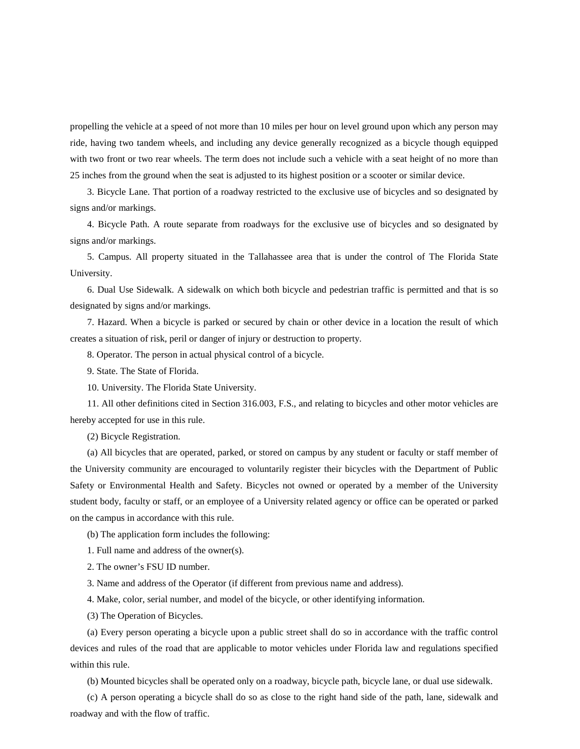propelling the vehicle at a speed of not more than 10 miles per hour on level ground upon which any person may ride, having two tandem wheels, and including any device generally recognized as a bicycle though equipped with two front or two rear wheels. The term does not include such a vehicle with a seat height of no more than 25 inches from the ground when the seat is adjusted to its highest position or a scooter or similar device.

3. Bicycle Lane. That portion of a roadway restricted to the exclusive use of bicycles and so designated by signs and/or markings.

4. Bicycle Path. A route separate from roadways for the exclusive use of bicycles and so designated by signs and/or markings.

5. Campus. All property situated in the Tallahassee area that is under the control of The Florida State University.

6. Dual Use Sidewalk. A sidewalk on which both bicycle and pedestrian traffic is permitted and that is so designated by signs and/or markings.

7. Hazard. When a bicycle is parked or secured by chain or other device in a location the result of which creates a situation of risk, peril or danger of injury or destruction to property.

8. Operator. The person in actual physical control of a bicycle.

9. State. The State of Florida.

10. University. The Florida State University.

11. All other definitions cited in Section 316.003, F.S., and relating to bicycles and other motor vehicles are hereby accepted for use in this rule.

(2) Bicycle Registration.

(a) All bicycles that are operated, parked, or stored on campus by any student or faculty or staff member of the University community are encouraged to voluntarily register their bicycles with the Department of Public Safety or Environmental Health and Safety. Bicycles not owned or operated by a member of the University student body, faculty or staff, or an employee of a University related agency or office can be operated or parked on the campus in accordance with this rule.

(b) The application form includes the following:

1. Full name and address of the owner(s).

2. The owner's FSU ID number.

3. Name and address of the Operator (if different from previous name and address).

4. Make, color, serial number, and model of the bicycle, or other identifying information.

(3) The Operation of Bicycles.

(a) Every person operating a bicycle upon a public street shall do so in accordance with the traffic control devices and rules of the road that are applicable to motor vehicles under Florida law and regulations specified within this rule.

(b) Mounted bicycles shall be operated only on a roadway, bicycle path, bicycle lane, or dual use sidewalk.

(c) A person operating a bicycle shall do so as close to the right hand side of the path, lane, sidewalk and roadway and with the flow of traffic.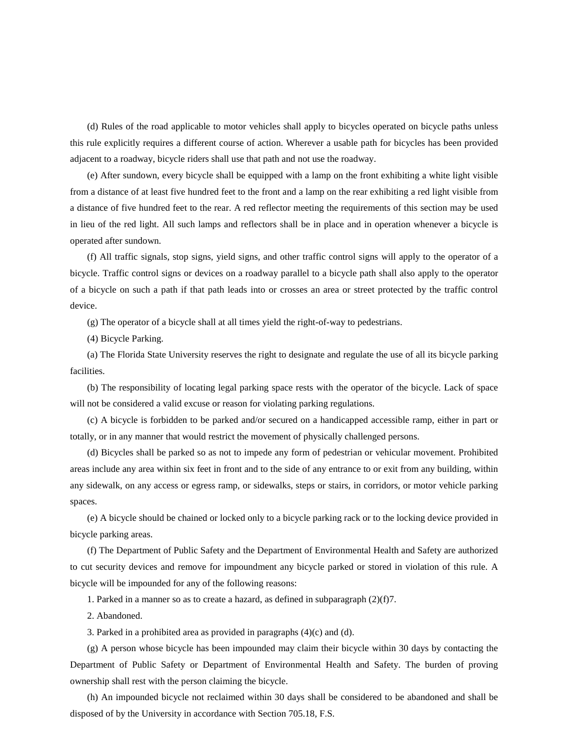(d) Rules of the road applicable to motor vehicles shall apply to bicycles operated on bicycle paths unless this rule explicitly requires a different course of action. Wherever a usable path for bicycles has been provided adjacent to a roadway, bicycle riders shall use that path and not use the roadway.

(e) After sundown, every bicycle shall be equipped with a lamp on the front exhibiting a white light visible from a distance of at least five hundred feet to the front and a lamp on the rear exhibiting a red light visible from a distance of five hundred feet to the rear. A red reflector meeting the requirements of this section may be used in lieu of the red light. All such lamps and reflectors shall be in place and in operation whenever a bicycle is operated after sundown.

(f) All traffic signals, stop signs, yield signs, and other traffic control signs will apply to the operator of a bicycle. Traffic control signs or devices on a roadway parallel to a bicycle path shall also apply to the operator of a bicycle on such a path if that path leads into or crosses an area or street protected by the traffic control device.

(g) The operator of a bicycle shall at all times yield the right-of-way to pedestrians.

(4) Bicycle Parking.

(a) The Florida State University reserves the right to designate and regulate the use of all its bicycle parking facilities.

(b) The responsibility of locating legal parking space rests with the operator of the bicycle. Lack of space will not be considered a valid excuse or reason for violating parking regulations.

(c) A bicycle is forbidden to be parked and/or secured on a handicapped accessible ramp, either in part or totally, or in any manner that would restrict the movement of physically challenged persons.

(d) Bicycles shall be parked so as not to impede any form of pedestrian or vehicular movement. Prohibited areas include any area within six feet in front and to the side of any entrance to or exit from any building, within any sidewalk, on any access or egress ramp, or sidewalks, steps or stairs, in corridors, or motor vehicle parking spaces.

(e) A bicycle should be chained or locked only to a bicycle parking rack or to the locking device provided in bicycle parking areas.

(f) The Department of Public Safety and the Department of Environmental Health and Safety are authorized to cut security devices and remove for impoundment any bicycle parked or stored in violation of this rule. A bicycle will be impounded for any of the following reasons:

1. Parked in a manner so as to create a hazard, as defined in subparagraph  $(2)(f)7$ .

2. Abandoned.

3. Parked in a prohibited area as provided in paragraphs (4)(c) and (d).

(g) A person whose bicycle has been impounded may claim their bicycle within 30 days by contacting the Department of Public Safety or Department of Environmental Health and Safety. The burden of proving ownership shall rest with the person claiming the bicycle.

(h) An impounded bicycle not reclaimed within 30 days shall be considered to be abandoned and shall be disposed of by the University in accordance with Section 705.18, F.S.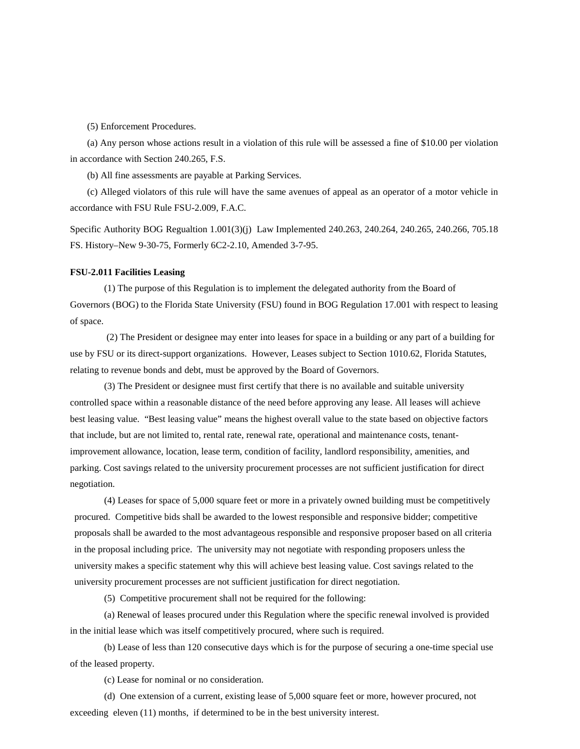(5) Enforcement Procedures.

(a) Any person whose actions result in a violation of this rule will be assessed a fine of \$10.00 per violation in accordance with Section 240.265, F.S.

(b) All fine assessments are payable at Parking Services.

(c) Alleged violators of this rule will have the same avenues of appeal as an operator of a motor vehicle in accordance with FSU Rule FSU-2.009, F.A.C.

Specific Authority BOG Regualtion 1.001(3)(j) Law Implemented 240.263, 240.264, 240.265, 240.266, 705.18 FS. History–New 9-30-75, Formerly 6C2-2.10, Amended 3-7-95.

#### <span id="page-28-0"></span>**FSU-2.011 Facilities Leasing**

(1) The purpose of this Regulation is to implement the delegated authority from the Board of Governors (BOG) to the Florida State University (FSU) found in BOG Regulation 17.001 with respect to leasing of space.

(2) The President or designee may enter into leases for space in a building or any part of a building for use by FSU or its direct-support organizations. However, Leases subject to Section 1010.62, Florida Statutes, relating to revenue bonds and debt, must be approved by the Board of Governors.

(3) The President or designee must first certify that there is no available and suitable university controlled space within a reasonable distance of the need before approving any lease. All leases will achieve best leasing value. "Best leasing value" means the highest overall value to the state based on objective factors that include, but are not limited to, rental rate, renewal rate, operational and maintenance costs, tenantimprovement allowance, location, lease term, condition of facility, landlord responsibility, amenities, and parking. Cost savings related to the university procurement processes are not sufficient justification for direct negotiation.

(4) Leases for space of 5,000 square feet or more in a privately owned building must be competitively procured. Competitive bids shall be awarded to the lowest responsible and responsive bidder; competitive proposals shall be awarded to the most advantageous responsible and responsive proposer based on all criteria in the proposal including price. The university may not negotiate with responding proposers unless the university makes a specific statement why this will achieve best leasing value. Cost savings related to the university procurement processes are not sufficient justification for direct negotiation.

(5) Competitive procurement shall not be required for the following:

(a) Renewal of leases procured under this Regulation where the specific renewal involved is provided in the initial lease which was itself competitively procured, where such is required.

(b) Lease of less than 120 consecutive days which is for the purpose of securing a one-time special use of the leased property.

(c) Lease for nominal or no consideration.

(d) One extension of a current, existing lease of 5,000 square feet or more, however procured, not exceeding eleven (11) months, if determined to be in the best university interest.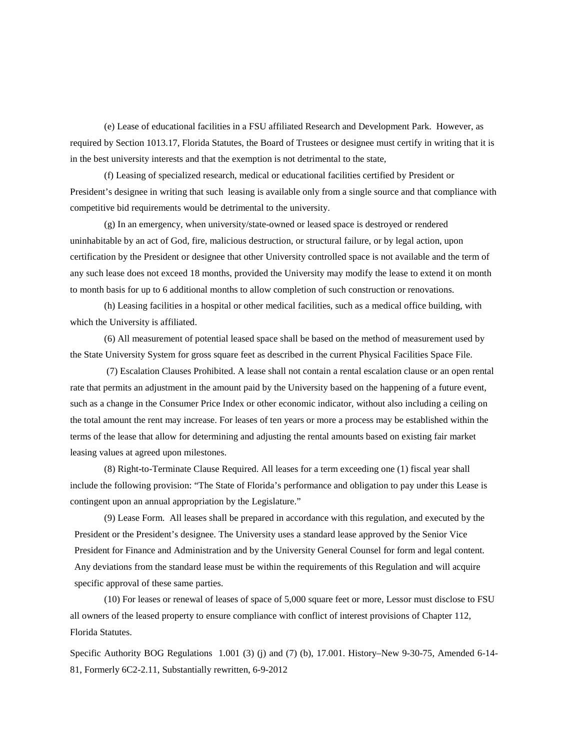(e) Lease of educational facilities in a FSU affiliated Research and Development Park. However, as required by Section 1013.17, Florida Statutes, the Board of Trustees or designee must certify in writing that it is in the best university interests and that the exemption is not detrimental to the state,

(f) Leasing of specialized research, medical or educational facilities certified by President or President's designee in writing that such leasing is available only from a single source and that compliance with competitive bid requirements would be detrimental to the university.

(g) In an emergency, when university/state-owned or leased space is destroyed or rendered uninhabitable by an act of God, fire, malicious destruction, or structural failure, or by legal action, upon certification by the President or designee that other University controlled space is not available and the term of any such lease does not exceed 18 months, provided the University may modify the lease to extend it on month to month basis for up to 6 additional months to allow completion of such construction or renovations.

(h) Leasing facilities in a hospital or other medical facilities, such as a medical office building, with which the University is affiliated.

(6) All measurement of potential leased space shall be based on the method of measurement used by the State University System for gross square feet as described in the current Physical Facilities Space File.

(7) Escalation Clauses Prohibited. A lease shall not contain a rental escalation clause or an open rental rate that permits an adjustment in the amount paid by the University based on the happening of a future event, such as a change in the Consumer Price Index or other economic indicator, without also including a ceiling on the total amount the rent may increase. For leases of ten years or more a process may be established within the terms of the lease that allow for determining and adjusting the rental amounts based on existing fair market leasing values at agreed upon milestones.

(8) Right-to-Terminate Clause Required. All leases for a term exceeding one (1) fiscal year shall include the following provision: "The State of Florida's performance and obligation to pay under this Lease is contingent upon an annual appropriation by the Legislature."

(9) Lease Form. All leases shall be prepared in accordance with this regulation, and executed by the President or the President's designee. The University uses a standard lease approved by the Senior Vice President for Finance and Administration and by the University General Counsel for form and legal content. Any deviations from the standard lease must be within the requirements of this Regulation and will acquire specific approval of these same parties.

(10) For leases or renewal of leases of space of 5,000 square feet or more, Lessor must disclose to FSU all owners of the leased property to ensure compliance with conflict of interest provisions of Chapter 112, Florida Statutes.

Specific Authority BOG Regulations 1.001 (3) (j) and (7) (b), 17.001. History–New 9-30-75, Amended 6-14-81, Formerly 6C2-2.11, Substantially rewritten, 6-9-2012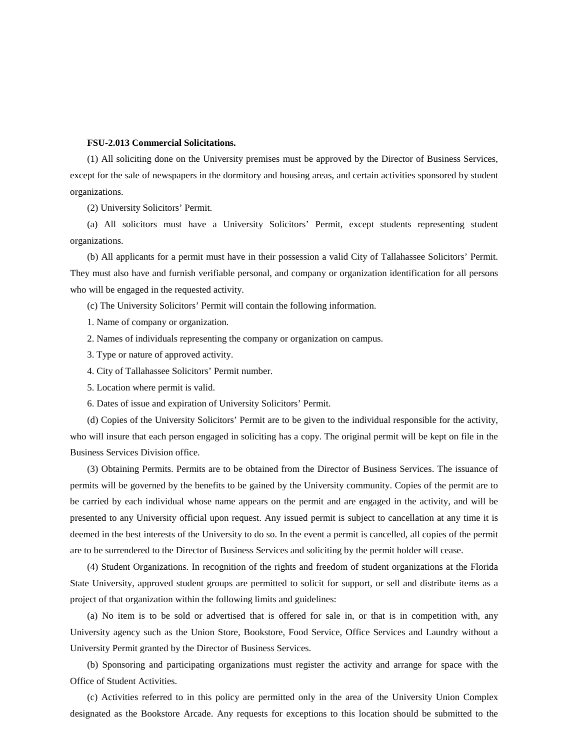## <span id="page-30-0"></span>**FSU-2.013 Commercial Solicitations.**

(1) All soliciting done on the University premises must be approved by the Director of Business Services, except for the sale of newspapers in the dormitory and housing areas, and certain activities sponsored by student organizations.

(2) University Solicitors' Permit.

(a) All solicitors must have a University Solicitors' Permit, except students representing student organizations.

(b) All applicants for a permit must have in their possession a valid City of Tallahassee Solicitors' Permit. They must also have and furnish verifiable personal, and company or organization identification for all persons who will be engaged in the requested activity.

(c) The University Solicitors' Permit will contain the following information.

- 1. Name of company or organization.
- 2. Names of individuals representing the company or organization on campus.
- 3. Type or nature of approved activity.
- 4. City of Tallahassee Solicitors' Permit number.
- 5. Location where permit is valid.
- 6. Dates of issue and expiration of University Solicitors' Permit.

(d) Copies of the University Solicitors' Permit are to be given to the individual responsible for the activity, who will insure that each person engaged in soliciting has a copy. The original permit will be kept on file in the Business Services Division office.

(3) Obtaining Permits. Permits are to be obtained from the Director of Business Services. The issuance of permits will be governed by the benefits to be gained by the University community. Copies of the permit are to be carried by each individual whose name appears on the permit and are engaged in the activity, and will be presented to any University official upon request. Any issued permit is subject to cancellation at any time it is deemed in the best interests of the University to do so. In the event a permit is cancelled, all copies of the permit are to be surrendered to the Director of Business Services and soliciting by the permit holder will cease.

(4) Student Organizations. In recognition of the rights and freedom of student organizations at the Florida State University, approved student groups are permitted to solicit for support, or sell and distribute items as a project of that organization within the following limits and guidelines:

(a) No item is to be sold or advertised that is offered for sale in, or that is in competition with, any University agency such as the Union Store, Bookstore, Food Service, Office Services and Laundry without a University Permit granted by the Director of Business Services.

(b) Sponsoring and participating organizations must register the activity and arrange for space with the Office of Student Activities.

(c) Activities referred to in this policy are permitted only in the area of the University Union Complex designated as the Bookstore Arcade. Any requests for exceptions to this location should be submitted to the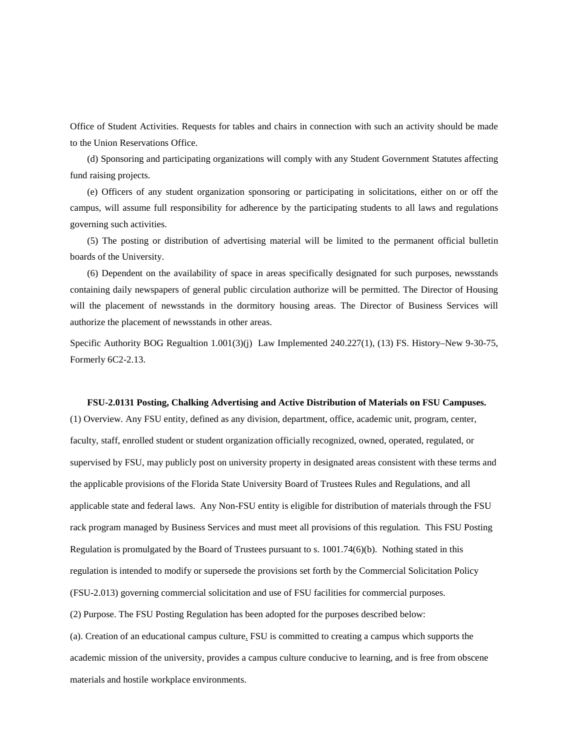Office of Student Activities. Requests for tables and chairs in connection with such an activity should be made to the Union Reservations Office.

(d) Sponsoring and participating organizations will comply with any Student Government Statutes affecting fund raising projects.

(e) Officers of any student organization sponsoring or participating in solicitations, either on or off the campus, will assume full responsibility for adherence by the participating students to all laws and regulations governing such activities.

(5) The posting or distribution of advertising material will be limited to the permanent official bulletin boards of the University.

(6) Dependent on the availability of space in areas specifically designated for such purposes, newsstands containing daily newspapers of general public circulation authorize will be permitted. The Director of Housing will the placement of newsstands in the dormitory housing areas. The Director of Business Services will authorize the placement of newsstands in other areas.

Specific Authority BOG Regualtion 1.001(3)(j) Law Implemented 240.227(1), (13) FS. History–New 9-30-75, Formerly 6C2-2.13.

#### <span id="page-31-0"></span>**FSU-2.0131 Posting, Chalking Advertising and Active Distribution of Materials on FSU Campuses.**

(1) Overview. Any FSU entity, defined as any division, department, office, academic unit, program, center, faculty, staff, enrolled student or student organization officially recognized, owned, operated, regulated, or supervised by FSU, may publicly post on university property in designated areas consistent with these terms and the applicable provisions of the Florida State University Board of Trustees Rules and Regulations, and all applicable state and federal laws. Any Non-FSU entity is eligible for distribution of materials through the FSU rack program managed by Business Services and must meet all provisions of this regulation. This FSU Posting Regulation is promulgated by the Board of Trustees pursuant to s. 1001.74(6)(b). Nothing stated in this regulation is intended to modify or supersede the provisions set forth by the Commercial Solicitation Policy (FSU-2.013) governing commercial solicitation and use of FSU facilities for commercial purposes. (2) Purpose. The FSU Posting Regulation has been adopted for the purposes described below: (a). Creation of an educational campus culture. FSU is committed to creating a campus which supports the

academic mission of the university, provides a campus culture conducive to learning, and is free from obscene materials and hostile workplace environments.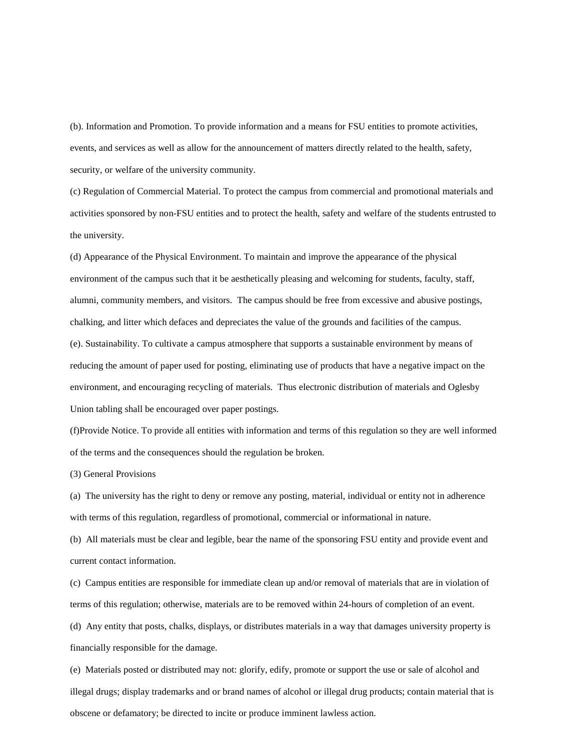(b). Information and Promotion. To provide information and a means for FSU entities to promote activities, events, and services as well as allow for the announcement of matters directly related to the health, safety, security, or welfare of the university community.

(c) Regulation of Commercial Material. To protect the campus from commercial and promotional materials and activities sponsored by non-FSU entities and to protect the health, safety and welfare of the students entrusted to the university.

(d) Appearance of the Physical Environment. To maintain and improve the appearance of the physical environment of the campus such that it be aesthetically pleasing and welcoming for students, faculty, staff, alumni, community members, and visitors. The campus should be free from excessive and abusive postings, chalking, and litter which defaces and depreciates the value of the grounds and facilities of the campus. (e). Sustainability. To cultivate a campus atmosphere that supports a sustainable environment by means of reducing the amount of paper used for posting, eliminating use of products that have a negative impact on the environment, and encouraging recycling of materials. Thus electronic distribution of materials and Oglesby Union tabling shall be encouraged over paper postings.

(f)Provide Notice. To provide all entities with information and terms of this regulation so they are well informed of the terms and the consequences should the regulation be broken.

(3) General Provisions

(a) The university has the right to deny or remove any posting, material, individual or entity not in adherence with terms of this regulation, regardless of promotional, commercial or informational in nature.

(b) All materials must be clear and legible, bear the name of the sponsoring FSU entity and provide event and current contact information.

(c) Campus entities are responsible for immediate clean up and/or removal of materials that are in violation of terms of this regulation; otherwise, materials are to be removed within 24-hours of completion of an event.

(d) Any entity that posts, chalks, displays, or distributes materials in a way that damages university property is financially responsible for the damage.

(e) Materials posted or distributed may not: glorify, edify, promote or support the use or sale of alcohol and illegal drugs; display trademarks and or brand names of alcohol or illegal drug products; contain material that is obscene or defamatory; be directed to incite or produce imminent lawless action.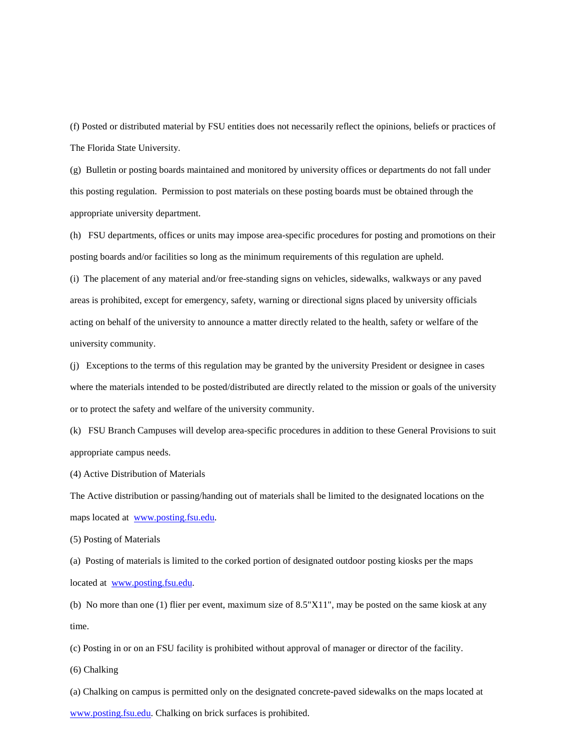(f) Posted or distributed material by FSU entities does not necessarily reflect the opinions, beliefs or practices of The Florida State University.

(g) Bulletin or posting boards maintained and monitored by university offices or departments do not fall under this posting regulation. Permission to post materials on these posting boards must be obtained through the appropriate university department.

(h) FSU departments, offices or units may impose area-specific procedures for posting and promotions on their posting boards and/or facilities so long as the minimum requirements of this regulation are upheld.

(i) The placement of any material and/or free-standing signs on vehicles, sidewalks, walkways or any paved areas is prohibited, except for emergency, safety, warning or directional signs placed by university officials acting on behalf of the university to announce a matter directly related to the health, safety or welfare of the university community.

(j) Exceptions to the terms of this regulation may be granted by the university President or designee in cases where the materials intended to be posted/distributed are directly related to the mission or goals of the university or to protect the safety and welfare of the university community.

(k) FSU Branch Campuses will develop area-specific procedures in addition to these General Provisions to suit appropriate campus needs.

(4) Active Distribution of Materials

The Active distribution or passing/handing out of materials shall be limited to the designated locations on the maps located at [www.posting.fsu.edu.](http://www.posting.fsu.edu/)

(5) Posting of Materials

(a) Posting of materials is limited to the corked portion of designated outdoor posting kiosks per the maps located at [www.posting.fsu.edu.](http://www.posting.fsu.edu/)

(b) No more than one (1) flier per event, maximum size of 8.5"X11", may be posted on the same kiosk at any time.

(c) Posting in or on an FSU facility is prohibited without approval of manager or director of the facility.

(6) Chalking

(a) Chalking on campus is permitted only on the designated concrete-paved sidewalks on the maps located at

[www.posting.fsu.edu.](http://www.posting.fsu.edu/) Chalking on brick surfaces is prohibited.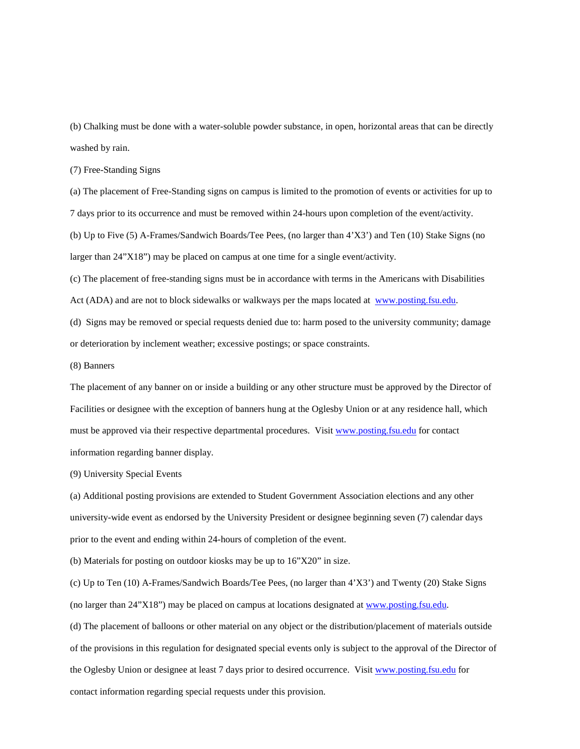(b) Chalking must be done with a water-soluble powder substance, in open, horizontal areas that can be directly washed by rain.

(7) Free-Standing Signs

(a) The placement of Free-Standing signs on campus is limited to the promotion of events or activities for up to 7 days prior to its occurrence and must be removed within 24-hours upon completion of the event/activity. (b) Up to Five (5) A-Frames/Sandwich Boards/Tee Pees, (no larger than 4'X3') and Ten (10) Stake Signs (no larger than 24"X18") may be placed on campus at one time for a single event/activity.

(c) The placement of free-standing signs must be in accordance with terms in the Americans with Disabilities Act (ADA) and are not to block sidewalks or walkways per the maps located at [www.posting.fsu.edu.](http://www.posting.fsu.edu/)

(d) Signs may be removed or special requests denied due to: harm posed to the university community; damage or deterioration by inclement weather; excessive postings; or space constraints.

(8) Banners

The placement of any banner on or inside a building or any other structure must be approved by the Director of Facilities or designee with the exception of banners hung at the Oglesby Union or at any residence hall, which must be approved via their respective departmental procedures. Visit [www.posting.fsu.edu](http://www.posting.fsu.edu/) for contact information regarding banner display.

(9) University Special Events

(a) Additional posting provisions are extended to Student Government Association elections and any other university-wide event as endorsed by the University President or designee beginning seven (7) calendar days prior to the event and ending within 24-hours of completion of the event.

(b) Materials for posting on outdoor kiosks may be up to 16"X20" in size.

(c) Up to Ten (10) A-Frames/Sandwich Boards/Tee Pees, (no larger than 4'X3') and Twenty (20) Stake Signs (no larger than 24"X18") may be placed on campus at locations designated at [www.posting.fsu.edu.](http://www.posting.fsu.edu/)

(d) The placement of balloons or other material on any object or the distribution/placement of materials outside of the provisions in this regulation for designated special events only is subject to the approval of the Director of the Oglesby Union or designee at least 7 days prior to desired occurrence. Visit [www.posting.fsu.edu](http://www.posting.fsu.edu/) for contact information regarding special requests under this provision.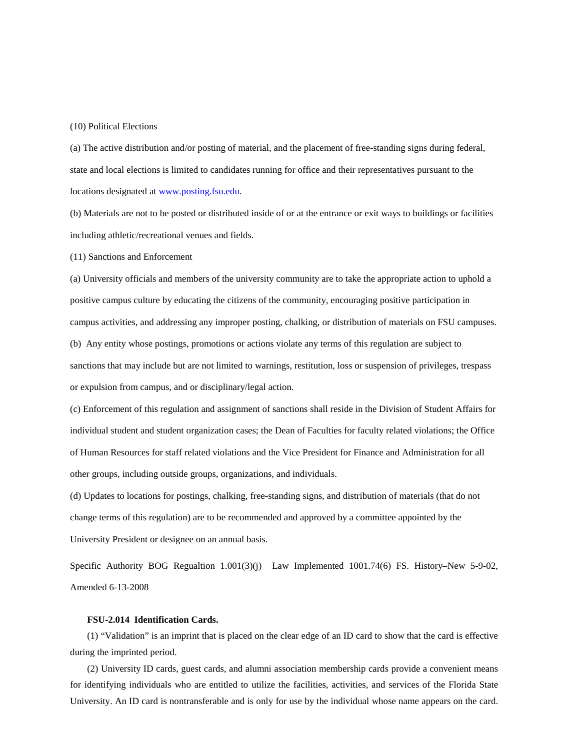#### (10) Political Elections

(a) The active distribution and/or posting of material, and the placement of free-standing signs during federal, state and local elections is limited to candidates running for office and their representatives pursuant to the locations designated a[t www.posting.fsu.edu.](http://www.posting.fsu.edu/)

(b) Materials are not to be posted or distributed inside of or at the entrance or exit ways to buildings or facilities including athletic/recreational venues and fields.

(11) Sanctions and Enforcement

(a) University officials and members of the university community are to take the appropriate action to uphold a positive campus culture by educating the citizens of the community, encouraging positive participation in campus activities, and addressing any improper posting, chalking, or distribution of materials on FSU campuses. (b) Any entity whose postings, promotions or actions violate any terms of this regulation are subject to sanctions that may include but are not limited to warnings, restitution, loss or suspension of privileges, trespass or expulsion from campus, and or disciplinary/legal action.

(c) Enforcement of this regulation and assignment of sanctions shall reside in the Division of Student Affairs for individual student and student organization cases; the Dean of Faculties for faculty related violations; the Office of Human Resources for staff related violations and the Vice President for Finance and Administration for all other groups, including outside groups, organizations, and individuals.

(d) Updates to locations for postings, chalking, free-standing signs, and distribution of materials (that do not change terms of this regulation) are to be recommended and approved by a committee appointed by the University President or designee on an annual basis.

Specific Authority BOG Regualtion 1.001(3)(j) Law Implemented 1001.74(6) FS. History–New 5-9-02, Amended 6-13-2008

# **FSU-2.014 Identification Cards.**

<span id="page-35-0"></span>(1) "Validation" is an imprint that is placed on the clear edge of an ID card to show that the card is effective during the imprinted period.

(2) University ID cards, guest cards, and alumni association membership cards provide a convenient means for identifying individuals who are entitled to utilize the facilities, activities, and services of the Florida State University. An ID card is nontransferable and is only for use by the individual whose name appears on the card.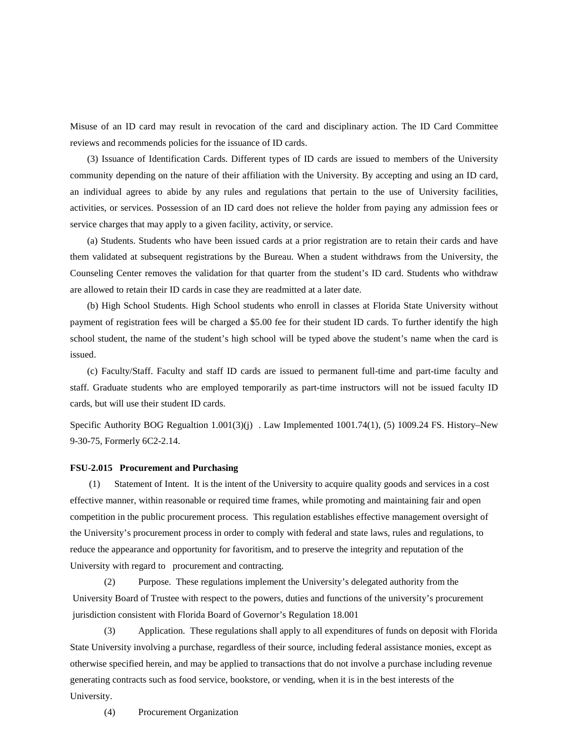Misuse of an ID card may result in revocation of the card and disciplinary action. The ID Card Committee reviews and recommends policies for the issuance of ID cards.

(3) Issuance of Identification Cards. Different types of ID cards are issued to members of the University community depending on the nature of their affiliation with the University. By accepting and using an ID card, an individual agrees to abide by any rules and regulations that pertain to the use of University facilities, activities, or services. Possession of an ID card does not relieve the holder from paying any admission fees or service charges that may apply to a given facility, activity, or service.

(a) Students. Students who have been issued cards at a prior registration are to retain their cards and have them validated at subsequent registrations by the Bureau. When a student withdraws from the University, the Counseling Center removes the validation for that quarter from the student's ID card. Students who withdraw are allowed to retain their ID cards in case they are readmitted at a later date.

(b) High School Students. High School students who enroll in classes at Florida State University without payment of registration fees will be charged a \$5.00 fee for their student ID cards. To further identify the high school student, the name of the student's high school will be typed above the student's name when the card is issued.

(c) Faculty/Staff. Faculty and staff ID cards are issued to permanent full-time and part-time faculty and staff. Graduate students who are employed temporarily as part-time instructors will not be issued faculty ID cards, but will use their student ID cards.

Specific Authority BOG Regualtion 1.001(3)(j) . Law Implemented 1001.74(1), (5) 1009.24 FS. History–New 9-30-75, Formerly 6C2-2.14.

#### **FSU-2.015 Procurement and Purchasing**

 (1) Statement of Intent. It is the intent of the University to acquire quality goods and services in a cost effective manner, within reasonable or required time frames, while promoting and maintaining fair and open competition in the public procurement process. This regulation establishes effective management oversight of the University's procurement process in order to comply with federal and state laws, rules and regulations, to reduce the appearance and opportunity for favoritism, and to preserve the integrity and reputation of the University with regard to procurement and contracting.

(2) Purpose. These regulations implement the University's delegated authority from the University Board of Trustee with respect to the powers, duties and functions of the university's procurement jurisdiction consistent with Florida Board of Governor's Regulation 18.001

(3) Application. These regulations shall apply to all expenditures of funds on deposit with Florida State University involving a purchase, regardless of their source, including federal assistance monies, except as otherwise specified herein, and may be applied to transactions that do not involve a purchase including revenue generating contracts such as food service, bookstore, or vending, when it is in the best interests of the University.

(4) Procurement Organization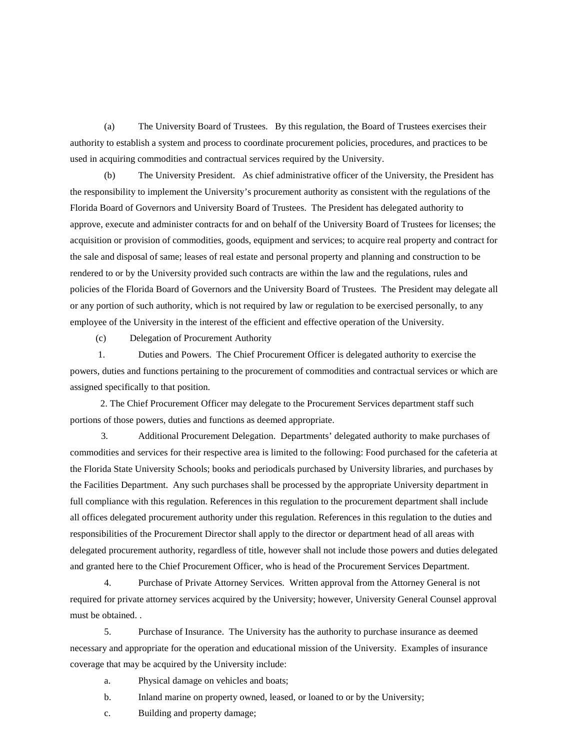(a) The University Board of Trustees. By this regulation, the Board of Trustees exercises their authority to establish a system and process to coordinate procurement policies, procedures, and practices to be used in acquiring commodities and contractual services required by the University.

(b) The University President. As chief administrative officer of the University, the President has the responsibility to implement the University's procurement authority as consistent with the regulations of the Florida Board of Governors and University Board of Trustees. The President has delegated authority to approve, execute and administer contracts for and on behalf of the University Board of Trustees for licenses; the acquisition or provision of commodities, goods, equipment and services; to acquire real property and contract for the sale and disposal of same; leases of real estate and personal property and planning and construction to be rendered to or by the University provided such contracts are within the law and the regulations, rules and policies of the Florida Board of Governors and the University Board of Trustees. The President may delegate all or any portion of such authority, which is not required by law or regulation to be exercised personally, to any employee of the University in the interest of the efficient and effective operation of the University.

(c) Delegation of Procurement Authority

1. Duties and Powers. The Chief Procurement Officer is delegated authority to exercise the powers, duties and functions pertaining to the procurement of commodities and contractual services or which are assigned specifically to that position.

 2. The Chief Procurement Officer may delegate to the Procurement Services department staff such portions of those powers, duties and functions as deemed appropriate.

 3. Additional Procurement Delegation. Departments' delegated authority to make purchases of commodities and services for their respective area is limited to the following: Food purchased for the cafeteria at the Florida State University Schools; books and periodicals purchased by University libraries, and purchases by the Facilities Department. Any such purchases shall be processed by the appropriate University department in full compliance with this regulation. References in this regulation to the procurement department shall include all offices delegated procurement authority under this regulation. References in this regulation to the duties and responsibilities of the Procurement Director shall apply to the director or department head of all areas with delegated procurement authority, regardless of title, however shall not include those powers and duties delegated and granted here to the Chief Procurement Officer, who is head of the Procurement Services Department.

 4. Purchase of Private Attorney Services. Written approval from the Attorney General is not required for private attorney services acquired by the University; however, University General Counsel approval must be obtained. .

5. Purchase of Insurance. The University has the authority to purchase insurance as deemed necessary and appropriate for the operation and educational mission of the University. Examples of insurance coverage that may be acquired by the University include:

- a. Physical damage on vehicles and boats;
- b. Inland marine on property owned, leased, or loaned to or by the University;
- c. Building and property damage;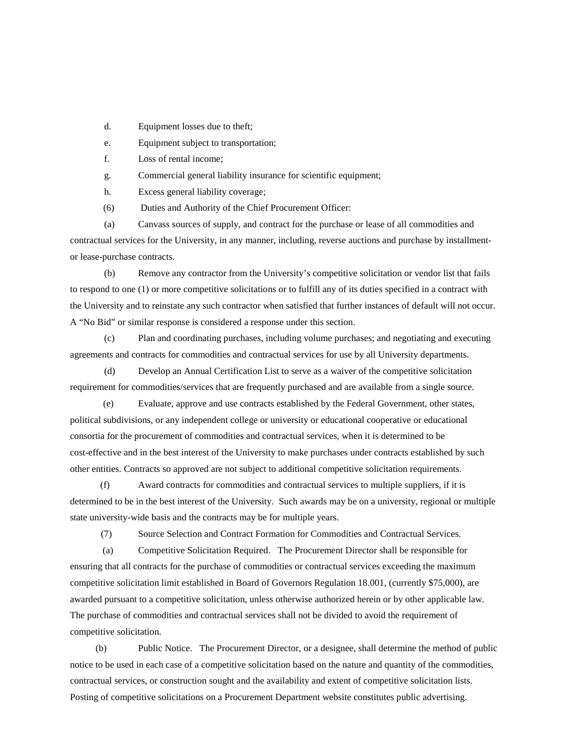- d. Equipment losses due to theft;
- e. Equipment subject to transportation;
- f. Loss of rental income;
- g. Commercial general liability insurance for scientific equipment;
- h. Excess general liability coverage;
- (6) Duties and Authority of the Chief Procurement Officer:

(a) Canvass sources of supply, and contract for the purchase or lease of all commodities and contractual services for the University, in any manner, including, reverse auctions and purchase by installmentor lease-purchase contracts.

(b) Remove any contractor from the University's competitive solicitation or vendor list that fails to respond to one (1) or more competitive solicitations or to fulfill any of its duties specified in a contract with the University and to reinstate any such contractor when satisfied that further instances of default will not occur. A "No Bid" or similar response is considered a response under this section.

(c) Plan and coordinating purchases, including volume purchases; and negotiating and executing agreements and contracts for commodities and contractual services for use by all University departments.

(d) Develop an Annual Certification List to serve as a waiver of the competitive solicitation requirement for commodities/services that are frequently purchased and are available from a single source.

 (e) Evaluate, approve and use contracts established by the Federal Government, other states, political subdivisions, or any independent college or university or educational cooperative or educational consortia for the procurement of commodities and contractual services, when it is determined to be cost-effective and in the best interest of the University to make purchases under contracts established by such other entities. Contracts so approved are not subject to additional competitive solicitation requirements.

 (f) Award contracts for commodities and contractual services to multiple suppliers, if it is determined to be in the best interest of the University. Such awards may be on a university, regional or multiple state university-wide basis and the contracts may be for multiple years.

(7) Source Selection and Contract Formation for Commodities and Contractual Services.

 (a) Competitive Solicitation Required. The Procurement Director shall be responsible for ensuring that all contracts for the purchase of commodities or contractual services exceeding the maximum competitive solicitation limit established in Board of Governors Regulation 18.001, (currently \$75,000), are awarded pursuant to a competitive solicitation, unless otherwise authorized herein or by other applicable law. The purchase of commodities and contractual services shall not be divided to avoid the requirement of competitive solicitation.

(b) Public Notice. The Procurement Director, or a designee, shall determine the method of public notice to be used in each case of a competitive solicitation based on the nature and quantity of the commodities, contractual services, or construction sought and the availability and extent of competitive solicitation lists. Posting of competitive solicitations on a Procurement Department website constitutes public advertising.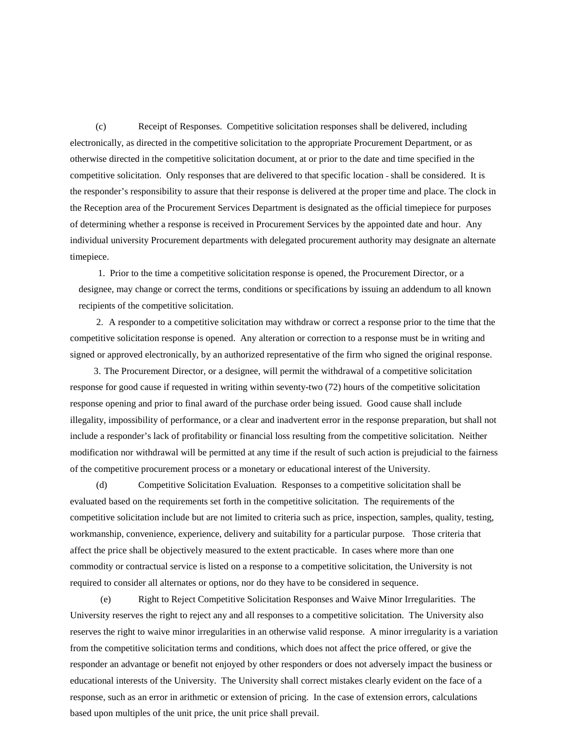(c) Receipt of Responses. Competitive solicitation responses shall be delivered, including electronically, as directed in the competitive solicitation to the appropriate Procurement Department, or as otherwise directed in the competitive solicitation document, at or prior to the date and time specified in the competitive solicitation. Only responses that are delivered to that specific location shall be considered. It is the responder's responsibility to assure that their response is delivered at the proper time and place. The clock in the Reception area of the Procurement Services Department is designated as the official timepiece for purposes of determining whether a response is received in Procurement Services by the appointed date and hour. Any individual university Procurement departments with delegated procurement authority may designate an alternate timepiece.

1. Prior to the time a competitive solicitation response is opened, the Procurement Director, or a designee, may change or correct the terms, conditions or specifications by issuing an addendum to all known recipients of the competitive solicitation.

 2. A responder to a competitive solicitation may withdraw or correct a response prior to the time that the competitive solicitation response is opened. Any alteration or correction to a response must be in writing and signed or approved electronically, by an authorized representative of the firm who signed the original response.

 3. The Procurement Director, or a designee, will permit the withdrawal of a competitive solicitation response for good cause if requested in writing within seventy-two (72) hours of the competitive solicitation response opening and prior to final award of the purchase order being issued. Good cause shall include illegality, impossibility of performance, or a clear and inadvertent error in the response preparation, but shall not include a responder's lack of profitability or financial loss resulting from the competitive solicitation. Neither modification nor withdrawal will be permitted at any time if the result of such action is prejudicial to the fairness of the competitive procurement process or a monetary or educational interest of the University.

 (d) Competitive Solicitation Evaluation. Responses to a competitive solicitation shall be evaluated based on the requirements set forth in the competitive solicitation. The requirements of the competitive solicitation include but are not limited to criteria such as price, inspection, samples, quality, testing, workmanship, convenience, experience, delivery and suitability for a particular purpose. Those criteria that affect the price shall be objectively measured to the extent practicable. In cases where more than one commodity or contractual service is listed on a response to a competitive solicitation, the University is not required to consider all alternates or options, nor do they have to be considered in sequence.

 (e) Right to Reject Competitive Solicitation Responses and Waive Minor Irregularities. The University reserves the right to reject any and all responses to a competitive solicitation. The University also reserves the right to waive minor irregularities in an otherwise valid response. A minor irregularity is a variation from the competitive solicitation terms and conditions, which does not affect the price offered, or give the responder an advantage or benefit not enjoyed by other responders or does not adversely impact the business or educational interests of the University. The University shall correct mistakes clearly evident on the face of a response, such as an error in arithmetic or extension of pricing. In the case of extension errors, calculations based upon multiples of the unit price, the unit price shall prevail.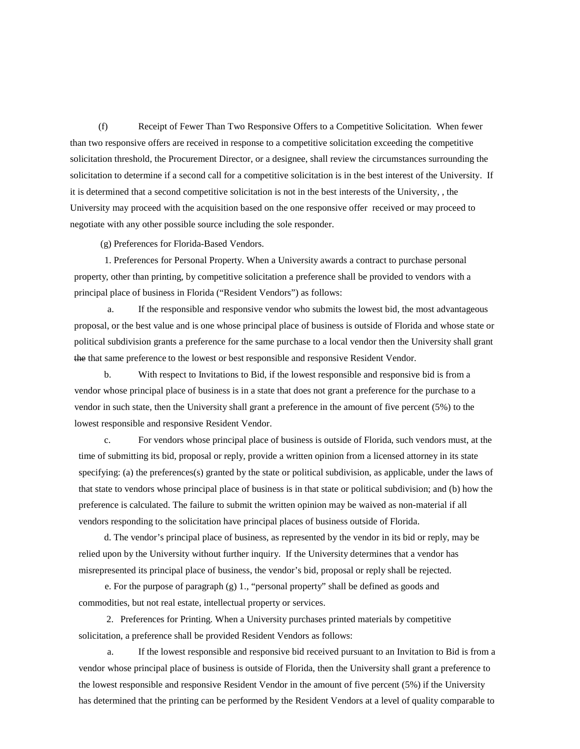(f) Receipt of Fewer Than Two Responsive Offers to a Competitive Solicitation. When fewer than two responsive offers are received in response to a competitive solicitation exceeding the competitive solicitation threshold, the Procurement Director, or a designee, shall review the circumstances surrounding the solicitation to determine if a second call for a competitive solicitation is in the best interest of the University. If it is determined that a second competitive solicitation is not in the best interests of the University, , the University may proceed with the acquisition based on the one responsive offer received or may proceed to negotiate with any other possible source including the sole responder.

(g) Preferences for Florida-Based Vendors.

 1. Preferences for Personal Property. When a University awards a contract to purchase personal property, other than printing, by competitive solicitation a preference shall be provided to vendors with a principal place of business in Florida ("Resident Vendors") as follows:

 a. If the responsible and responsive vendor who submits the lowest bid, the most advantageous proposal, or the best value and is one whose principal place of business is outside of Florida and whose state or political subdivision grants a preference for the same purchase to a local vendor then the University shall grant the that same preference to the lowest or best responsible and responsive Resident Vendor.

b. With respect to Invitations to Bid, if the lowest responsible and responsive bid is from a vendor whose principal place of business is in a state that does not grant a preference for the purchase to a vendor in such state, then the University shall grant a preference in the amount of five percent (5%) to the lowest responsible and responsive Resident Vendor.

c. For vendors whose principal place of business is outside of Florida, such vendors must, at the time of submitting its bid, proposal or reply, provide a written opinion from a licensed attorney in its state specifying: (a) the preferences(s) granted by the state or political subdivision, as applicable, under the laws of that state to vendors whose principal place of business is in that state or political subdivision; and (b) how the preference is calculated. The failure to submit the written opinion may be waived as non-material if all vendors responding to the solicitation have principal places of business outside of Florida.

d. The vendor's principal place of business, as represented by the vendor in its bid or reply, may be relied upon by the University without further inquiry. If the University determines that a vendor has misrepresented its principal place of business, the vendor's bid, proposal or reply shall be rejected.

 e. For the purpose of paragraph (g) 1., "personal property" shall be defined as goods and commodities, but not real estate, intellectual property or services.

 2. Preferences for Printing. When a University purchases printed materials by competitive solicitation, a preference shall be provided Resident Vendors as follows:

If the lowest responsible and responsive bid received pursuant to an Invitation to Bid is from a vendor whose principal place of business is outside of Florida, then the University shall grant a preference to the lowest responsible and responsive Resident Vendor in the amount of five percent (5%) if the University has determined that the printing can be performed by the Resident Vendors at a level of quality comparable to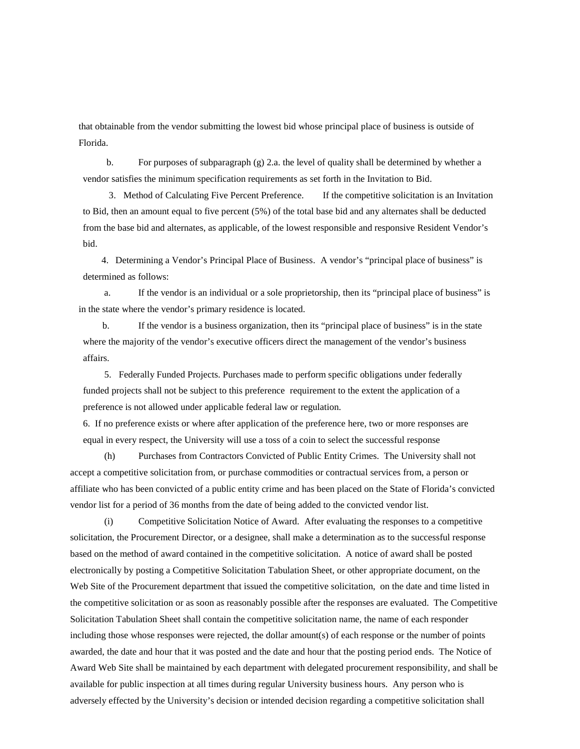that obtainable from the vendor submitting the lowest bid whose principal place of business is outside of Florida.

b. For purposes of subparagraph  $(g)$  2.a. the level of quality shall be determined by whether a vendor satisfies the minimum specification requirements as set forth in the Invitation to Bid.

 3. Method of Calculating Five Percent Preference. If the competitive solicitation is an Invitation to Bid, then an amount equal to five percent (5%) of the total base bid and any alternates shall be deducted from the base bid and alternates, as applicable, of the lowest responsible and responsive Resident Vendor's bid.

 4. Determining a Vendor's Principal Place of Business. A vendor's "principal place of business" is determined as follows:

a. If the vendor is an individual or a sole proprietorship, then its "principal place of business" is in the state where the vendor's primary residence is located.

b. If the vendor is a business organization, then its "principal place of business" is in the state where the majority of the vendor's executive officers direct the management of the vendor's business affairs.

5. Federally Funded Projects. Purchases made to perform specific obligations under federally funded projects shall not be subject to this preference requirement to the extent the application of a preference is not allowed under applicable federal law or regulation.

6. If no preference exists or where after application of the preference here, two or more responses are equal in every respect, the University will use a toss of a coin to select the successful response

(h) Purchases from Contractors Convicted of Public Entity Crimes. The University shall not accept a competitive solicitation from, or purchase commodities or contractual services from, a person or affiliate who has been convicted of a public entity crime and has been placed on the State of Florida's convicted vendor list for a period of 36 months from the date of being added to the convicted vendor list.

(i) Competitive Solicitation Notice of Award. After evaluating the responses to a competitive solicitation, the Procurement Director, or a designee, shall make a determination as to the successful response based on the method of award contained in the competitive solicitation. A notice of award shall be posted electronically by posting a Competitive Solicitation Tabulation Sheet, or other appropriate document, on the Web Site of the Procurement department that issued the competitive solicitation, on the date and time listed in the competitive solicitation or as soon as reasonably possible after the responses are evaluated. The Competitive Solicitation Tabulation Sheet shall contain the competitive solicitation name, the name of each responder including those whose responses were rejected, the dollar amount(s) of each response or the number of points awarded, the date and hour that it was posted and the date and hour that the posting period ends. The Notice of Award Web Site shall be maintained by each department with delegated procurement responsibility, and shall be available for public inspection at all times during regular University business hours. Any person who is adversely effected by the University's decision or intended decision regarding a competitive solicitation shall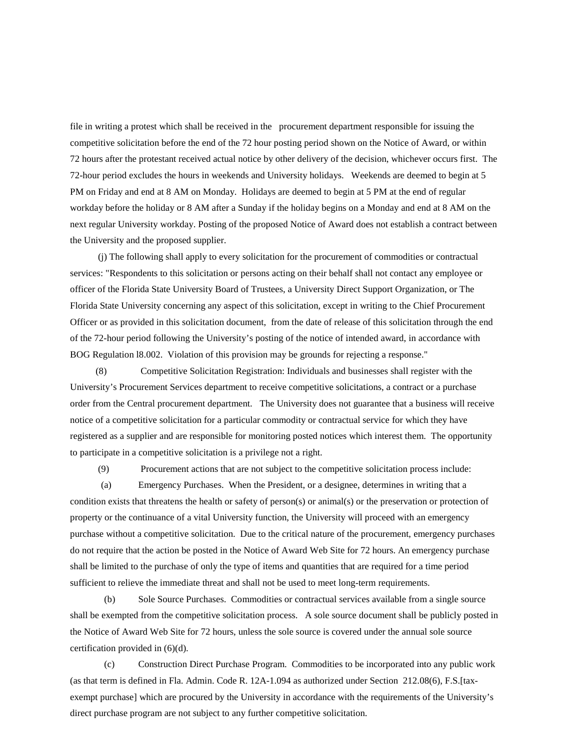file in writing a protest which shall be received in the procurement department responsible for issuing the competitive solicitation before the end of the 72 hour posting period shown on the Notice of Award, or within 72 hours after the protestant received actual notice by other delivery of the decision, whichever occurs first. The 72-hour period excludes the hours in weekends and University holidays. Weekends are deemed to begin at 5 PM on Friday and end at 8 AM on Monday. Holidays are deemed to begin at 5 PM at the end of regular workday before the holiday or 8 AM after a Sunday if the holiday begins on a Monday and end at 8 AM on the next regular University workday. Posting of the proposed Notice of Award does not establish a contract between the University and the proposed supplier.

(j) The following shall apply to every solicitation for the procurement of commodities or contractual services: "Respondents to this solicitation or persons acting on their behalf shall not contact any employee or officer of the Florida State University Board of Trustees, a University Direct Support Organization, or The Florida State University concerning any aspect of this solicitation, except in writing to the Chief Procurement Officer or as provided in this solicitation document, from the date of release of this solicitation through the end of the 72-hour period following the University's posting of the notice of intended award, in accordance with BOG Regulation l8.002. Violation of this provision may be grounds for rejecting a response."

(8) Competitive Solicitation Registration: Individuals and businesses shall register with the University's Procurement Services department to receive competitive solicitations, a contract or a purchase order from the Central procurement department. The University does not guarantee that a business will receive notice of a competitive solicitation for a particular commodity or contractual service for which they have registered as a supplier and are responsible for monitoring posted notices which interest them. The opportunity to participate in a competitive solicitation is a privilege not a right.

(9) Procurement actions that are not subject to the competitive solicitation process include:

 (a) Emergency Purchases. When the President, or a designee, determines in writing that a condition exists that threatens the health or safety of person(s) or animal(s) or the preservation or protection of property or the continuance of a vital University function, the University will proceed with an emergency purchase without a competitive solicitation. Due to the critical nature of the procurement, emergency purchases do not require that the action be posted in the Notice of Award Web Site for 72 hours. An emergency purchase shall be limited to the purchase of only the type of items and quantities that are required for a time period sufficient to relieve the immediate threat and shall not be used to meet long-term requirements.

(b) Sole Source Purchases. Commodities or contractual services available from a single source shall be exempted from the competitive solicitation process. A sole source document shall be publicly posted in the Notice of Award Web Site for 72 hours, unless the sole source is covered under the annual sole source certification provided in (6)(d).

(c) Construction Direct Purchase Program. Commodities to be incorporated into any public work (as that term is defined in Fla. Admin. Code R. 12A-1.094 as authorized under Section 212.08(6), F.S.[taxexempt purchase] which are procured by the University in accordance with the requirements of the University's direct purchase program are not subject to any further competitive solicitation.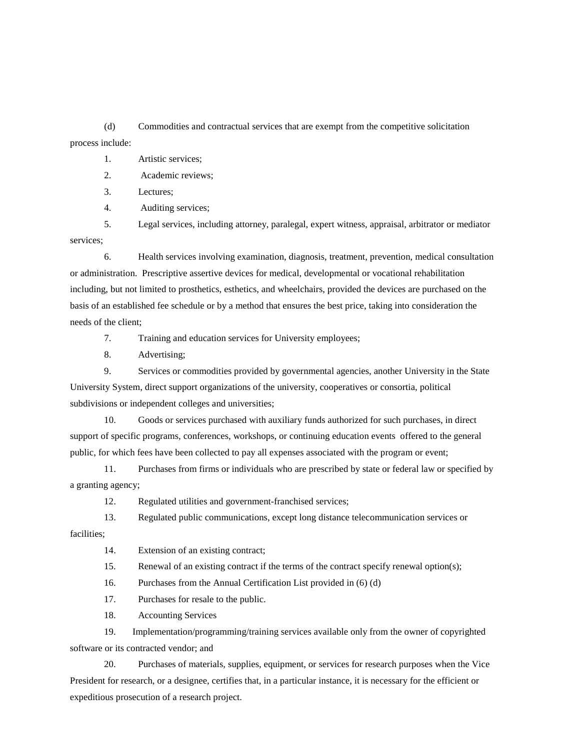(d) Commodities and contractual services that are exempt from the competitive solicitation process include:

#### 1. Artistic services;

2. Academic reviews;

3. Lectures;

4. Auditing services;

5. Legal services, including attorney, paralegal, expert witness, appraisal, arbitrator or mediator services;

6. Health services involving examination, diagnosis, treatment, prevention, medical consultation or administration. Prescriptive assertive devices for medical, developmental or vocational rehabilitation including, but not limited to prosthetics, esthetics, and wheelchairs, provided the devices are purchased on the basis of an established fee schedule or by a method that ensures the best price, taking into consideration the needs of the client;

7. Training and education services for University employees;

8. Advertising;

9. Services or commodities provided by governmental agencies, another University in the State University System, direct support organizations of the university, cooperatives or consortia, political subdivisions or independent colleges and universities;

10. Goods or services purchased with auxiliary funds authorized for such purchases, in direct support of specific programs, conferences, workshops, or continuing education events offered to the general public, for which fees have been collected to pay all expenses associated with the program or event;

11. Purchases from firms or individuals who are prescribed by state or federal law or specified by a granting agency;

12. Regulated utilities and government-franchised services;

13. Regulated public communications, except long distance telecommunication services or

facilities;

14. Extension of an existing contract;

15. Renewal of an existing contract if the terms of the contract specify renewal option(s);

16. Purchases from the Annual Certification List provided in (6) (d)

17. Purchases for resale to the public.

18. Accounting Services

19. Implementation/programming/training services available only from the owner of copyrighted software or its contracted vendor; and

20. Purchases of materials, supplies, equipment, or services for research purposes when the Vice President for research, or a designee, certifies that, in a particular instance, it is necessary for the efficient or expeditious prosecution of a research project.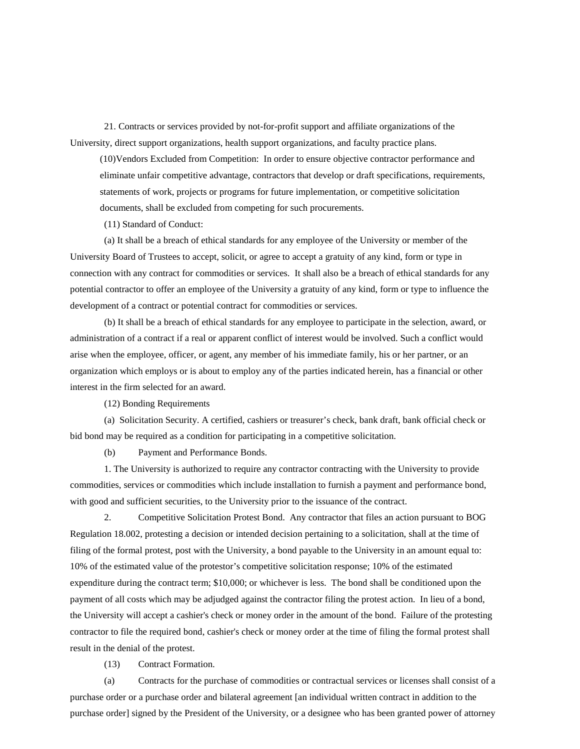21. Contracts or services provided by not-for-profit support and affiliate organizations of the University, direct support organizations, health support organizations, and faculty practice plans.

(10)Vendors Excluded from Competition: In order to ensure objective contractor performance and eliminate unfair competitive advantage, contractors that develop or draft specifications, requirements, statements of work, projects or programs for future implementation, or competitive solicitation documents, shall be excluded from competing for such procurements.

(11) Standard of Conduct:

(a) It shall be a breach of ethical standards for any employee of the University or member of the University Board of Trustees to accept, solicit, or agree to accept a gratuity of any kind, form or type in connection with any contract for commodities or services. It shall also be a breach of ethical standards for any potential contractor to offer an employee of the University a gratuity of any kind, form or type to influence the development of a contract or potential contract for commodities or services.

(b) It shall be a breach of ethical standards for any employee to participate in the selection, award, or administration of a contract if a real or apparent conflict of interest would be involved. Such a conflict would arise when the employee, officer, or agent, any member of his immediate family, his or her partner, or an organization which employs or is about to employ any of the parties indicated herein, has a financial or other interest in the firm selected for an award.

(12) Bonding Requirements

(a) Solicitation Security. A certified, cashiers or treasurer's check, bank draft, bank official check or bid bond may be required as a condition for participating in a competitive solicitation.

(b) Payment and Performance Bonds.

1. The University is authorized to require any contractor contracting with the University to provide commodities, services or commodities which include installation to furnish a payment and performance bond, with good and sufficient securities, to the University prior to the issuance of the contract.

2. Competitive Solicitation Protest Bond. Any contractor that files an action pursuant to BOG Regulation 18.002, protesting a decision or intended decision pertaining to a solicitation, shall at the time of filing of the formal protest, post with the University, a bond payable to the University in an amount equal to: 10% of the estimated value of the protestor's competitive solicitation response; 10% of the estimated expenditure during the contract term; \$10,000; or whichever is less. The bond shall be conditioned upon the payment of all costs which may be adjudged against the contractor filing the protest action. In lieu of a bond, the University will accept a cashier's check or money order in the amount of the bond. Failure of the protesting contractor to file the required bond, cashier's check or money order at the time of filing the formal protest shall result in the denial of the protest.

(13) Contract Formation.

(a) Contracts for the purchase of commodities or contractual services or licenses shall consist of a purchase order or a purchase order and bilateral agreement [an individual written contract in addition to the purchase order] signed by the President of the University, or a designee who has been granted power of attorney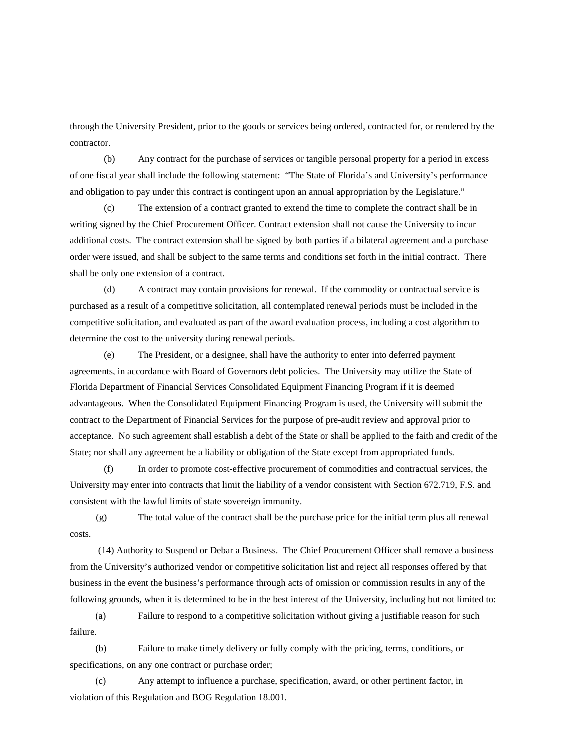through the University President, prior to the goods or services being ordered, contracted for, or rendered by the contractor.

(b) Any contract for the purchase of services or tangible personal property for a period in excess of one fiscal year shall include the following statement: "The State of Florida's and University's performance and obligation to pay under this contract is contingent upon an annual appropriation by the Legislature."

(c) The extension of a contract granted to extend the time to complete the contract shall be in writing signed by the Chief Procurement Officer. Contract extension shall not cause the University to incur additional costs. The contract extension shall be signed by both parties if a bilateral agreement and a purchase order were issued, and shall be subject to the same terms and conditions set forth in the initial contract. There shall be only one extension of a contract.

(d) A contract may contain provisions for renewal. If the commodity or contractual service is purchased as a result of a competitive solicitation, all contemplated renewal periods must be included in the competitive solicitation, and evaluated as part of the award evaluation process, including a cost algorithm to determine the cost to the university during renewal periods.

(e) The President, or a designee, shall have the authority to enter into deferred payment agreements, in accordance with Board of Governors debt policies. The University may utilize the State of Florida Department of Financial Services Consolidated Equipment Financing Program if it is deemed advantageous. When the Consolidated Equipment Financing Program is used, the University will submit the contract to the Department of Financial Services for the purpose of pre-audit review and approval prior to acceptance. No such agreement shall establish a debt of the State or shall be applied to the faith and credit of the State; nor shall any agreement be a liability or obligation of the State except from appropriated funds.

(f) In order to promote cost-effective procurement of commodities and contractual services, the University may enter into contracts that limit the liability of a vendor consistent with Section 672.719, F.S. and consistent with the lawful limits of state sovereign immunity.

 (g) The total value of the contract shall be the purchase price for the initial term plus all renewal costs.

(14) Authority to Suspend or Debar a Business. The Chief Procurement Officer shall remove a business from the University's authorized vendor or competitive solicitation list and reject all responses offered by that business in the event the business's performance through acts of omission or commission results in any of the following grounds, when it is determined to be in the best interest of the University, including but not limited to:

(a) Failure to respond to a competitive solicitation without giving a justifiable reason for such failure.

(b) Failure to make timely delivery or fully comply with the pricing, terms, conditions, or specifications, on any one contract or purchase order;

(c) Any attempt to influence a purchase, specification, award, or other pertinent factor, in violation of this Regulation and BOG Regulation 18.001.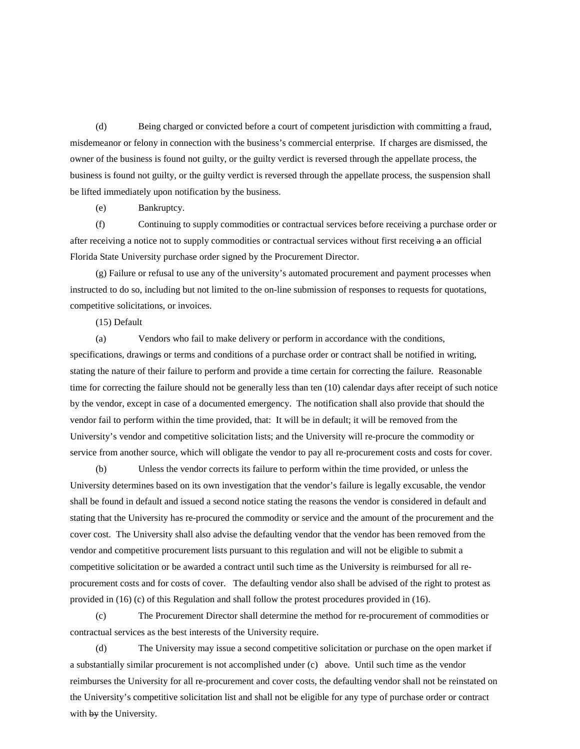(d) Being charged or convicted before a court of competent jurisdiction with committing a fraud, misdemeanor or felony in connection with the business's commercial enterprise. If charges are dismissed, the owner of the business is found not guilty, or the guilty verdict is reversed through the appellate process, the business is found not guilty, or the guilty verdict is reversed through the appellate process, the suspension shall be lifted immediately upon notification by the business.

(e) Bankruptcy.

(f) Continuing to supply commodities or contractual services before receiving a purchase order or after receiving a notice not to supply commodities or contractual services without first receiving a an official Florida State University purchase order signed by the Procurement Director.

(g) Failure or refusal to use any of the university's automated procurement and payment processes when instructed to do so, including but not limited to the on-line submission of responses to requests for quotations, competitive solicitations, or invoices.

(15) Default

(a) Vendors who fail to make delivery or perform in accordance with the conditions, specifications, drawings or terms and conditions of a purchase order or contract shall be notified in writing, stating the nature of their failure to perform and provide a time certain for correcting the failure. Reasonable time for correcting the failure should not be generally less than ten (10) calendar days after receipt of such notice by the vendor, except in case of a documented emergency. The notification shall also provide that should the vendor fail to perform within the time provided, that: It will be in default; it will be removed from the University's vendor and competitive solicitation lists; and the University will re-procure the commodity or service from another source, which will obligate the vendor to pay all re-procurement costs and costs for cover.

(b) Unless the vendor corrects its failure to perform within the time provided, or unless the University determines based on its own investigation that the vendor's failure is legally excusable, the vendor shall be found in default and issued a second notice stating the reasons the vendor is considered in default and stating that the University has re-procured the commodity or service and the amount of the procurement and the cover cost. The University shall also advise the defaulting vendor that the vendor has been removed from the vendor and competitive procurement lists pursuant to this regulation and will not be eligible to submit a competitive solicitation or be awarded a contract until such time as the University is reimbursed for all reprocurement costs and for costs of cover. The defaulting vendor also shall be advised of the right to protest as provided in (16) (c) of this Regulation and shall follow the protest procedures provided in (16).

(c) The Procurement Director shall determine the method for re-procurement of commodities or contractual services as the best interests of the University require.

(d) The University may issue a second competitive solicitation or purchase on the open market if a substantially similar procurement is not accomplished under (c) above. Until such time as the vendor reimburses the University for all re-procurement and cover costs, the defaulting vendor shall not be reinstated on the University's competitive solicitation list and shall not be eligible for any type of purchase order or contract with by the University.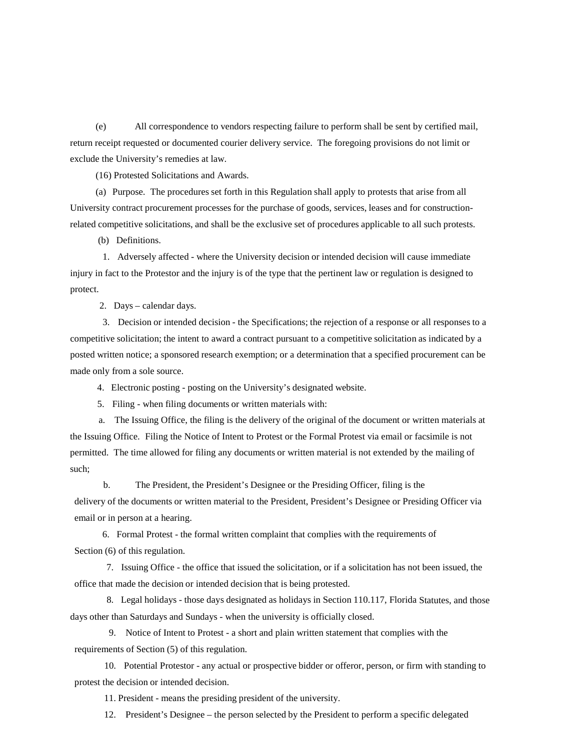(e) All correspondence to vendors respecting failure to perform shall be sent by certified mail, return receipt requested or documented courier delivery service. The foregoing provisions do not limit or exclude the University's remedies at law.

(16) Protested Solicitations and Awards.

(a) Purpose. The procedures set forth in this Regulation shall apply to protests that arise from all University contract procurement processes for the purchase of goods, services, leases and for constructionrelated competitive solicitations, and shall be the exclusive set of procedures applicable to all such protests.

(b) Definitions.

 1. Adversely affected - where the University decision or intended decision will cause immediate injury in fact to the Protestor and the injury is of the type that the pertinent law or regulation is designed to protect.

2. Days – calendar days.

 3. Decision or intended decision - the Specifications; the rejection of a response or all responses to a competitive solicitation; the intent to award a contract pursuant to a competitive solicitation as indicated by a posted written notice; a sponsored research exemption; or a determination that a specified procurement can be made only from a sole source.

4. Electronic posting - posting on the University's designated website.

5. Filing - when filing documents or written materials with:

 a. The Issuing Office, the filing is the delivery of the original of the document or written materials at the Issuing Office. Filing the Notice of Intent to Protest or the Formal Protest via email or facsimile is not permitted. The time allowed for filing any documents or written material is not extended by the mailing of such;

 b. The President, the President's Designee or the Presiding Officer, filing is the delivery of the documents or written material to the President, President's Designee or Presiding Officer via email or in person at a hearing.

6. Formal Protest - the formal written complaint that complies with the requirements of Section  $(6)$  of this regulation.

7. Issuing Office - the office that issued the solicitation, or if a solicitation has not been issued, the office that made the decision or intended decision that is being protested.

8. Legal holidays - those days designated as holidays in Section 110.117, Florida Statutes, and those days other than Saturdays and Sundays - when the university is officially closed.

 9. Notice of Intent to Protest - a short and plain written statement that complies with the requirements of Section (5) of this regulation.

10. Potential Protestor - any actual or prospective bidder or offeror, person, or firm with standing to protest the decision or intended decision.

11. President - means the presiding president of the university.

12. President's Designee – the person selected by the President to perform a specific delegated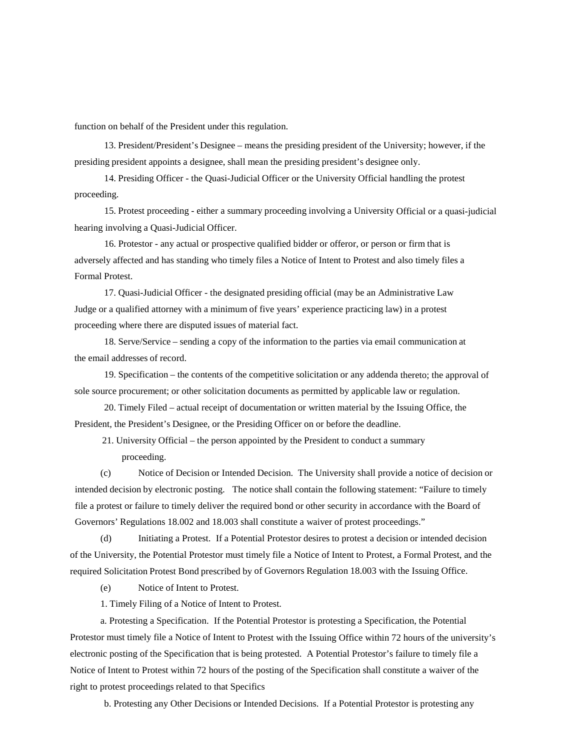function on behalf of the President under this regulation.

13. President/President's Designee – means the presiding president of the University; however, if the presiding president appoints a designee, shall mean the presiding president's designee only.

14. Presiding Officer - the Quasi-Judicial Officer or the University Official handling the protest proceeding.

15. Protest proceeding - either a summary proceeding involving a University Official or a quasi-judicial hearing involving a Quasi-Judicial Officer.

16. Protestor - any actual or prospective qualified bidder or offeror, or person or firm that is adversely affected and has standing who timely files a Notice of Intent to Protest and also timely files a Formal Protest.

17. Quasi-Judicial Officer - the designated presiding official (may be an Administrative Law Judge or a qualified attorney with a minimum of five years' experience practicing law) in a protest proceeding where there are disputed issues of material fact.

18. Serve/Service – sending a copy of the information to the parties via email communication at the email addresses of record.

19. Specification – the contents of the competitive solicitation or any addenda thereto; the approval of sole source procurement; or other solicitation documents as permitted by applicable law or regulation.

20. Timely Filed – actual receipt of documentation or written material by the Issuing Office, the President, the President's Designee, or the Presiding Officer on or before the deadline.

21. University Official – the person appointed by the President to conduct a summary proceeding.

(c) Notice of Decision or Intended Decision. The University shall provide a notice of decision or intended decision by electronic posting. The notice shall contain the following statement: "Failure to timely file a protest or failure to timely deliver the required bond or other security in accordance with the Board of Governors' Regulations 18.002 and 18.003 shall constitute a waiver of protest proceedings."

(d) Initiating a Protest. If a Potential Protestor desires to protest a decision or intended decision of the University, the Potential Protestor must timely file a Notice of Intent to Protest, a Formal Protest, and the required Solicitation Protest Bond prescribed by of Governors Regulation 18.003 with the Issuing Office.

(e) Notice of Intent to Protest.

1. Timely Filing of a Notice of Intent to Protest.

a. Protesting a Specification. If the Potential Protestor is protesting a Specification, the Potential Protestor must timely file a Notice of Intent to Protest with the Issuing Office within 72 hours of the university's electronic posting of the Specification that is being protested. A Potential Protestor's failure to timely file a Notice of Intent to Protest within 72 hours of the posting of the Specification shall constitute a waiver of the right to protest proceedings related to that Specifics

b. Protesting any Other Decisions or Intended Decisions. If a Potential Protestor is protesting any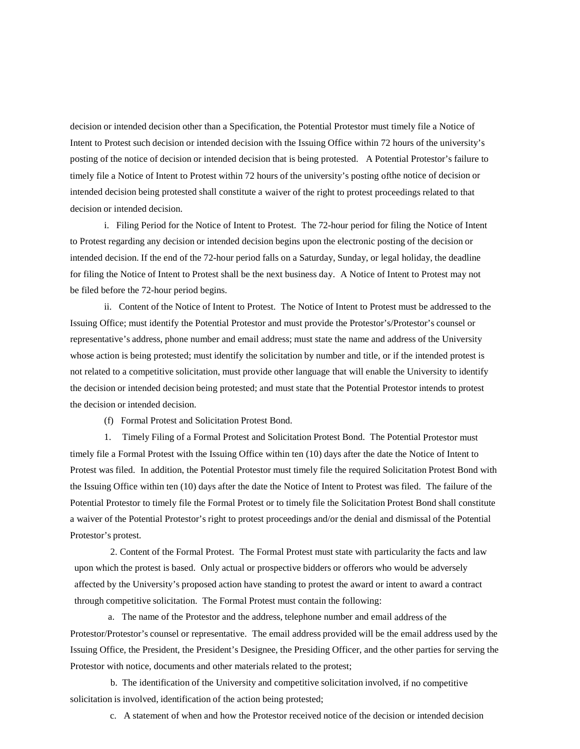decision or intended decision other than a Specification, the Potential Protestor must timely file a Notice of Intent to Protest such decision or intended decision with the Issuing Office within 72 hours of the university's posting of the notice of decision or intended decision that is being protested. A Potential Protestor's failure to timely file a Notice of Intent to Protest within 72 hours of the university's posting ofthe notice of decision or intended decision being protested shall constitute a waiver of the right to protest proceedings related to that decision or intended decision.

i. Filing Period for the Notice of Intent to Protest. The 72-hour period for filing the Notice of Intent to Protest regarding any decision or intended decision begins upon the electronic posting of the decision or intended decision. If the end of the 72-hour period falls on a Saturday, Sunday, or legal holiday, the deadline for filing the Notice of Intent to Protest shall be the next business day. A Notice of Intent to Protest may not be filed before the 72-hour period begins.

ii. Content of the Notice of Intent to Protest. The Notice of Intent to Protest must be addressed to the Issuing Office; must identify the Potential Protestor and must provide the Protestor's/Protestor's counsel or representative's address, phone number and email address; must state the name and address of the University whose action is being protested; must identify the solicitation by number and title, or if the intended protest is not related to a competitive solicitation, must provide other language that will enable the University to identify the decision or intended decision being protested; and must state that the Potential Protestor intends to protest the decision or intended decision.

(f) Formal Protest and Solicitation Protest Bond.

1. Timely Filing of a Formal Protest and Solicitation Protest Bond. The Potential Protestor must timely file a Formal Protest with the Issuing Office within ten (10) days after the date the Notice of Intent to Protest was filed. In addition, the Potential Protestor must timely file the required Solicitation Protest Bond with the Issuing Office within ten (10) days after the date the Notice of Intent to Protest was filed. The failure of the Potential Protestor to timely file the Formal Protest or to timely file the Solicitation Protest Bond shall constitute a waiver of the Potential Protestor's right to protest proceedings and/or the denial and dismissal of the Potential Protestor's protest.

 2. Content of the Formal Protest. The Formal Protest must state with particularity the facts and law upon which the protest is based. Only actual or prospective bidders or offerors who would be adversely affected by the University's proposed action have standing to protest the award or intent to award a contract through competitive solicitation. The Formal Protest must contain the following:

 a. The name of the Protestor and the address, telephone number and email address of the Protestor/Protestor's counsel or representative. The email address provided will be the email address used by the Issuing Office, the President, the President's Designee, the Presiding Officer, and the other parties for serving the Protestor with notice, documents and other materials related to the protest;

 b. The identification of the University and competitive solicitation involved, if no competitive solicitation is involved, identification of the action being protested;

c. A statement of when and how the Protestor received notice of the decision or intended decision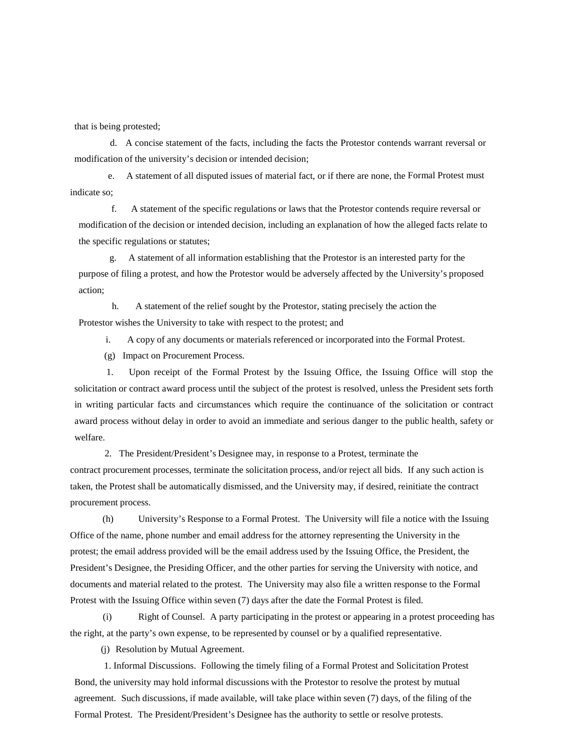that is being protested;

 d. A concise statement of the facts, including the facts the Protestor contends warrant reversal or modification of the university's decision or intended decision;

 e. A statement of all disputed issues of material fact, or if there are none, the Formal Protest must indicate so;

 f. A statement of the specific regulations or laws that the Protestor contends require reversal or modification of the decision or intended decision, including an explanation of how the alleged facts relate to the specific regulations or statutes;

 g. A statement of all information establishing that the Protestor is an interested party for the purpose of filing a protest, and how the Protestor would be adversely affected by the University's proposed action;

 h. A statement of the relief sought by the Protestor, stating precisely the action the Protestor wishes the University to take with respect to the protest; and

i. A copy of any documents or materials referenced or incorporated into the Formal Protest.

(g) Impact on Procurement Process.

 1. Upon receipt of the Formal Protest by the Issuing Office, the Issuing Office will stop the solicitation or contract award process until the subject of the protest is resolved, unless the President sets forth in writing particular facts and circumstances which require the continuance of the solicitation or contract award process without delay in order to avoid an immediate and serious danger to the public health, safety or welfare.

 2. The President/President's Designee may, in response to a Protest, terminate the contract procurement processes, terminate the solicitation process, and/or reject all bids. If any such action is taken, the Protest shall be automatically dismissed, and the University may, if desired, reinitiate the contract procurement process.

 (h) University's Response to a Formal Protest. The University will file a notice with the Issuing Office of the name, phone number and email address for the attorney representing the University in the protest; the email address provided will be the email address used by the Issuing Office, the President, the President's Designee, the Presiding Officer, and the other parties for serving the University with notice, and documents and material related to the protest. The University may also file a written response to the Formal Protest with the Issuing Office within seven (7) days after the date the Formal Protest is filed.

(i) Right of Counsel. A party participating in the protest or appearing in a protest proceeding has the right, at the party's own expense, to be represented by counsel or by a qualified representative.

(j) Resolution by Mutual Agreement.

 1. Informal Discussions. Following the timely filing of a Formal Protest and Solicitation Protest Bond, the university may hold informal discussions with the Protestor to resolve the protest by mutual agreement. Such discussions, if made available, will take place within seven (7) days, of the filing of the Formal Protest. The President/President's Designee has the authority to settle or resolve protests.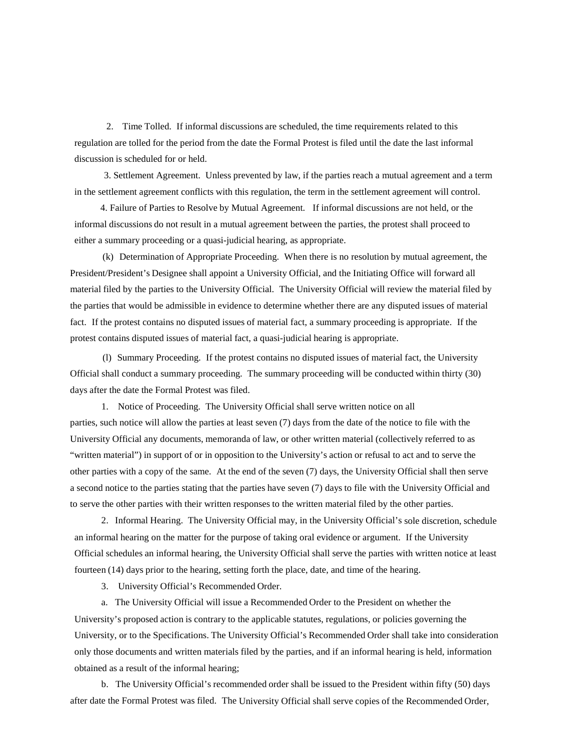2. Time Tolled. If informal discussions are scheduled, the time requirements related to this regulation are tolled for the period from the date the Formal Protest is filed until the date the last informal discussion is scheduled for or held.

 3. Settlement Agreement. Unless prevented by law, if the parties reach a mutual agreement and a term in the settlement agreement conflicts with this regulation, the term in the settlement agreement will control.

4. Failure of Parties to Resolve by Mutual Agreement. If informal discussions are not held, or the informal discussions do not result in a mutual agreement between the parties, the protest shall proceed to either a summary proceeding or a quasi-judicial hearing, as appropriate.

 (k) Determination of Appropriate Proceeding. When there is no resolution by mutual agreement, the President/President's Designee shall appoint a University Official, and the Initiating Office will forward all material filed by the parties to the University Official. The University Official will review the material filed by the parties that would be admissible in evidence to determine whether there are any disputed issues of material fact. If the protest contains no disputed issues of material fact, a summary proceeding is appropriate. If the protest contains disputed issues of material fact, a quasi-judicial hearing is appropriate.

 (l) Summary Proceeding. If the protest contains no disputed issues of material fact, the University Official shall conduct a summary proceeding. The summary proceeding will be conducted within thirty (30) days after the date the Formal Protest was filed.

1. Notice of Proceeding. The University Official shall serve written notice on all parties, such notice will allow the parties at least seven (7) days from the date of the notice to file with the University Official any documents, memoranda of law, or other written material (collectively referred to as "written material") in support of or in opposition to the University's action or refusal to act and to serve the other parties with a copy of the same. At the end of the seven (7) days, the University Official shall then serve a second notice to the parties stating that the parties have seven (7) days to file with the University Official and to serve the other parties with their written responses to the written material filed by the other parties.

2. Informal Hearing. The University Official may, in the University Official's sole discretion, schedule an informal hearing on the matter for the purpose of taking oral evidence or argument. If the University Official schedules an informal hearing, the University Official shall serve the parties with written notice at least fourteen (14) days prior to the hearing, setting forth the place, date, and time of the hearing.

3. University Official's Recommended Order.

a. The University Official will issue a Recommended Order to the President on whether the University's proposed action is contrary to the applicable statutes, regulations, or policies governing the University, or to the Specifications. The University Official's Recommended Order shall take into consideration only those documents and written materials filed by the parties, and if an informal hearing is held, information obtained as a result of the informal hearing;

b. The University Official's recommended order shall be issued to the President within fifty (50) days after date the Formal Protest was filed. The University Official shall serve copies of the Recommended Order,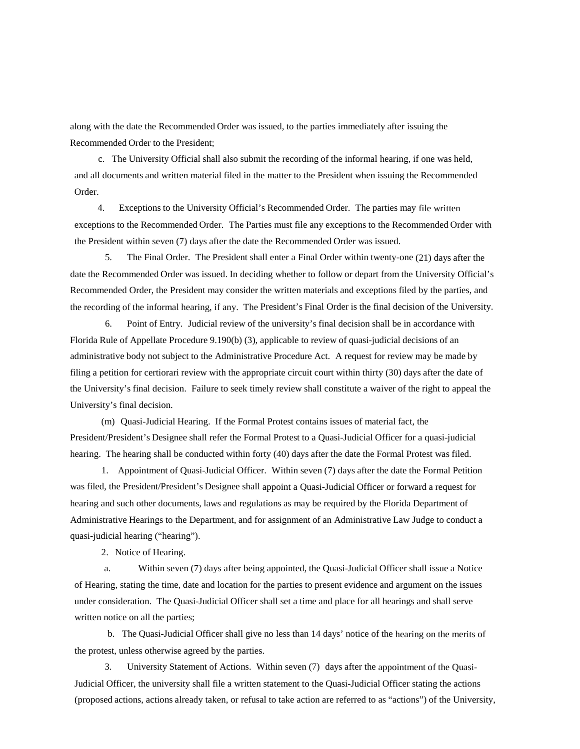along with the date the Recommended Order was issued, to the parties immediately after issuing the Recommended Order to the President;

 c. The University Official shall also submit the recording of the informal hearing, if one was held, and all documents and written material filed in the matter to the President when issuing the Recommended Order.

 4. Exceptions to the University Official's Recommended Order. The parties may file written exceptions to the Recommended Order. The Parties must file any exceptions to the Recommended Order with the President within seven (7) days after the date the Recommended Order was issued.

 5. The Final Order. The President shall enter a Final Order within twenty-one (21) days after the date the Recommended Order was issued. In deciding whether to follow or depart from the University Official's Recommended Order, the President may consider the written materials and exceptions filed by the parties, and the recording of the informal hearing, if any. The President's Final Order is the final decision of the University.

 6. Point of Entry. Judicial review of the university's final decision shall be in accordance with Florida Rule of Appellate Procedure 9.190(b) (3), applicable to review of quasi-judicial decisions of an administrative body not subject to the Administrative Procedure Act. A request for review may be made by filing a petition for certiorari review with the appropriate circuit court within thirty (30) days after the date of the University's final decision. Failure to seek timely review shall constitute a waiver of the right to appeal the University's final decision.

(m) Quasi-Judicial Hearing. If the Formal Protest contains issues of material fact, the President/President's Designee shall refer the Formal Protest to a Quasi-Judicial Officer for a quasi-judicial hearing. The hearing shall be conducted within forty (40) days after the date the Formal Protest was filed.

1. Appointment of Quasi-Judicial Officer. Within seven (7) days after the date the Formal Petition was filed, the President/President's Designee shall appoint a Quasi-Judicial Officer or forward a request for hearing and such other documents, laws and regulations as may be required by the Florida Department of Administrative Hearings to the Department, and for assignment of an Administrative Law Judge to conduct a quasi-judicial hearing ("hearing").

2. Notice of Hearing.

a. Within seven (7) days after being appointed, the Quasi-Judicial Officer shall issue a Notice of Hearing, stating the time, date and location for the parties to present evidence and argument on the issues under consideration. The Quasi-Judicial Officer shall set a time and place for all hearings and shall serve written notice on all the parties;

 b. The Quasi-Judicial Officer shall give no less than 14 days' notice of the hearing on the merits of the protest, unless otherwise agreed by the parties.

 3. University Statement of Actions. Within seven (7) days after the appointment of the Quasi-Judicial Officer, the university shall file a written statement to the Quasi-Judicial Officer stating the actions (proposed actions, actions already taken, or refusal to take action are referred to as "actions") of the University,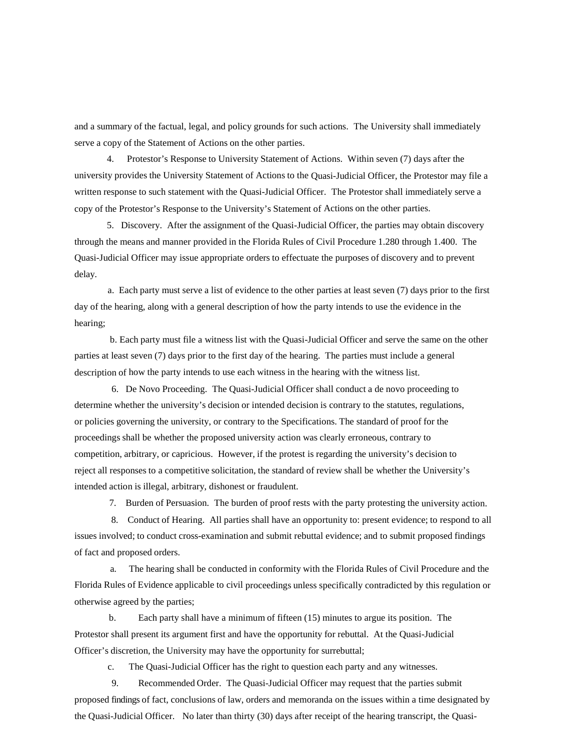and a summary of the factual, legal, and policy grounds for such actions. The University shall immediately serve a copy of the Statement of Actions on the other parties.

 4. Protestor's Response to University Statement of Actions. Within seven (7) days after the university provides the University Statement of Actions to the Quasi-Judicial Officer, the Protestor may file a written response to such statement with the Quasi-Judicial Officer. The Protestor shall immediately serve a copy of the Protestor's Response to the University's Statement of Actions on the other parties.

 5. Discovery. After the assignment of the Quasi-Judicial Officer, the parties may obtain discovery through the means and manner provided in the Florida Rules of Civil Procedure 1.280 through 1.400. The Quasi-Judicial Officer may issue appropriate orders to effectuate the purposes of discovery and to prevent delay.

 a. Each party must serve a list of evidence to the other parties at least seven (7) days prior to the first day of the hearing, along with a general description of how the party intends to use the evidence in the hearing;

 b. Each party must file a witness list with the Quasi-Judicial Officer and serve the same on the other parties at least seven (7) days prior to the first day of the hearing. The parties must include a general description of how the party intends to use each witness in the hearing with the witness list.

 6. De Novo Proceeding. The Quasi-Judicial Officer shall conduct a de novo proceeding to determine whether the university's decision or intended decision is contrary to the statutes, regulations, or policies governing the university, or contrary to the Specifications. The standard of proof for the proceedings shall be whether the proposed university action was clearly erroneous, contrary to competition, arbitrary, or capricious. However, if the protest is regarding the university's decision to reject all responses to a competitive solicitation, the standard of review shall be whether the University's intended action is illegal, arbitrary, dishonest or fraudulent.

7. Burden of Persuasion. The burden of proof rests with the party protesting the university action.

 8. Conduct of Hearing. All parties shall have an opportunity to: present evidence; to respond to all issues involved; to conduct cross-examination and submit rebuttal evidence; and to submit proposed findings of fact and proposed orders.

 a. The hearing shall be conducted in conformity with the Florida Rules of Civil Procedure and the Florida Rules of Evidence applicable to civil proceedings unless specifically contradicted by this regulation or otherwise agreed by the parties;

 b. Each party shall have a minimum of fifteen (15) minutes to argue its position. The Protestor shall present its argument first and have the opportunity for rebuttal. At the Quasi-Judicial Officer's discretion, the University may have the opportunity for surrebuttal;

c. The Quasi-Judicial Officer has the right to question each party and any witnesses.

 9. Recommended Order. The Quasi-Judicial Officer may request that the parties submit proposed findings of fact, conclusions of law, orders and memoranda on the issues within a time designated by the Quasi-Judicial Officer. No later than thirty (30) days after receipt of the hearing transcript, the Quasi-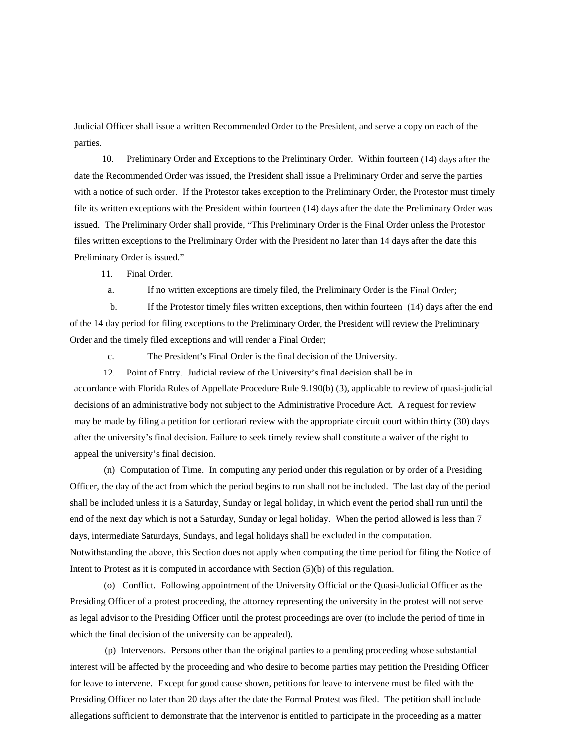Judicial Officer shall issue a written Recommended Order to the President, and serve a copy on each of the parties.

 10. Preliminary Order and Exceptions to the Preliminary Order. Within fourteen (14) days after the date the Recommended Order was issued, the President shall issue a Preliminary Order and serve the parties with a notice of such order. If the Protestor takes exception to the Preliminary Order, the Protestor must timely file its written exceptions with the President within fourteen (14) days after the date the Preliminary Order was issued. The Preliminary Order shall provide, "This Preliminary Order is the Final Order unless the Protestor files written exceptions to the Preliminary Order with the President no later than 14 days after the date this Preliminary Order is issued."

11. Final Order.

a. If no written exceptions are timely filed, the Preliminary Order is the Final Order;

 b. If the Protestor timely files written exceptions, then within fourteen (14) days after the end of the 14 day period for filing exceptions to the Preliminary Order, the President will review the Preliminary Order and the timely filed exceptions and will render a Final Order;

c. The President's Final Order is the final decision of the University.

12. Point of Entry. Judicial review of the University's final decision shall be in

accordance with Florida Rules of Appellate Procedure Rule 9.190(b) (3), applicable to review of quasi-judicial decisions of an administrative body not subject to the Administrative Procedure Act. A request for review may be made by filing a petition for certiorari review with the appropriate circuit court within thirty (30) days after the university's final decision. Failure to seek timely review shall constitute a waiver of the right to appeal the university's final decision.

(n) Computation of Time. In computing any period under this regulation or by order of a Presiding Officer, the day of the act from which the period begins to run shall not be included. The last day of the period shall be included unless it is a Saturday, Sunday or legal holiday, in which event the period shall run until the end of the next day which is not a Saturday, Sunday or legal holiday. When the period allowed is less than 7 days, intermediate Saturdays, Sundays, and legal holidays shall be excluded in the computation. Notwithstanding the above, this Section does not apply when computing the time period for filing the Notice of Intent to Protest as it is computed in accordance with Section (5)(b) of this regulation.

(o) Conflict. Following appointment of the University Official or the Quasi-Judicial Officer as the Presiding Officer of a protest proceeding, the attorney representing the university in the protest will not serve as legal advisor to the Presiding Officer until the protest proceedings are over (to include the period of time in which the final decision of the university can be appealed).

(p) Intervenors. Persons other than the original parties to a pending proceeding whose substantial interest will be affected by the proceeding and who desire to become parties may petition the Presiding Officer for leave to intervene. Except for good cause shown, petitions for leave to intervene must be filed with the Presiding Officer no later than 20 days after the date the Formal Protest was filed. The petition shall include allegations sufficient to demonstrate that the intervenor is entitled to participate in the proceeding as a matter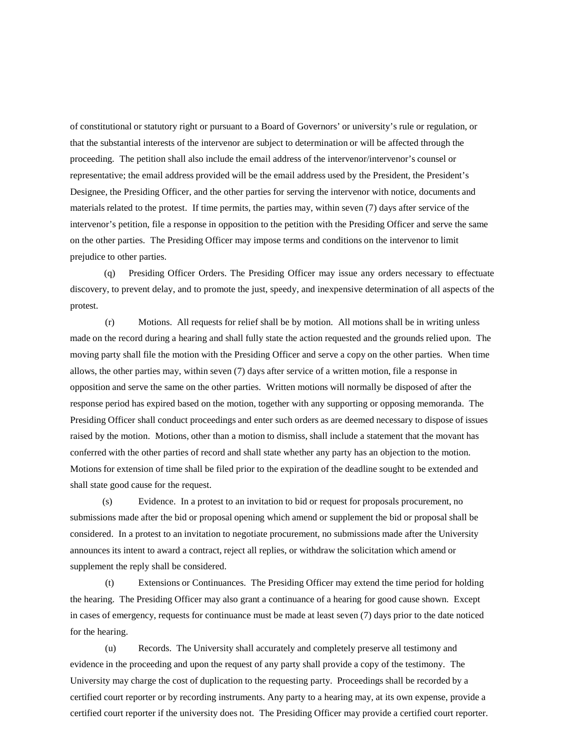of constitutional or statutory right or pursuant to a Board of Governors' or university's rule or regulation, or that the substantial interests of the intervenor are subject to determination or will be affected through the proceeding. The petition shall also include the email address of the intervenor/intervenor's counsel or representative; the email address provided will be the email address used by the President, the President's Designee, the Presiding Officer, and the other parties for serving the intervenor with notice, documents and materials related to the protest. If time permits, the parties may, within seven (7) days after service of the intervenor's petition, file a response in opposition to the petition with the Presiding Officer and serve the same on the other parties. The Presiding Officer may impose terms and conditions on the intervenor to limit prejudice to other parties.

(q) Presiding Officer Orders. The Presiding Officer may issue any orders necessary to effectuate discovery, to prevent delay, and to promote the just, speedy, and inexpensive determination of all aspects of the protest.

(r) Motions. All requests for relief shall be by motion. All motions shall be in writing unless made on the record during a hearing and shall fully state the action requested and the grounds relied upon. The moving party shall file the motion with the Presiding Officer and serve a copy on the other parties. When time allows, the other parties may, within seven (7) days after service of a written motion, file a response in opposition and serve the same on the other parties. Written motions will normally be disposed of after the response period has expired based on the motion, together with any supporting or opposing memoranda. The Presiding Officer shall conduct proceedings and enter such orders as are deemed necessary to dispose of issues raised by the motion. Motions, other than a motion to dismiss, shall include a statement that the movant has conferred with the other parties of record and shall state whether any party has an objection to the motion. Motions for extension of time shall be filed prior to the expiration of the deadline sought to be extended and shall state good cause for the request.

(s) Evidence. In a protest to an invitation to bid or request for proposals procurement, no submissions made after the bid or proposal opening which amend or supplement the bid or proposal shall be considered. In a protest to an invitation to negotiate procurement, no submissions made after the University announces its intent to award a contract, reject all replies, or withdraw the solicitation which amend or supplement the reply shall be considered.

(t) Extensions or Continuances. The Presiding Officer may extend the time period for holding the hearing. The Presiding Officer may also grant a continuance of a hearing for good cause shown. Except in cases of emergency, requests for continuance must be made at least seven (7) days prior to the date noticed for the hearing.

(u) Records. The University shall accurately and completely preserve all testimony and evidence in the proceeding and upon the request of any party shall provide a copy of the testimony. The University may charge the cost of duplication to the requesting party. Proceedings shall be recorded by a certified court reporter or by recording instruments. Any party to a hearing may, at its own expense, provide a certified court reporter if the university does not. The Presiding Officer may provide a certified court reporter.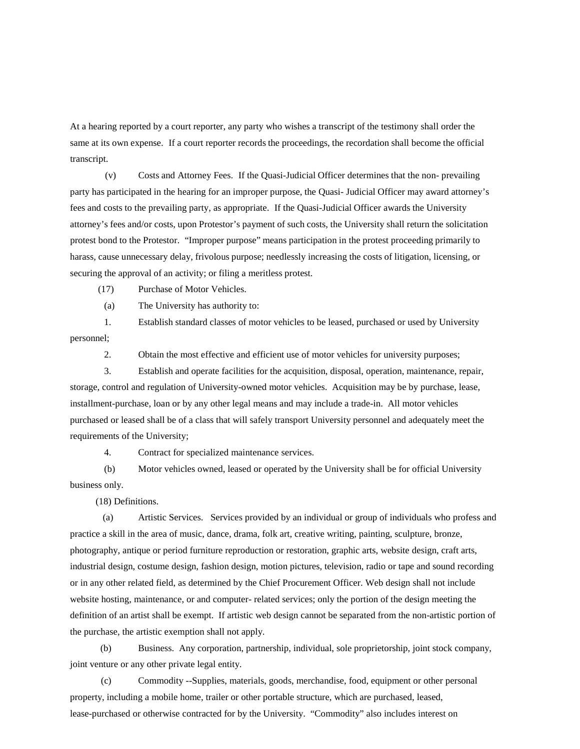At a hearing reported by a court reporter, any party who wishes a transcript of the testimony shall order the same at its own expense. If a court reporter records the proceedings, the recordation shall become the official transcript.

(v) Costs and Attorney Fees. If the Quasi-Judicial Officer determines that the non- prevailing party has participated in the hearing for an improper purpose, the Quasi- Judicial Officer may award attorney's fees and costs to the prevailing party, as appropriate. If the Quasi-Judicial Officer awards the University attorney's fees and/or costs, upon Protestor's payment of such costs, the University shall return the solicitation protest bond to the Protestor. "Improper purpose" means participation in the protest proceeding primarily to harass, cause unnecessary delay, frivolous purpose; needlessly increasing the costs of litigation, licensing, or securing the approval of an activity; or filing a meritless protest.

(17) Purchase of Motor Vehicles.

(a) The University has authority to:

1. Establish standard classes of motor vehicles to be leased, purchased or used by University personnel;

2. Obtain the most effective and efficient use of motor vehicles for university purposes;

3. Establish and operate facilities for the acquisition, disposal, operation, maintenance, repair, storage, control and regulation of University-owned motor vehicles. Acquisition may be by purchase, lease, installment-purchase, loan or by any other legal means and may include a trade-in. All motor vehicles purchased or leased shall be of a class that will safely transport University personnel and adequately meet the requirements of the University;

4. Contract for specialized maintenance services.

(b) Motor vehicles owned, leased or operated by the University shall be for official University business only.

(18) Definitions.

 (a) Artistic Services. Services provided by an individual or group of individuals who profess and practice a skill in the area of music, dance, drama, folk art, creative writing, painting, sculpture, bronze, photography, antique or period furniture reproduction or restoration, graphic arts, website design, craft arts, industrial design, costume design, fashion design, motion pictures, television, radio or tape and sound recording or in any other related field, as determined by the Chief Procurement Officer. Web design shall not include website hosting, maintenance, or and computer- related services; only the portion of the design meeting the definition of an artist shall be exempt. If artistic web design cannot be separated from the non-artistic portion of the purchase, the artistic exemption shall not apply.

 (b) Business. Any corporation, partnership, individual, sole proprietorship, joint stock company, joint venture or any other private legal entity.

 (c) Commodity --Supplies, materials, goods, merchandise, food, equipment or other personal property, including a mobile home, trailer or other portable structure, which are purchased, leased, lease-purchased or otherwise contracted for by the University. "Commodity" also includes interest on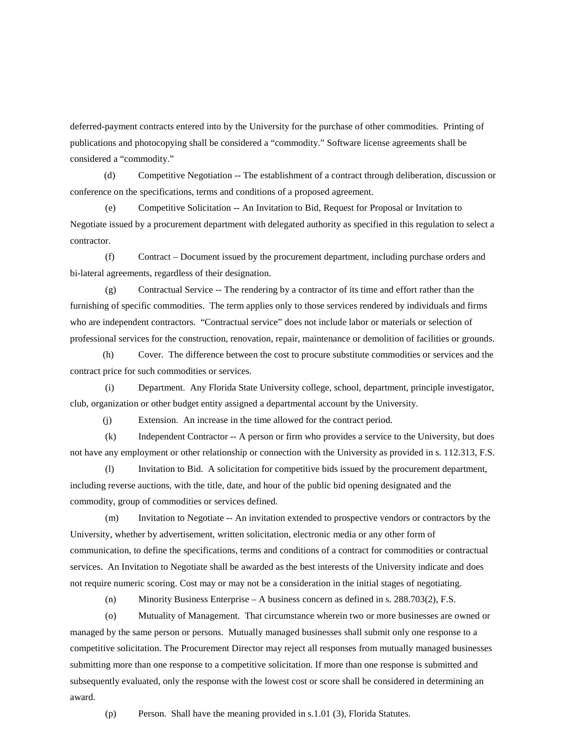deferred-payment contracts entered into by the University for the purchase of other commodities. Printing of publications and photocopying shall be considered a "commodity." Software license agreements shall be considered a "commodity."

(d) Competitive Negotiation -- The establishment of a contract through deliberation, discussion or conference on the specifications, terms and conditions of a proposed agreement.

 (e) Competitive Solicitation -- An Invitation to Bid, Request for Proposal or Invitation to Negotiate issued by a procurement department with delegated authority as specified in this regulation to select a contractor.

 (f) Contract – Document issued by the procurement department, including purchase orders and bi-lateral agreements, regardless of their designation.

 (g) Contractual Service -- The rendering by a contractor of its time and effort rather than the furnishing of specific commodities. The term applies only to those services rendered by individuals and firms who are independent contractors. "Contractual service" does not include labor or materials or selection of professional services for the construction, renovation, repair, maintenance or demolition of facilities or grounds.

 (h) Cover. The difference between the cost to procure substitute commodities or services and the contract price for such commodities or services.

 (i) Department. Any Florida State University college, school, department, principle investigator, club, organization or other budget entity assigned a departmental account by the University.

(j) Extension. An increase in the time allowed for the contract period.

 (k) Independent Contractor -- A person or firm who provides a service to the University, but does not have any employment or other relationship or connection with the University as provided in s. 112.313, F.S.

 (l) Invitation to Bid. A solicitation for competitive bids issued by the procurement department, including reverse auctions, with the title, date, and hour of the public bid opening designated and the commodity, group of commodities or services defined.

 (m) Invitation to Negotiate -- An invitation extended to prospective vendors or contractors by the University, whether by advertisement, written solicitation, electronic media or any other form of communication, to define the specifications, terms and conditions of a contract for commodities or contractual services. An Invitation to Negotiate shall be awarded as the best interests of the University indicate and does not require numeric scoring. Cost may or may not be a consideration in the initial stages of negotiating.

(n) Minority Business Enterprise – A business concern as defined in s. 288.703(2), F.S.

 (o) Mutuality of Management. That circumstance wherein two or more businesses are owned or managed by the same person or persons. Mutually managed businesses shall submit only one response to a competitive solicitation. The Procurement Director may reject all responses from mutually managed businesses submitting more than one response to a competitive solicitation. If more than one response is submitted and subsequently evaluated, only the response with the lowest cost or score shall be considered in determining an award.

(p) Person. Shall have the meaning provided in s.1.01 (3), Florida Statutes.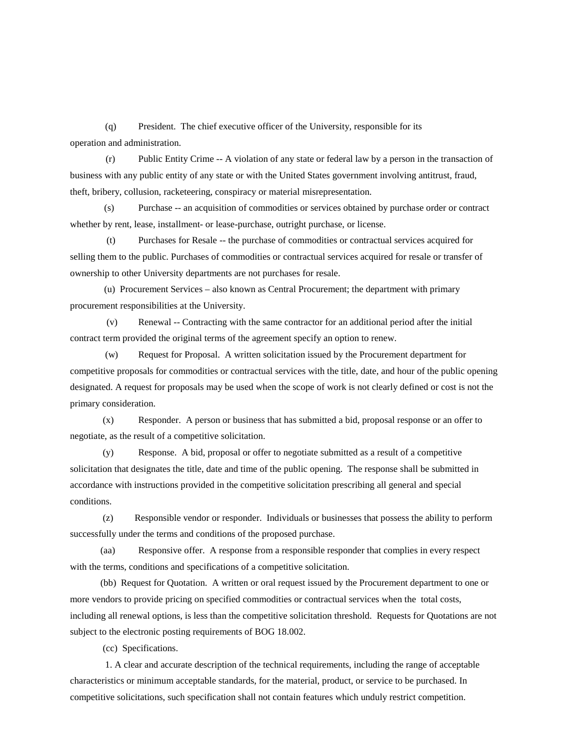(q) President. The chief executive officer of the University, responsible for its operation and administration.

 (r) Public Entity Crime -- A violation of any state or federal law by a person in the transaction of business with any public entity of any state or with the United States government involving antitrust, fraud, theft, bribery, collusion, racketeering, conspiracy or material misrepresentation.

(s) Purchase -- an acquisition of commodities or services obtained by purchase order or contract whether by rent, lease, installment- or lease-purchase, outright purchase, or license.

(t) Purchases for Resale -- the purchase of commodities or contractual services acquired for selling them to the public. Purchases of commodities or contractual services acquired for resale or transfer of ownership to other University departments are not purchases for resale.

(u) Procurement Services – also known as Central Procurement; the department with primary procurement responsibilities at the University.

(v) Renewal -- Contracting with the same contractor for an additional period after the initial contract term provided the original terms of the agreement specify an option to renew.

 (w) Request for Proposal. A written solicitation issued by the Procurement department for competitive proposals for commodities or contractual services with the title, date, and hour of the public opening designated. A request for proposals may be used when the scope of work is not clearly defined or cost is not the primary consideration.

 (x) Responder. A person or business that has submitted a bid, proposal response or an offer to negotiate, as the result of a competitive solicitation.

 (y) Response. A bid, proposal or offer to negotiate submitted as a result of a competitive solicitation that designates the title, date and time of the public opening. The response shall be submitted in accordance with instructions provided in the competitive solicitation prescribing all general and special conditions.

 (z) Responsible vendor or responder. Individuals or businesses that possess the ability to perform successfully under the terms and conditions of the proposed purchase.

 (aa) Responsive offer. A response from a responsible responder that complies in every respect with the terms, conditions and specifications of a competitive solicitation.

 (bb) Request for Quotation. A written or oral request issued by the Procurement department to one or more vendors to provide pricing on specified commodities or contractual services when the total costs, including all renewal options, is less than the competitive solicitation threshold. Requests for Quotations are not subject to the electronic posting requirements of BOG 18.002.

(cc) Specifications.

 1. A clear and accurate description of the technical requirements, including the range of acceptable characteristics or minimum acceptable standards, for the material, product, or service to be purchased. In competitive solicitations, such specification shall not contain features which unduly restrict competition.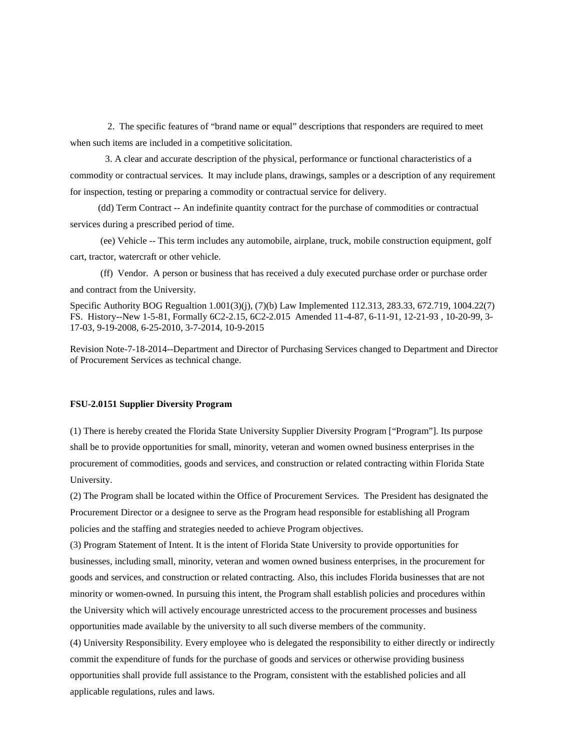2. The specific features of "brand name or equal" descriptions that responders are required to meet when such items are included in a competitive solicitation.

 3. A clear and accurate description of the physical, performance or functional characteristics of a commodity or contractual services. It may include plans, drawings, samples or a description of any requirement for inspection, testing or preparing a commodity or contractual service for delivery.

(dd) Term Contract -- An indefinite quantity contract for the purchase of commodities or contractual services during a prescribed period of time.

 (ee) Vehicle -- This term includes any automobile, airplane, truck, mobile construction equipment, golf cart, tractor, watercraft or other vehicle.

 (ff) Vendor. A person or business that has received a duly executed purchase order or purchase order and contract from the University.

Specific Authority BOG Regualtion 1.001(3)(j), (7)(b) Law Implemented 112.313, 283.33, 672.719, 1004.22(7) FS. History--New 1-5-81, Formally 6C2-2.15, 6C2-2.015 Amended 11-4-87, 6-11-91, 12-21-93 , 10-20-99, 3- 17-03, 9-19-2008, 6-25-2010, 3-7-2014, 10-9-2015

Revision Note-7-18-2014--Department and Director of Purchasing Services changed to Department and Director of Procurement Services as technical change.

#### **FSU-2.0151 Supplier Diversity Program**

(1) There is hereby created the Florida State University Supplier Diversity Program ["Program"]. Its purpose shall be to provide opportunities for small, minority, veteran and women owned business enterprises in the procurement of commodities, goods and services, and construction or related contracting within Florida State University.

(2) The Program shall be located within the Office of Procurement Services. The President has designated the Procurement Director or a designee to serve as the Program head responsible for establishing all Program policies and the staffing and strategies needed to achieve Program objectives.

(3) Program Statement of Intent. It is the intent of Florida State University to provide opportunities for businesses, including small, minority, veteran and women owned business enterprises, in the procurement for goods and services, and construction or related contracting. Also, this includes Florida businesses that are not minority or women-owned. In pursuing this intent, the Program shall establish policies and procedures within the University which will actively encourage unrestricted access to the procurement processes and business opportunities made available by the university to all such diverse members of the community.

(4) University Responsibility. Every employee who is delegated the responsibility to either directly or indirectly commit the expenditure of funds for the purchase of goods and services or otherwise providing business opportunities shall provide full assistance to the Program, consistent with the established policies and all applicable regulations, rules and laws.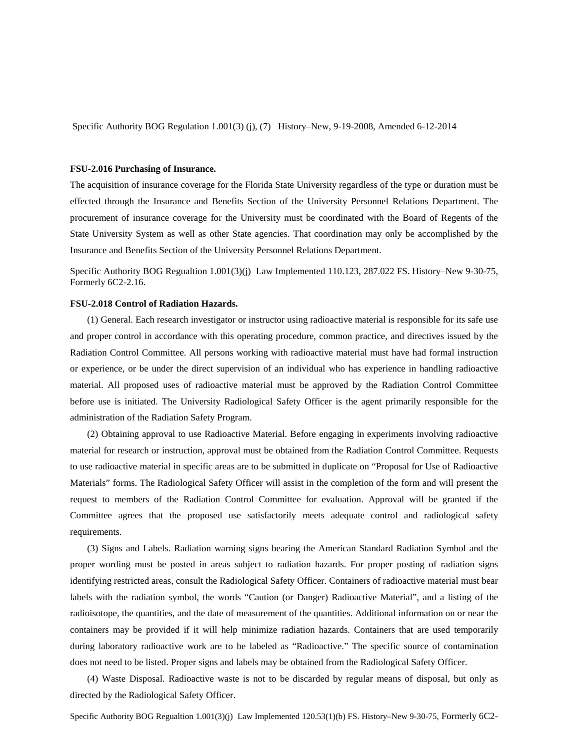Specific Authority BOG Regulation 1.001(3) (j), (7) History–New, 9-19-2008, Amended 6-12-2014

#### **FSU-2.016 Purchasing of Insurance.**

The acquisition of insurance coverage for the Florida State University regardless of the type or duration must be effected through the Insurance and Benefits Section of the University Personnel Relations Department. The procurement of insurance coverage for the University must be coordinated with the Board of Regents of the State University System as well as other State agencies. That coordination may only be accomplished by the Insurance and Benefits Section of the University Personnel Relations Department.

Specific Authority BOG Regualtion 1.001(3)(j) Law Implemented 110.123, 287.022 FS. History–New 9-30-75, Formerly 6C2-2.16.

#### **FSU-2.018 Control of Radiation Hazards.**

(1) General. Each research investigator or instructor using radioactive material is responsible for its safe use and proper control in accordance with this operating procedure, common practice, and directives issued by the Radiation Control Committee. All persons working with radioactive material must have had formal instruction or experience, or be under the direct supervision of an individual who has experience in handling radioactive material. All proposed uses of radioactive material must be approved by the Radiation Control Committee before use is initiated. The University Radiological Safety Officer is the agent primarily responsible for the administration of the Radiation Safety Program.

(2) Obtaining approval to use Radioactive Material. Before engaging in experiments involving radioactive material for research or instruction, approval must be obtained from the Radiation Control Committee. Requests to use radioactive material in specific areas are to be submitted in duplicate on "Proposal for Use of Radioactive Materials" forms. The Radiological Safety Officer will assist in the completion of the form and will present the request to members of the Radiation Control Committee for evaluation. Approval will be granted if the Committee agrees that the proposed use satisfactorily meets adequate control and radiological safety requirements.

(3) Signs and Labels. Radiation warning signs bearing the American Standard Radiation Symbol and the proper wording must be posted in areas subject to radiation hazards. For proper posting of radiation signs identifying restricted areas, consult the Radiological Safety Officer. Containers of radioactive material must bear labels with the radiation symbol, the words "Caution (or Danger) Radioactive Material", and a listing of the radioisotope, the quantities, and the date of measurement of the quantities. Additional information on or near the containers may be provided if it will help minimize radiation hazards. Containers that are used temporarily during laboratory radioactive work are to be labeled as "Radioactive." The specific source of contamination does not need to be listed. Proper signs and labels may be obtained from the Radiological Safety Officer.

(4) Waste Disposal. Radioactive waste is not to be discarded by regular means of disposal, but only as directed by the Radiological Safety Officer.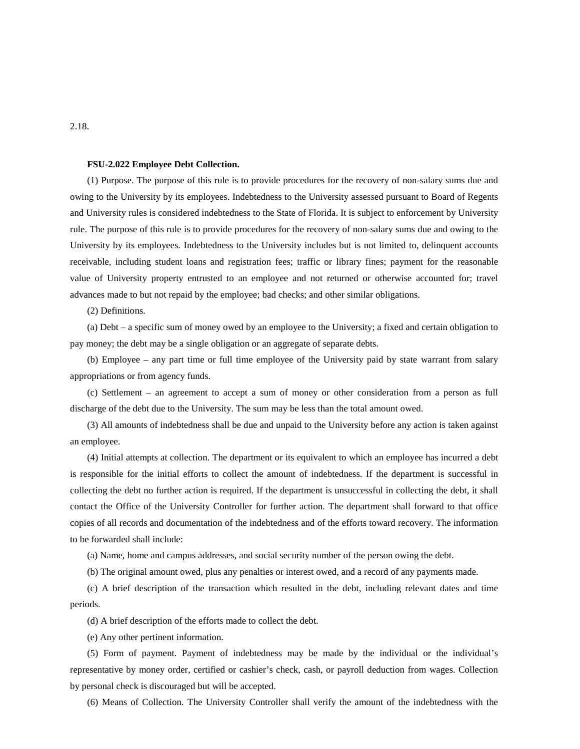#### **FSU-2.022 Employee Debt Collection.**

(1) Purpose. The purpose of this rule is to provide procedures for the recovery of non-salary sums due and owing to the University by its employees. Indebtedness to the University assessed pursuant to Board of Regents and University rules is considered indebtedness to the State of Florida. It is subject to enforcement by University rule. The purpose of this rule is to provide procedures for the recovery of non-salary sums due and owing to the University by its employees. Indebtedness to the University includes but is not limited to, delinquent accounts receivable, including student loans and registration fees; traffic or library fines; payment for the reasonable value of University property entrusted to an employee and not returned or otherwise accounted for; travel advances made to but not repaid by the employee; bad checks; and other similar obligations.

(2) Definitions.

(a) Debt – a specific sum of money owed by an employee to the University; a fixed and certain obligation to pay money; the debt may be a single obligation or an aggregate of separate debts.

(b) Employee – any part time or full time employee of the University paid by state warrant from salary appropriations or from agency funds.

(c) Settlement – an agreement to accept a sum of money or other consideration from a person as full discharge of the debt due to the University. The sum may be less than the total amount owed.

(3) All amounts of indebtedness shall be due and unpaid to the University before any action is taken against an employee.

(4) Initial attempts at collection. The department or its equivalent to which an employee has incurred a debt is responsible for the initial efforts to collect the amount of indebtedness. If the department is successful in collecting the debt no further action is required. If the department is unsuccessful in collecting the debt, it shall contact the Office of the University Controller for further action. The department shall forward to that office copies of all records and documentation of the indebtedness and of the efforts toward recovery. The information to be forwarded shall include:

(a) Name, home and campus addresses, and social security number of the person owing the debt.

(b) The original amount owed, plus any penalties or interest owed, and a record of any payments made.

(c) A brief description of the transaction which resulted in the debt, including relevant dates and time periods.

(d) A brief description of the efforts made to collect the debt.

(e) Any other pertinent information.

(5) Form of payment. Payment of indebtedness may be made by the individual or the individual's representative by money order, certified or cashier's check, cash, or payroll deduction from wages. Collection by personal check is discouraged but will be accepted.

(6) Means of Collection. The University Controller shall verify the amount of the indebtedness with the

### 2.18.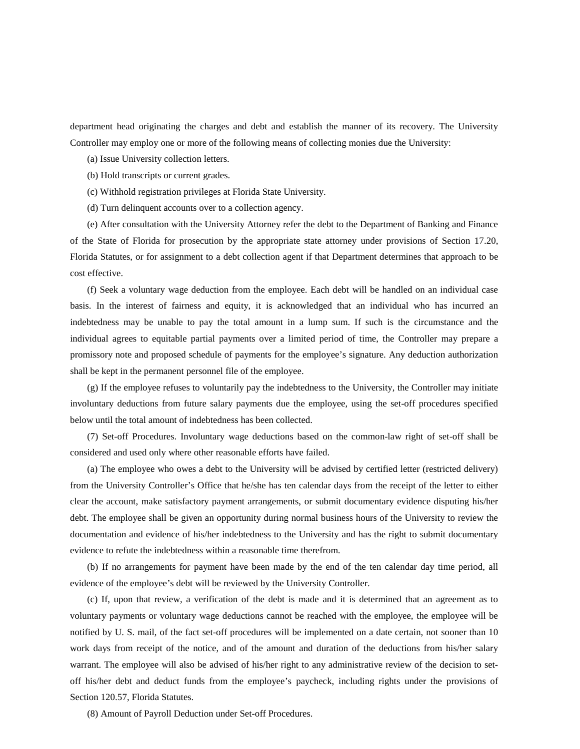department head originating the charges and debt and establish the manner of its recovery. The University Controller may employ one or more of the following means of collecting monies due the University:

(a) Issue University collection letters.

(b) Hold transcripts or current grades.

(c) Withhold registration privileges at Florida State University.

(d) Turn delinquent accounts over to a collection agency.

(e) After consultation with the University Attorney refer the debt to the Department of Banking and Finance of the State of Florida for prosecution by the appropriate state attorney under provisions of Section 17.20, Florida Statutes, or for assignment to a debt collection agent if that Department determines that approach to be cost effective.

(f) Seek a voluntary wage deduction from the employee. Each debt will be handled on an individual case basis. In the interest of fairness and equity, it is acknowledged that an individual who has incurred an indebtedness may be unable to pay the total amount in a lump sum. If such is the circumstance and the individual agrees to equitable partial payments over a limited period of time, the Controller may prepare a promissory note and proposed schedule of payments for the employee's signature. Any deduction authorization shall be kept in the permanent personnel file of the employee.

(g) If the employee refuses to voluntarily pay the indebtedness to the University, the Controller may initiate involuntary deductions from future salary payments due the employee, using the set-off procedures specified below until the total amount of indebtedness has been collected.

(7) Set-off Procedures. Involuntary wage deductions based on the common-law right of set-off shall be considered and used only where other reasonable efforts have failed.

(a) The employee who owes a debt to the University will be advised by certified letter (restricted delivery) from the University Controller's Office that he/she has ten calendar days from the receipt of the letter to either clear the account, make satisfactory payment arrangements, or submit documentary evidence disputing his/her debt. The employee shall be given an opportunity during normal business hours of the University to review the documentation and evidence of his/her indebtedness to the University and has the right to submit documentary evidence to refute the indebtedness within a reasonable time therefrom.

(b) If no arrangements for payment have been made by the end of the ten calendar day time period, all evidence of the employee's debt will be reviewed by the University Controller.

(c) If, upon that review, a verification of the debt is made and it is determined that an agreement as to voluntary payments or voluntary wage deductions cannot be reached with the employee, the employee will be notified by U. S. mail, of the fact set-off procedures will be implemented on a date certain, not sooner than 10 work days from receipt of the notice, and of the amount and duration of the deductions from his/her salary warrant. The employee will also be advised of his/her right to any administrative review of the decision to setoff his/her debt and deduct funds from the employee's paycheck, including rights under the provisions of Section 120.57, Florida Statutes.

(8) Amount of Payroll Deduction under Set-off Procedures.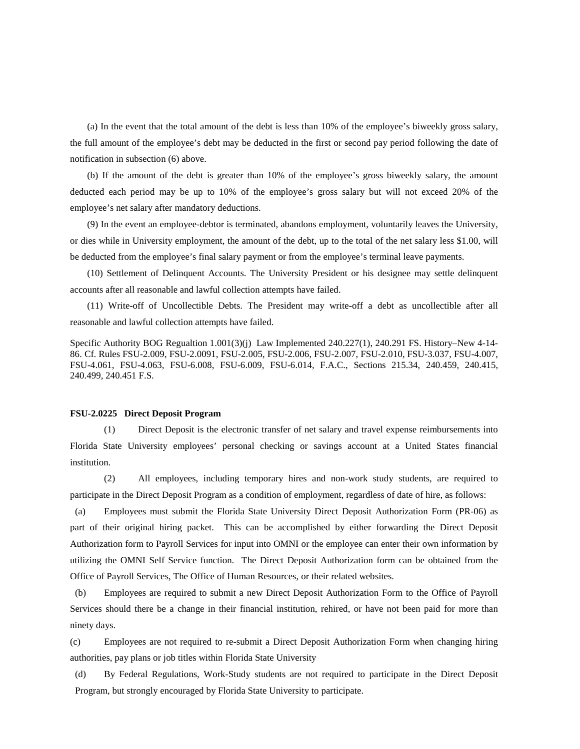(a) In the event that the total amount of the debt is less than 10% of the employee's biweekly gross salary, the full amount of the employee's debt may be deducted in the first or second pay period following the date of notification in subsection (6) above.

(b) If the amount of the debt is greater than 10% of the employee's gross biweekly salary, the amount deducted each period may be up to 10% of the employee's gross salary but will not exceed 20% of the employee's net salary after mandatory deductions.

(9) In the event an employee-debtor is terminated, abandons employment, voluntarily leaves the University, or dies while in University employment, the amount of the debt, up to the total of the net salary less \$1.00, will be deducted from the employee's final salary payment or from the employee's terminal leave payments.

(10) Settlement of Delinquent Accounts. The University President or his designee may settle delinquent accounts after all reasonable and lawful collection attempts have failed.

(11) Write-off of Uncollectible Debts. The President may write-off a debt as uncollectible after all reasonable and lawful collection attempts have failed.

Specific Authority BOG Regualtion 1.001(3)(j) Law Implemented 240.227(1), 240.291 FS. History–New 4-14- 86. Cf. Rules FSU-2.009, FSU-2.0091, FSU-2.005, FSU-2.006, FSU-2.007, FSU-2.010, FSU-3.037, FSU-4.007, FSU-4.061, FSU-4.063, FSU-6.008, FSU-6.009, FSU-6.014, F.A.C., Sections 215.34, 240.459, 240.415, 240.499, 240.451 F.S.

#### **FSU-2.0225 Direct Deposit Program**

(1) Direct Deposit is the electronic transfer of net salary and travel expense reimbursements into Florida State University employees' personal checking or savings account at a United States financial institution.

(2) All employees, including temporary hires and non-work study students, are required to participate in the Direct Deposit Program as a condition of employment, regardless of date of hire, as follows:

(a) Employees must submit the Florida State University Direct Deposit Authorization Form (PR-06) as part of their original hiring packet. This can be accomplished by either forwarding the Direct Deposit Authorization form to Payroll Services for input into OMNI or the employee can enter their own information by utilizing the OMNI Self Service function. The Direct Deposit Authorization form can be obtained from the Office of Payroll Services, The Office of Human Resources, or their related websites.

(b) Employees are required to submit a new Direct Deposit Authorization Form to the Office of Payroll Services should there be a change in their financial institution, rehired, or have not been paid for more than ninety days.

(c) Employees are not required to re-submit a Direct Deposit Authorization Form when changing hiring authorities, pay plans or job titles within Florida State University

(d) By Federal Regulations, Work-Study students are not required to participate in the Direct Deposit Program, but strongly encouraged by Florida State University to participate.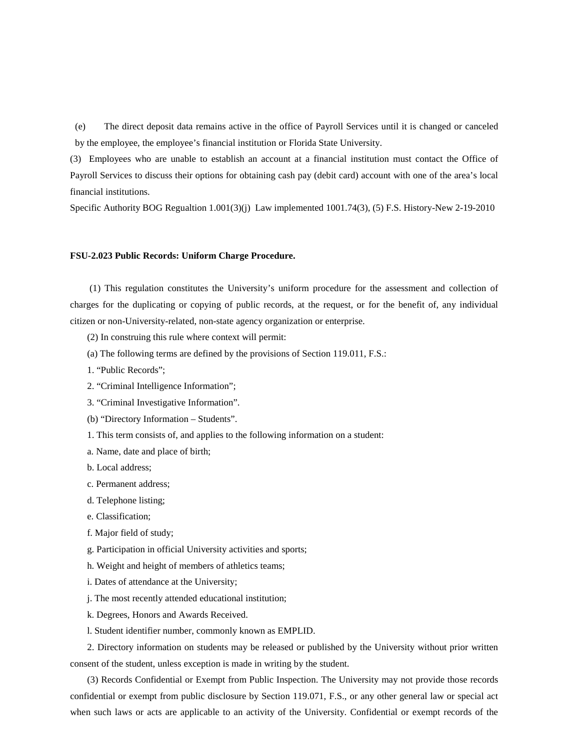(e) The direct deposit data remains active in the office of Payroll Services until it is changed or canceled by the employee, the employee's financial institution or Florida State University.

(3) Employees who are unable to establish an account at a financial institution must contact the Office of Payroll Services to discuss their options for obtaining cash pay (debit card) account with one of the area's local financial institutions.

Specific Authority BOG Regualtion 1.001(3)(j) Law implemented 1001.74(3), (5) F.S. History-New 2-19-2010

#### **FSU-2.023 Public Records: Uniform Charge Procedure.**

(1) This regulation constitutes the University's uniform procedure for the assessment and collection of charges for the duplicating or copying of public records, at the request, or for the benefit of, any individual citizen or non-University-related, non-state agency organization or enterprise.

- (2) In construing this rule where context will permit:
- (a) The following terms are defined by the provisions of Section 119.011, F.S.:
- 1. "Public Records";
- 2. "Criminal Intelligence Information";
- 3. "Criminal Investigative Information".
- (b) "Directory Information Students".
- 1. This term consists of, and applies to the following information on a student:

a. Name, date and place of birth;

- b. Local address;
- c. Permanent address;
- d. Telephone listing;
- e. Classification;
- f. Major field of study;
- g. Participation in official University activities and sports;
- h. Weight and height of members of athletics teams;
- i. Dates of attendance at the University;
- j. The most recently attended educational institution;
- k. Degrees, Honors and Awards Received.
- l. Student identifier number, commonly known as EMPLID.

2. Directory information on students may be released or published by the University without prior written consent of the student, unless exception is made in writing by the student.

(3) Records Confidential or Exempt from Public Inspection. The University may not provide those records confidential or exempt from public disclosure by Section 119.071, F.S., or any other general law or special act when such laws or acts are applicable to an activity of the University. Confidential or exempt records of the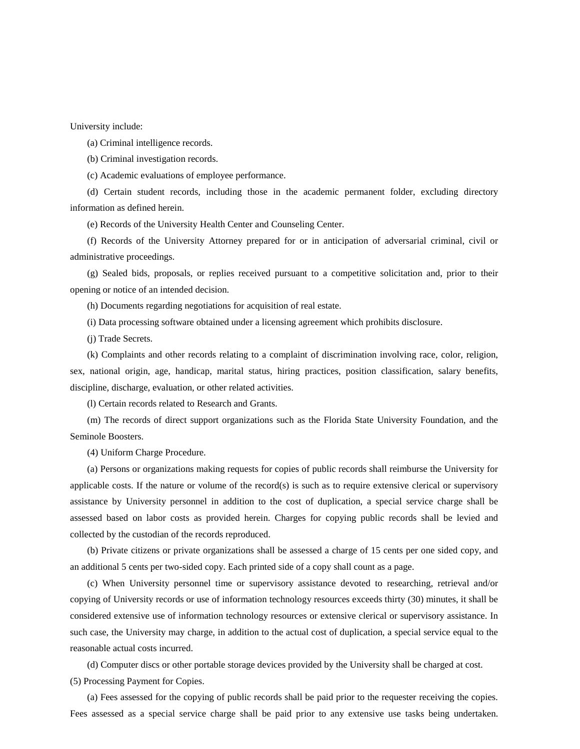University include:

(a) Criminal intelligence records.

(b) Criminal investigation records.

(c) Academic evaluations of employee performance.

(d) Certain student records, including those in the academic permanent folder, excluding directory information as defined herein.

(e) Records of the University Health Center and Counseling Center.

(f) Records of the University Attorney prepared for or in anticipation of adversarial criminal, civil or administrative proceedings.

(g) Sealed bids, proposals, or replies received pursuant to a competitive solicitation and, prior to their opening or notice of an intended decision.

(h) Documents regarding negotiations for acquisition of real estate.

(i) Data processing software obtained under a licensing agreement which prohibits disclosure.

(j) Trade Secrets.

(k) Complaints and other records relating to a complaint of discrimination involving race, color, religion, sex, national origin, age, handicap, marital status, hiring practices, position classification, salary benefits, discipline, discharge, evaluation, or other related activities.

(l) Certain records related to Research and Grants.

(m) The records of direct support organizations such as the Florida State University Foundation, and the Seminole Boosters.

(4) Uniform Charge Procedure.

(a) Persons or organizations making requests for copies of public records shall reimburse the University for applicable costs. If the nature or volume of the record(s) is such as to require extensive clerical or supervisory assistance by University personnel in addition to the cost of duplication, a special service charge shall be assessed based on labor costs as provided herein. Charges for copying public records shall be levied and collected by the custodian of the records reproduced.

(b) Private citizens or private organizations shall be assessed a charge of 15 cents per one sided copy, and an additional 5 cents per two-sided copy. Each printed side of a copy shall count as a page.

(c) When University personnel time or supervisory assistance devoted to researching, retrieval and/or copying of University records or use of information technology resources exceeds thirty (30) minutes, it shall be considered extensive use of information technology resources or extensive clerical or supervisory assistance. In such case, the University may charge, in addition to the actual cost of duplication, a special service equal to the reasonable actual costs incurred.

(d) Computer discs or other portable storage devices provided by the University shall be charged at cost.

(5) Processing Payment for Copies.

(a) Fees assessed for the copying of public records shall be paid prior to the requester receiving the copies. Fees assessed as a special service charge shall be paid prior to any extensive use tasks being undertaken.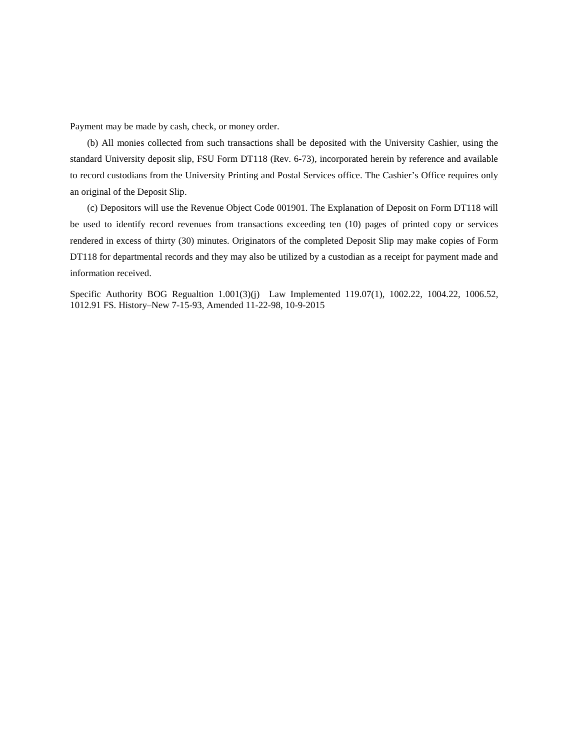Payment may be made by cash, check, or money order.

(b) All monies collected from such transactions shall be deposited with the University Cashier, using the standard University deposit slip, FSU Form DT118 (Rev. 6-73), incorporated herein by reference and available to record custodians from the University Printing and Postal Services office. The Cashier's Office requires only an original of the Deposit Slip.

(c) Depositors will use the Revenue Object Code 001901. The Explanation of Deposit on Form DT118 will be used to identify record revenues from transactions exceeding ten (10) pages of printed copy or services rendered in excess of thirty (30) minutes. Originators of the completed Deposit Slip may make copies of Form DT118 for departmental records and they may also be utilized by a custodian as a receipt for payment made and information received.

Specific Authority BOG Regualtion 1.001(3)(j) Law Implemented 119.07(1), 1002.22, 1004.22, 1006.52, 1012.91 FS. History–New 7-15-93, Amended 11-22-98, 10-9-2015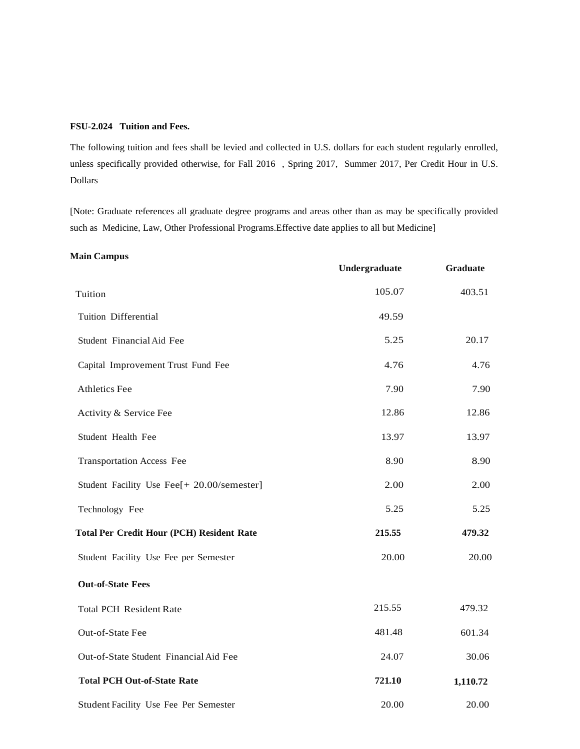## **FSU-2.024 Tuition and Fees.**

The following tuition and fees shall be levied and collected in U.S. dollars for each student regularly enrolled, unless specifically provided otherwise, for Fall 2016 , Spring 2017, Summer 2017, Per Credit Hour in U.S. Dollars

[Note: Graduate references all graduate degree programs and areas other than as may be specifically provided such as Medicine, Law, Other Professional Programs.Effective date applies to all but Medicine]

#### **Main Campus**

|                                                  | Undergraduate | <b>Graduate</b> |
|--------------------------------------------------|---------------|-----------------|
| Tuition                                          | 105.07        | 403.51          |
| <b>Tuition Differential</b>                      | 49.59         |                 |
| Student Financial Aid Fee                        | 5.25          | 20.17           |
| Capital Improvement Trust Fund Fee               | 4.76          | 4.76            |
| Athletics Fee                                    | 7.90          | 7.90            |
| Activity & Service Fee                           | 12.86         | 12.86           |
| Student Health Fee                               | 13.97         | 13.97           |
| <b>Transportation Access Fee</b>                 | 8.90          | 8.90            |
| Student Facility Use Fee[+ 20.00/semester]       | 2.00          | 2.00            |
| Technology Fee                                   | 5.25          | 5.25            |
| <b>Total Per Credit Hour (PCH) Resident Rate</b> | 215.55        | 479.32          |
| Student Facility Use Fee per Semester            | 20.00         | 20.00           |
| <b>Out-of-State Fees</b>                         |               |                 |
| <b>Total PCH Resident Rate</b>                   | 215.55        | 479.32          |
| Out-of-State Fee                                 | 481.48        | 601.34          |
| Out-of-State Student Financial Aid Fee           | 24.07         | 30.06           |
| <b>Total PCH Out-of-State Rate</b>               | 721.10        | 1,110.72        |
| Student Facility Use Fee Per Semester            | 20.00         | 20.00           |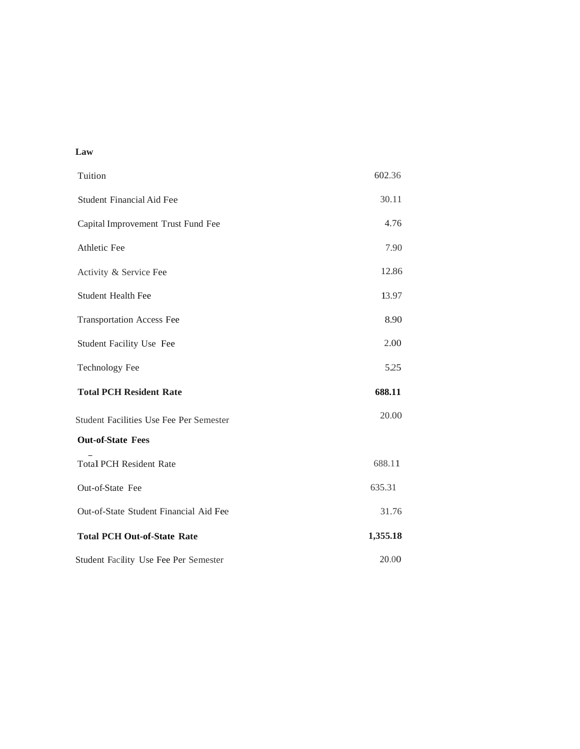# **Law**

| Tuition                                        | 602.36   |
|------------------------------------------------|----------|
| <b>Student Financial Aid Fee</b>               | 30.11    |
| Capital Improvement Trust Fund Fee             | 4.76     |
| Athletic Fee                                   | 7.90     |
| Activity & Service Fee                         | 12.86    |
| <b>Student Health Fee</b>                      | 13.97    |
| <b>Transportation Access Fee</b>               | 8.90     |
| Student Facility Use Fee                       | 2.00     |
| <b>Technology Fee</b>                          | 5.25     |
| <b>Total PCH Resident Rate</b>                 | 688.11   |
| <b>Student Facilities Use Fee Per Semester</b> | 20.00    |
| <b>Out-of-State Fees</b>                       |          |
| <b>Total PCH Resident Rate</b>                 | 688.11   |
| Out-of-State Fee                               | 635.31   |
| Out-of-State Student Financial Aid Fee         | 31.76    |
| <b>Total PCH Out-of-State Rate</b>             | 1,355.18 |
| Student Facility Use Fee Per Semester          | 20.00    |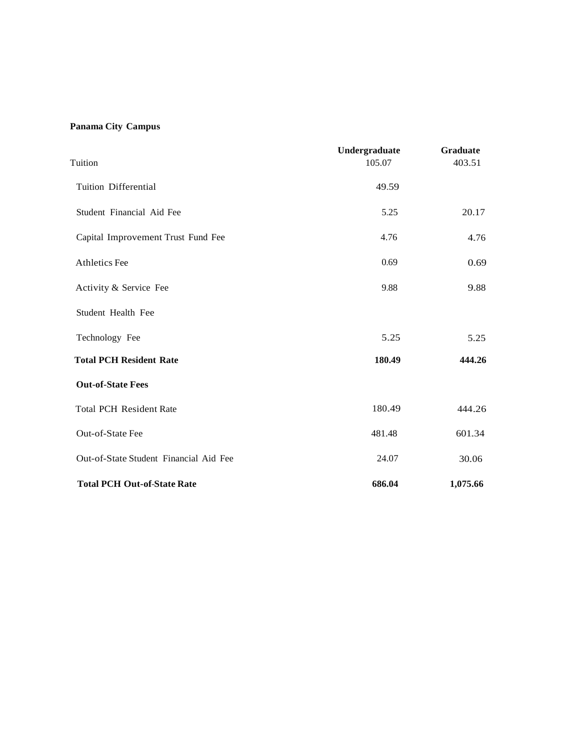# **Panama City Campus**

| Tuition                                | Undergraduate<br>105.07 | Graduate<br>403.51 |
|----------------------------------------|-------------------------|--------------------|
| Tuition Differential                   | 49.59                   |                    |
| Student Financial Aid Fee              | 5.25                    | 20.17              |
| Capital Improvement Trust Fund Fee     | 4.76                    | 4.76               |
| <b>Athletics Fee</b>                   | 0.69                    | 0.69               |
| Activity & Service Fee                 | 9.88                    | 9.88               |
| Student Health Fee                     |                         |                    |
| Technology Fee                         | 5.25                    | 5.25               |
| <b>Total PCH Resident Rate</b>         | 180.49                  | 444.26             |
| <b>Out-of-State Fees</b>               |                         |                    |
| <b>Total PCH Resident Rate</b>         | 180.49                  | 444.26             |
| Out-of-State Fee                       | 481.48                  | 601.34             |
| Out-of-State Student Financial Aid Fee | 24.07                   | 30.06              |
| <b>Total PCH Out-of-State Rate</b>     | 686.04                  | 1,075.66           |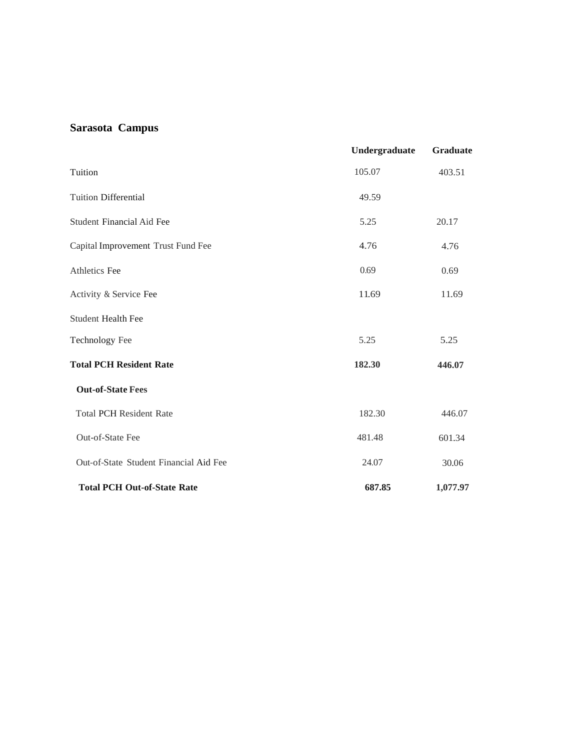# **Sarasota Campus**

|                                        | Undergraduate | Graduate |
|----------------------------------------|---------------|----------|
| Tuition                                | 105.07        | 403.51   |
| <b>Tuition Differential</b>            | 49.59         |          |
| Student Financial Aid Fee              | 5.25          | 20.17    |
| Capital Improvement Trust Fund Fee     | 4.76          | 4.76     |
| Athletics Fee                          | 0.69          | 0.69     |
| Activity & Service Fee                 | 11.69         | 11.69    |
| <b>Student Health Fee</b>              |               |          |
| Technology Fee                         | 5.25          | 5.25     |
| <b>Total PCH Resident Rate</b>         | 182.30        | 446.07   |
| <b>Out-of-State Fees</b>               |               |          |
| <b>Total PCH Resident Rate</b>         | 182.30        | 446.07   |
| Out-of-State Fee                       | 481.48        | 601.34   |
| Out-of-State Student Financial Aid Fee | 24.07         | 30.06    |
| <b>Total PCH Out-of-State Rate</b>     | 687.85        | 1,077.97 |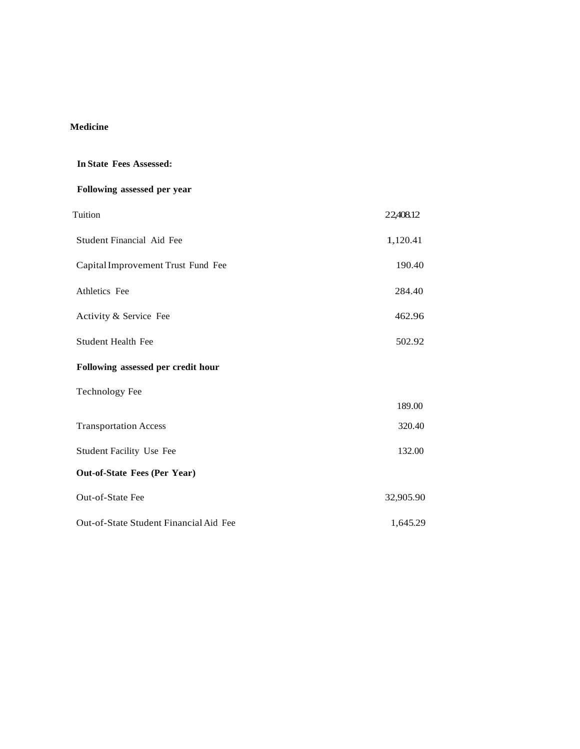# **Medicine**

| <b>In State Fees Assessed:</b>         |           |
|----------------------------------------|-----------|
| Following assessed per year            |           |
| Tuition                                | 22,408.12 |
| Student Financial Aid Fee              | 1,120.41  |
| Capital Improvement Trust Fund Fee     | 190.40    |
| Athletics Fee                          | 284.40    |
| Activity & Service Fee                 | 462.96    |
| <b>Student Health Fee</b>              | 502.92    |
| Following assessed per credit hour     |           |
| <b>Technology Fee</b>                  |           |
|                                        | 189.00    |
| <b>Transportation Access</b>           | 320.40    |
| <b>Student Facility Use Fee</b>        | 132.00    |
| <b>Out-of-State Fees (Per Year)</b>    |           |
| Out-of-State Fee                       | 32,905.90 |
| Out-of-State Student Financial Aid Fee | 1,645.29  |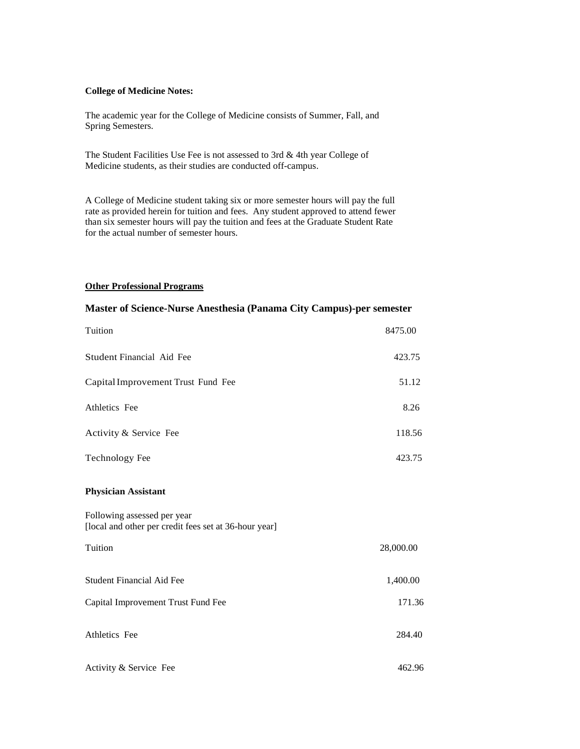# **College of Medicine Notes:**

The academic year for the College of Medicine consists of Summer, Fall, and Spring Semesters.

The Student Facilities Use Fee is not assessed to 3rd & 4th year College of Medicine students, as their studies are conducted off-campus.

A College of Medicine student taking six or more semester hours will pay the full rate as provided herein for tuition and fees. Any student approved to attend fewer than six semester hours will pay the tuition and fees at the Graduate Student Rate for the actual number of semester hours.

# **Other Professional Programs**

# **Master of Science-Nurse Anesthesia (Panama City Campus)-per semester**

| Tuition                                                                              | 8475.00   |
|--------------------------------------------------------------------------------------|-----------|
| Student Financial Aid Fee                                                            | 423.75    |
| Capital Improvement Trust Fund Fee                                                   | 51.12     |
| Athletics Fee                                                                        | 8.26      |
| Activity & Service Fee                                                               | 118.56    |
| <b>Technology Fee</b>                                                                | 423.75    |
| <b>Physician Assistant</b>                                                           |           |
| Following assessed per year<br>[local and other per credit fees set at 36-hour year] |           |
| Tuition                                                                              | 28,000.00 |
| <b>Student Financial Aid Fee</b>                                                     | 1,400.00  |
| Capital Improvement Trust Fund Fee                                                   | 171.36    |
| Athletics Fee                                                                        | 284.40    |
| Activity & Service Fee                                                               | 462.96    |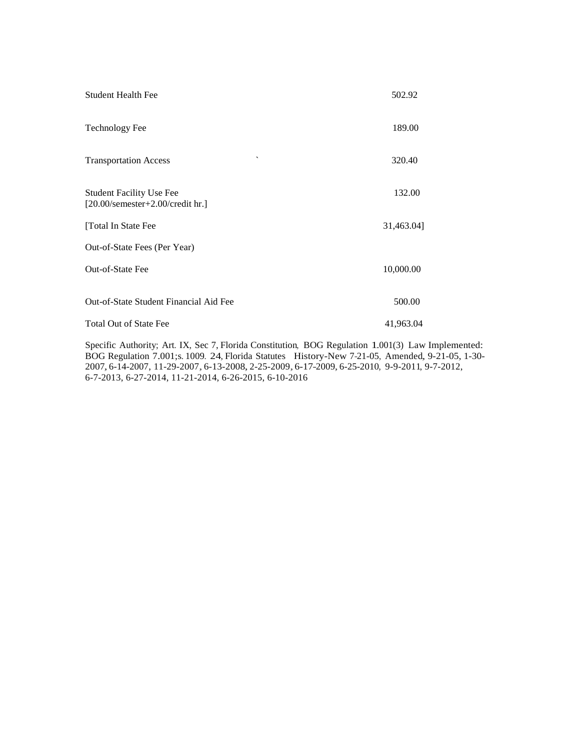| <b>Student Health Fee</b>                                                           | 502.92     |
|-------------------------------------------------------------------------------------|------------|
| <b>Technology Fee</b>                                                               | 189.00     |
| $\overline{\phantom{a}}$<br><b>Transportation Access</b>                            | 320.40     |
| <b>Student Facility Use Fee</b><br>$[20.00/\text{semester}+2.00/\text{credit hr.}]$ | 132.00     |
| [Total In State Fee                                                                 | 31,463.04] |
| Out-of-State Fees (Per Year)                                                        |            |
| Out-of-State Fee                                                                    | 10,000.00  |
| Out-of-State Student Financial Aid Fee                                              | 500.00     |
| <b>Total Out of State Fee</b>                                                       | 41,963.04  |

Specific Authority; Art. IX, Sec 7, Florida Constitution, BOG Regulation 1.001(3) Law Implemented: BOG Regulation 7.001;s. 1009. 24, Florida Statutes History-New 7-21-05, Amended, 9-21-05, 1-30- 2007, 6-14-2007, 11-29-2007, 6-13-2008, 2-25-2009,6-17-2009, 6-25-2010, 9-9-2011, 9-7-2012, 6-7-2013, 6-27-2014, 11-21-2014, 6-26-2015, 6-10-2016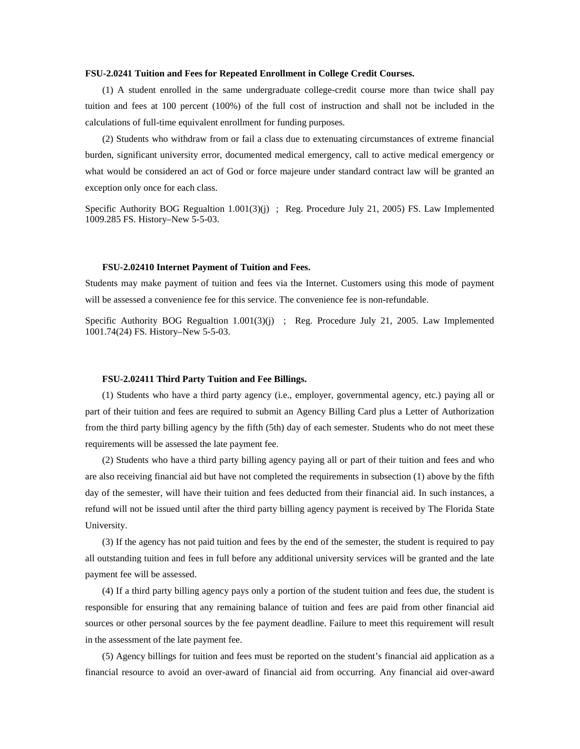### **FSU-2.0241 Tuition and Fees for Repeated Enrollment in College Credit Courses.**

(1) A student enrolled in the same undergraduate college-credit course more than twice shall pay tuition and fees at 100 percent (100%) of the full cost of instruction and shall not be included in the calculations of full-time equivalent enrollment for funding purposes.

(2) Students who withdraw from or fail a class due to extenuating circumstances of extreme financial burden, significant university error, documented medical emergency, call to active medical emergency or what would be considered an act of God or force majeure under standard contract law will be granted an exception only once for each class.

Specific Authority BOG Regualtion  $1.001(3)(j)$ ; Reg. Procedure July 21, 2005) FS. Law Implemented 1009.285 FS. History–New 5-5-03.

#### **FSU-2.02410 Internet Payment of Tuition and Fees.**

Students may make payment of tuition and fees via the Internet. Customers using this mode of payment will be assessed a convenience fee for this service. The convenience fee is non-refundable.

Specific Authority BOG Regualtion 1.001(3)(j) ; Reg. Procedure July 21, 2005. Law Implemented 1001.74(24) FS. History–New 5-5-03.

#### **FSU-2.02411 Third Party Tuition and Fee Billings.**

(1) Students who have a third party agency (i.e., employer, governmental agency, etc.) paying all or part of their tuition and fees are required to submit an Agency Billing Card plus a Letter of Authorization from the third party billing agency by the fifth (5th) day of each semester. Students who do not meet these requirements will be assessed the late payment fee.

(2) Students who have a third party billing agency paying all or part of their tuition and fees and who are also receiving financial aid but have not completed the requirements in subsection (1) above by the fifth day of the semester, will have their tuition and fees deducted from their financial aid. In such instances, a refund will not be issued until after the third party billing agency payment is received by The Florida State University.

(3) If the agency has not paid tuition and fees by the end of the semester, the student is required to pay all outstanding tuition and fees in full before any additional university services will be granted and the late payment fee will be assessed.

(4) If a third party billing agency pays only a portion of the student tuition and fees due, the student is responsible for ensuring that any remaining balance of tuition and fees are paid from other financial aid sources or other personal sources by the fee payment deadline. Failure to meet this requirement will result in the assessment of the late payment fee.

(5) Agency billings for tuition and fees must be reported on the student's financial aid application as a financial resource to avoid an over-award of financial aid from occurring. Any financial aid over-award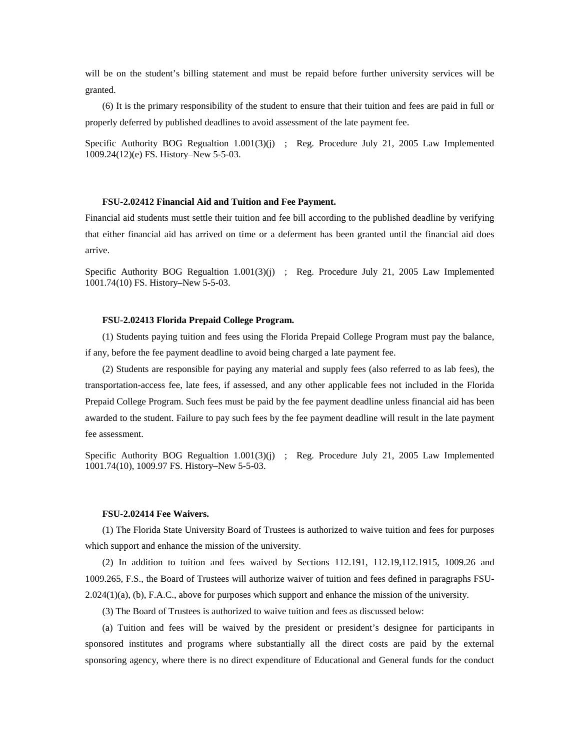will be on the student's billing statement and must be repaid before further university services will be granted.

(6) It is the primary responsibility of the student to ensure that their tuition and fees are paid in full or properly deferred by published deadlines to avoid assessment of the late payment fee.

Specific Authority BOG Regualtion 1.001(3)(j) ; Reg. Procedure July 21, 2005 Law Implemented 1009.24(12)(e) FS. History–New 5-5-03.

#### **FSU-2.02412 Financial Aid and Tuition and Fee Payment.**

Financial aid students must settle their tuition and fee bill according to the published deadline by verifying that either financial aid has arrived on time or a deferment has been granted until the financial aid does arrive.

Specific Authority BOG Regualtion 1.001(3)(j) ; Reg. Procedure July 21, 2005 Law Implemented 1001.74(10) FS. History–New 5-5-03.

#### **FSU-2.02413 Florida Prepaid College Program.**

(1) Students paying tuition and fees using the Florida Prepaid College Program must pay the balance, if any, before the fee payment deadline to avoid being charged a late payment fee.

(2) Students are responsible for paying any material and supply fees (also referred to as lab fees), the transportation-access fee, late fees, if assessed, and any other applicable fees not included in the Florida Prepaid College Program. Such fees must be paid by the fee payment deadline unless financial aid has been awarded to the student. Failure to pay such fees by the fee payment deadline will result in the late payment fee assessment.

Specific Authority BOG Regualtion 1.001(3)(j) ; Reg. Procedure July 21, 2005 Law Implemented 1001.74(10), 1009.97 FS. History–New 5-5-03.

#### **FSU-2.02414 Fee Waivers.**

(1) The Florida State University Board of Trustees is authorized to waive tuition and fees for purposes which support and enhance the mission of the university.

(2) In addition to tuition and fees waived by Sections 112.191, 112.19,112.1915, 1009.26 and 1009.265, F.S., the Board of Trustees will authorize waiver of tuition and fees defined in paragraphs FSU-2.024(1)(a), (b), F.A.C., above for purposes which support and enhance the mission of the university.

(3) The Board of Trustees is authorized to waive tuition and fees as discussed below:

(a) Tuition and fees will be waived by the president or president's designee for participants in sponsored institutes and programs where substantially all the direct costs are paid by the external sponsoring agency, where there is no direct expenditure of Educational and General funds for the conduct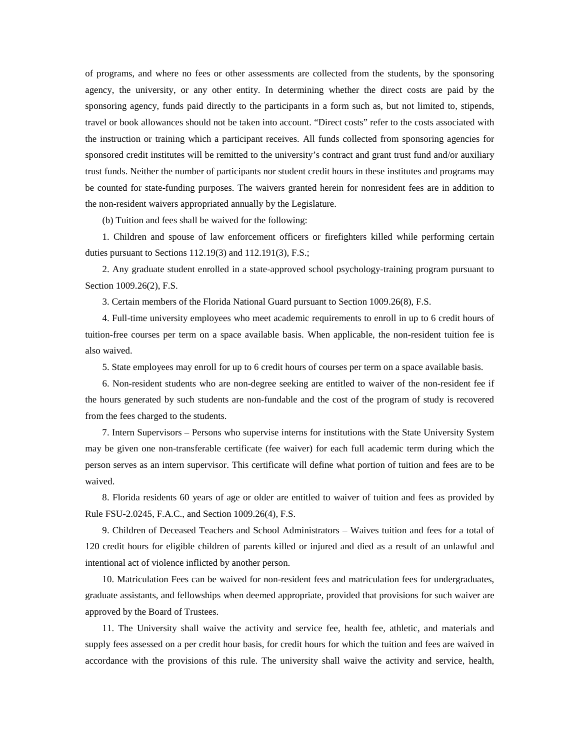of programs, and where no fees or other assessments are collected from the students, by the sponsoring agency, the university, or any other entity. In determining whether the direct costs are paid by the sponsoring agency, funds paid directly to the participants in a form such as, but not limited to, stipends, travel or book allowances should not be taken into account. "Direct costs" refer to the costs associated with the instruction or training which a participant receives. All funds collected from sponsoring agencies for sponsored credit institutes will be remitted to the university's contract and grant trust fund and/or auxiliary trust funds. Neither the number of participants nor student credit hours in these institutes and programs may be counted for state-funding purposes. The waivers granted herein for nonresident fees are in addition to the non-resident waivers appropriated annually by the Legislature.

(b) Tuition and fees shall be waived for the following:

1. Children and spouse of law enforcement officers or firefighters killed while performing certain duties pursuant to Sections 112.19(3) and 112.191(3), F.S.;

2. Any graduate student enrolled in a state-approved school psychology-training program pursuant to Section 1009.26(2), F.S.

3. Certain members of the Florida National Guard pursuant to Section 1009.26(8), F.S.

4. Full-time university employees who meet academic requirements to enroll in up to 6 credit hours of tuition-free courses per term on a space available basis. When applicable, the non-resident tuition fee is also waived.

5. State employees may enroll for up to 6 credit hours of courses per term on a space available basis.

6. Non-resident students who are non-degree seeking are entitled to waiver of the non-resident fee if the hours generated by such students are non-fundable and the cost of the program of study is recovered from the fees charged to the students.

7. Intern Supervisors – Persons who supervise interns for institutions with the State University System may be given one non-transferable certificate (fee waiver) for each full academic term during which the person serves as an intern supervisor. This certificate will define what portion of tuition and fees are to be waived.

8. Florida residents 60 years of age or older are entitled to waiver of tuition and fees as provided by Rule FSU-2.0245, F.A.C., and Section 1009.26(4), F.S.

9. Children of Deceased Teachers and School Administrators – Waives tuition and fees for a total of 120 credit hours for eligible children of parents killed or injured and died as a result of an unlawful and intentional act of violence inflicted by another person.

10. Matriculation Fees can be waived for non-resident fees and matriculation fees for undergraduates, graduate assistants, and fellowships when deemed appropriate, provided that provisions for such waiver are approved by the Board of Trustees.

11. The University shall waive the activity and service fee, health fee, athletic, and materials and supply fees assessed on a per credit hour basis, for credit hours for which the tuition and fees are waived in accordance with the provisions of this rule. The university shall waive the activity and service, health,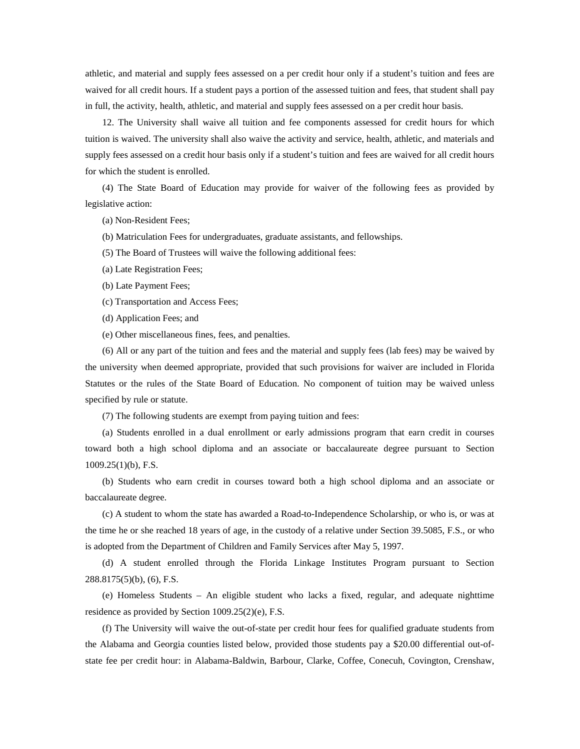athletic, and material and supply fees assessed on a per credit hour only if a student's tuition and fees are waived for all credit hours. If a student pays a portion of the assessed tuition and fees, that student shall pay in full, the activity, health, athletic, and material and supply fees assessed on a per credit hour basis.

12. The University shall waive all tuition and fee components assessed for credit hours for which tuition is waived. The university shall also waive the activity and service, health, athletic, and materials and supply fees assessed on a credit hour basis only if a student's tuition and fees are waived for all credit hours for which the student is enrolled.

(4) The State Board of Education may provide for waiver of the following fees as provided by legislative action:

(a) Non-Resident Fees;

(b) Matriculation Fees for undergraduates, graduate assistants, and fellowships.

(5) The Board of Trustees will waive the following additional fees:

- (a) Late Registration Fees;
- (b) Late Payment Fees;
- (c) Transportation and Access Fees;
- (d) Application Fees; and
- (e) Other miscellaneous fines, fees, and penalties.

(6) All or any part of the tuition and fees and the material and supply fees (lab fees) may be waived by the university when deemed appropriate, provided that such provisions for waiver are included in Florida Statutes or the rules of the State Board of Education. No component of tuition may be waived unless specified by rule or statute.

(7) The following students are exempt from paying tuition and fees:

(a) Students enrolled in a dual enrollment or early admissions program that earn credit in courses toward both a high school diploma and an associate or baccalaureate degree pursuant to Section 1009.25(1)(b), F.S.

(b) Students who earn credit in courses toward both a high school diploma and an associate or baccalaureate degree.

(c) A student to whom the state has awarded a Road-to-Independence Scholarship, or who is, or was at the time he or she reached 18 years of age, in the custody of a relative under Section 39.5085, F.S., or who is adopted from the Department of Children and Family Services after May 5, 1997.

(d) A student enrolled through the Florida Linkage Institutes Program pursuant to Section 288.8175(5)(b), (6), F.S.

(e) Homeless Students – An eligible student who lacks a fixed, regular, and adequate nighttime residence as provided by Section 1009.25(2)(e), F.S.

(f) The University will waive the out-of-state per credit hour fees for qualified graduate students from the Alabama and Georgia counties listed below, provided those students pay a \$20.00 differential out-ofstate fee per credit hour: in Alabama-Baldwin, Barbour, Clarke, Coffee, Conecuh, Covington, Crenshaw,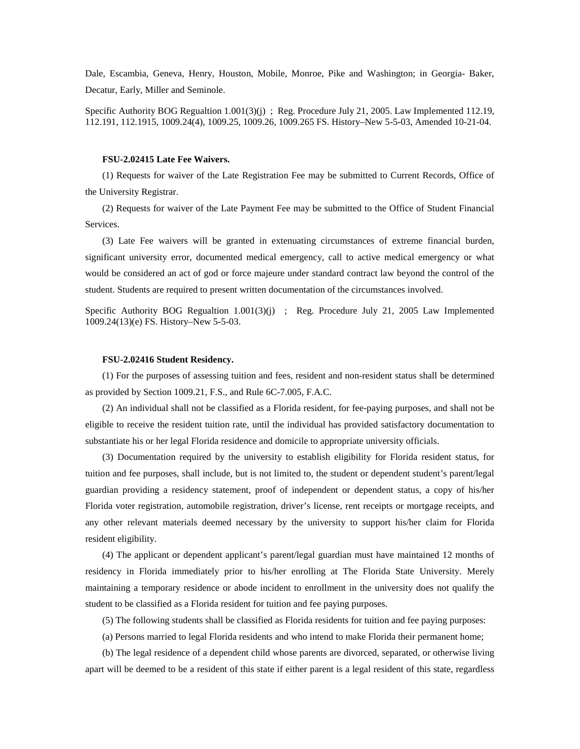Dale, Escambia, Geneva, Henry, Houston, Mobile, Monroe, Pike and Washington; in Georgia- Baker, Decatur, Early, Miller and Seminole.

Specific Authority BOG Regualtion 1.001(3)(j) ; Reg. Procedure July 21, 2005. Law Implemented 112.19, 112.191, 112.1915, 1009.24(4), 1009.25, 1009.26, 1009.265 FS. History–New 5-5-03, Amended 10-21-04.

#### **FSU-2.02415 Late Fee Waivers.**

(1) Requests for waiver of the Late Registration Fee may be submitted to Current Records, Office of the University Registrar.

(2) Requests for waiver of the Late Payment Fee may be submitted to the Office of Student Financial Services.

(3) Late Fee waivers will be granted in extenuating circumstances of extreme financial burden, significant university error, documented medical emergency, call to active medical emergency or what would be considered an act of god or force majeure under standard contract law beyond the control of the student. Students are required to present written documentation of the circumstances involved.

Specific Authority BOG Regualtion 1.001(3)(j) ; Reg. Procedure July 21, 2005 Law Implemented 1009.24(13)(e) FS. History–New 5-5-03.

### **FSU-2.02416 Student Residency.**

(1) For the purposes of assessing tuition and fees, resident and non-resident status shall be determined as provided by Section 1009.21, F.S., and Rule 6C-7.005, F.A.C.

(2) An individual shall not be classified as a Florida resident, for fee-paying purposes, and shall not be eligible to receive the resident tuition rate, until the individual has provided satisfactory documentation to substantiate his or her legal Florida residence and domicile to appropriate university officials.

(3) Documentation required by the university to establish eligibility for Florida resident status, for tuition and fee purposes, shall include, but is not limited to, the student or dependent student's parent/legal guardian providing a residency statement, proof of independent or dependent status, a copy of his/her Florida voter registration, automobile registration, driver's license, rent receipts or mortgage receipts, and any other relevant materials deemed necessary by the university to support his/her claim for Florida resident eligibility.

(4) The applicant or dependent applicant's parent/legal guardian must have maintained 12 months of residency in Florida immediately prior to his/her enrolling at The Florida State University. Merely maintaining a temporary residence or abode incident to enrollment in the university does not qualify the student to be classified as a Florida resident for tuition and fee paying purposes.

(5) The following students shall be classified as Florida residents for tuition and fee paying purposes:

(a) Persons married to legal Florida residents and who intend to make Florida their permanent home;

(b) The legal residence of a dependent child whose parents are divorced, separated, or otherwise living apart will be deemed to be a resident of this state if either parent is a legal resident of this state, regardless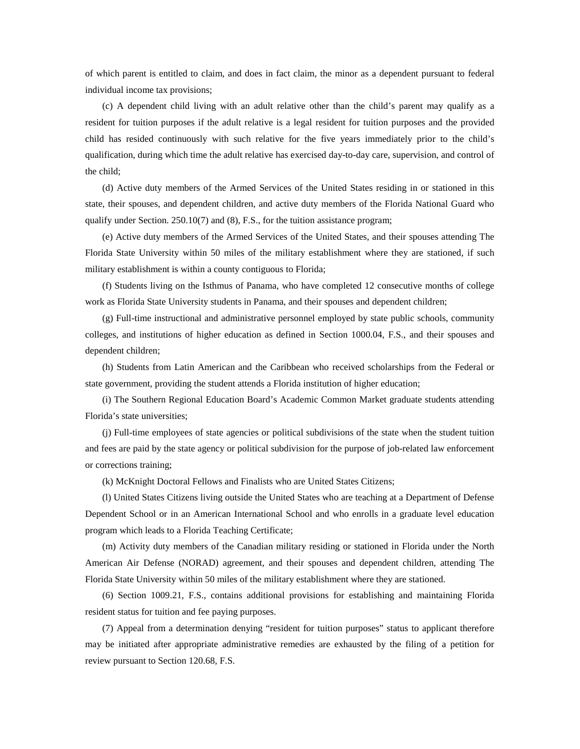of which parent is entitled to claim, and does in fact claim, the minor as a dependent pursuant to federal individual income tax provisions;

(c) A dependent child living with an adult relative other than the child's parent may qualify as a resident for tuition purposes if the adult relative is a legal resident for tuition purposes and the provided child has resided continuously with such relative for the five years immediately prior to the child's qualification, during which time the adult relative has exercised day-to-day care, supervision, and control of the child;

(d) Active duty members of the Armed Services of the United States residing in or stationed in this state, their spouses, and dependent children, and active duty members of the Florida National Guard who qualify under Section. 250.10(7) and (8), F.S., for the tuition assistance program;

(e) Active duty members of the Armed Services of the United States, and their spouses attending The Florida State University within 50 miles of the military establishment where they are stationed, if such military establishment is within a county contiguous to Florida;

(f) Students living on the Isthmus of Panama, who have completed 12 consecutive months of college work as Florida State University students in Panama, and their spouses and dependent children;

(g) Full-time instructional and administrative personnel employed by state public schools, community colleges, and institutions of higher education as defined in Section 1000.04, F.S., and their spouses and dependent children;

(h) Students from Latin American and the Caribbean who received scholarships from the Federal or state government, providing the student attends a Florida institution of higher education;

(i) The Southern Regional Education Board's Academic Common Market graduate students attending Florida's state universities;

(j) Full-time employees of state agencies or political subdivisions of the state when the student tuition and fees are paid by the state agency or political subdivision for the purpose of job-related law enforcement or corrections training;

(k) McKnight Doctoral Fellows and Finalists who are United States Citizens;

(l) United States Citizens living outside the United States who are teaching at a Department of Defense Dependent School or in an American International School and who enrolls in a graduate level education program which leads to a Florida Teaching Certificate;

(m) Activity duty members of the Canadian military residing or stationed in Florida under the North American Air Defense (NORAD) agreement, and their spouses and dependent children, attending The Florida State University within 50 miles of the military establishment where they are stationed.

(6) Section 1009.21, F.S., contains additional provisions for establishing and maintaining Florida resident status for tuition and fee paying purposes.

(7) Appeal from a determination denying "resident for tuition purposes" status to applicant therefore may be initiated after appropriate administrative remedies are exhausted by the filing of a petition for review pursuant to Section 120.68, F.S.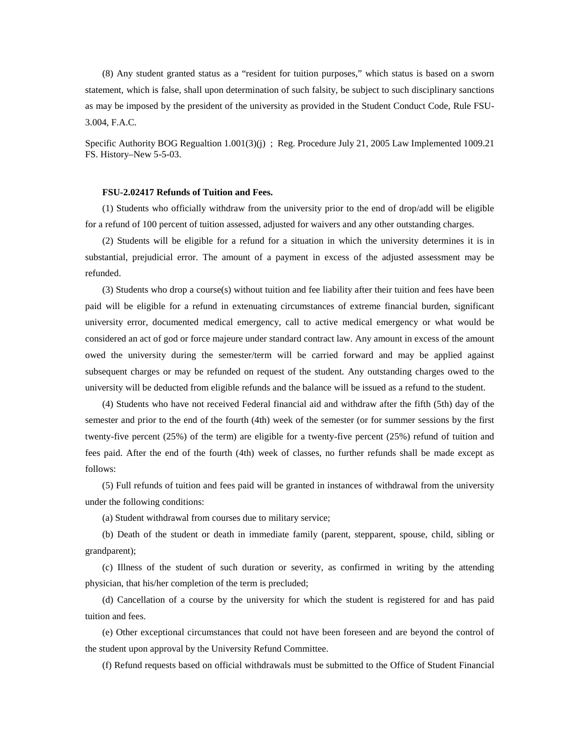(8) Any student granted status as a "resident for tuition purposes," which status is based on a sworn statement, which is false, shall upon determination of such falsity, be subject to such disciplinary sanctions as may be imposed by the president of the university as provided in the Student Conduct Code, Rule FSU-3.004, F.A.C.

Specific Authority BOG Regualtion 1.001(3)(j) ; Reg. Procedure July 21, 2005 Law Implemented 1009.21 FS. History–New 5-5-03.

#### **FSU-2.02417 Refunds of Tuition and Fees.**

(1) Students who officially withdraw from the university prior to the end of drop/add will be eligible for a refund of 100 percent of tuition assessed, adjusted for waivers and any other outstanding charges.

(2) Students will be eligible for a refund for a situation in which the university determines it is in substantial, prejudicial error. The amount of a payment in excess of the adjusted assessment may be refunded.

(3) Students who drop a course(s) without tuition and fee liability after their tuition and fees have been paid will be eligible for a refund in extenuating circumstances of extreme financial burden, significant university error, documented medical emergency, call to active medical emergency or what would be considered an act of god or force majeure under standard contract law. Any amount in excess of the amount owed the university during the semester/term will be carried forward and may be applied against subsequent charges or may be refunded on request of the student. Any outstanding charges owed to the university will be deducted from eligible refunds and the balance will be issued as a refund to the student.

(4) Students who have not received Federal financial aid and withdraw after the fifth (5th) day of the semester and prior to the end of the fourth (4th) week of the semester (or for summer sessions by the first twenty-five percent (25%) of the term) are eligible for a twenty-five percent (25%) refund of tuition and fees paid. After the end of the fourth (4th) week of classes, no further refunds shall be made except as follows:

(5) Full refunds of tuition and fees paid will be granted in instances of withdrawal from the university under the following conditions:

(a) Student withdrawal from courses due to military service;

(b) Death of the student or death in immediate family (parent, stepparent, spouse, child, sibling or grandparent);

(c) Illness of the student of such duration or severity, as confirmed in writing by the attending physician, that his/her completion of the term is precluded;

(d) Cancellation of a course by the university for which the student is registered for and has paid tuition and fees.

(e) Other exceptional circumstances that could not have been foreseen and are beyond the control of the student upon approval by the University Refund Committee.

(f) Refund requests based on official withdrawals must be submitted to the Office of Student Financial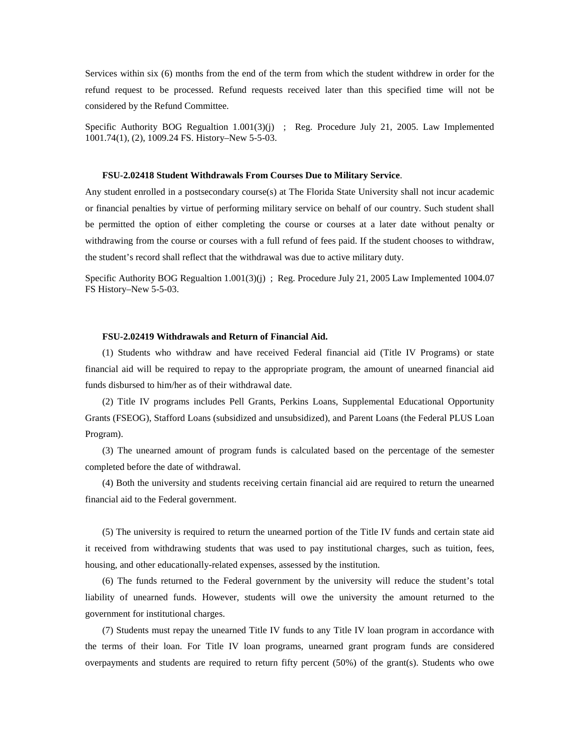Services within six (6) months from the end of the term from which the student withdrew in order for the refund request to be processed. Refund requests received later than this specified time will not be considered by the Refund Committee.

Specific Authority BOG Regualtion 1.001(3)(j) ; Reg. Procedure July 21, 2005. Law Implemented 1001.74(1), (2), 1009.24 FS. History–New 5-5-03.

#### **FSU-2.02418 Student Withdrawals From Courses Due to Military Service**.

Any student enrolled in a postsecondary course(s) at The Florida State University shall not incur academic or financial penalties by virtue of performing military service on behalf of our country. Such student shall be permitted the option of either completing the course or courses at a later date without penalty or withdrawing from the course or courses with a full refund of fees paid. If the student chooses to withdraw, the student's record shall reflect that the withdrawal was due to active military duty.

Specific Authority BOG Regualtion 1.001(3)(j) ; Reg. Procedure July 21, 2005 Law Implemented 1004.07 FS History–New 5-5-03.

### **FSU-2.02419 Withdrawals and Return of Financial Aid.**

(1) Students who withdraw and have received Federal financial aid (Title IV Programs) or state financial aid will be required to repay to the appropriate program, the amount of unearned financial aid funds disbursed to him/her as of their withdrawal date.

(2) Title IV programs includes Pell Grants, Perkins Loans, Supplemental Educational Opportunity Grants (FSEOG), Stafford Loans (subsidized and unsubsidized), and Parent Loans (the Federal PLUS Loan Program).

(3) The unearned amount of program funds is calculated based on the percentage of the semester completed before the date of withdrawal.

(4) Both the university and students receiving certain financial aid are required to return the unearned financial aid to the Federal government.

(5) The university is required to return the unearned portion of the Title IV funds and certain state aid it received from withdrawing students that was used to pay institutional charges, such as tuition, fees, housing, and other educationally-related expenses, assessed by the institution.

(6) The funds returned to the Federal government by the university will reduce the student's total liability of unearned funds. However, students will owe the university the amount returned to the government for institutional charges.

(7) Students must repay the unearned Title IV funds to any Title IV loan program in accordance with the terms of their loan. For Title IV loan programs, unearned grant program funds are considered overpayments and students are required to return fifty percent (50%) of the grant(s). Students who owe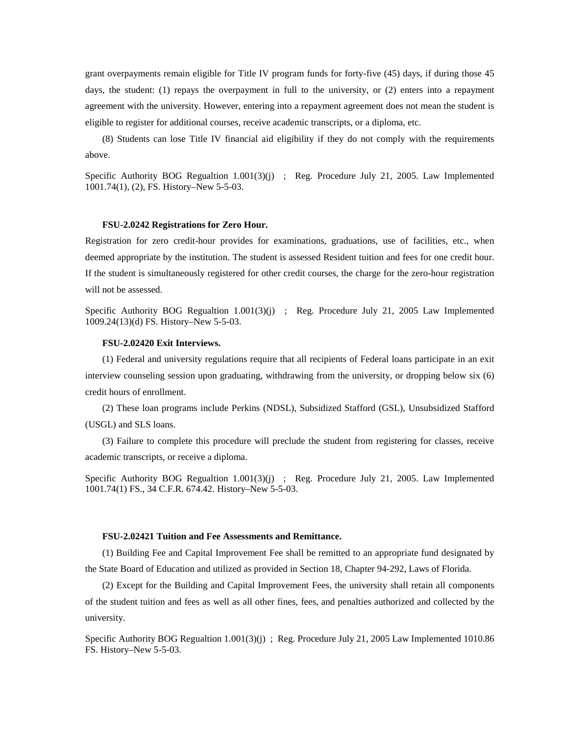grant overpayments remain eligible for Title IV program funds for forty-five (45) days, if during those 45 days, the student: (1) repays the overpayment in full to the university, or (2) enters into a repayment agreement with the university. However, entering into a repayment agreement does not mean the student is eligible to register for additional courses, receive academic transcripts, or a diploma, etc.

(8) Students can lose Title IV financial aid eligibility if they do not comply with the requirements above.

Specific Authority BOG Regualtion 1.001(3)(j) ; Reg. Procedure July 21, 2005. Law Implemented 1001.74(1), (2), FS. History–New 5-5-03.

#### **FSU-2.0242 Registrations for Zero Hour.**

Registration for zero credit-hour provides for examinations, graduations, use of facilities, etc., when deemed appropriate by the institution. The student is assessed Resident tuition and fees for one credit hour. If the student is simultaneously registered for other credit courses, the charge for the zero-hour registration will not be assessed.

Specific Authority BOG Regualtion 1.001(3)(j) ; Reg. Procedure July 21, 2005 Law Implemented 1009.24(13)(d) FS. History–New 5-5-03.

# **FSU-2.02420 Exit Interviews.**

(1) Federal and university regulations require that all recipients of Federal loans participate in an exit interview counseling session upon graduating, withdrawing from the university, or dropping below six (6) credit hours of enrollment.

(2) These loan programs include Perkins (NDSL), Subsidized Stafford (GSL), Unsubsidized Stafford (USGL) and SLS loans.

(3) Failure to complete this procedure will preclude the student from registering for classes, receive academic transcripts, or receive a diploma.

Specific Authority BOG Regualtion 1.001(3)(j) ; Reg. Procedure July 21, 2005. Law Implemented 1001.74(1) FS., 34 C.F.R. 674.42. History–New 5-5-03.

#### **FSU-2.02421 Tuition and Fee Assessments and Remittance.**

(1) Building Fee and Capital Improvement Fee shall be remitted to an appropriate fund designated by the State Board of Education and utilized as provided in Section 18, Chapter 94-292, Laws of Florida.

(2) Except for the Building and Capital Improvement Fees, the university shall retain all components of the student tuition and fees as well as all other fines, fees, and penalties authorized and collected by the university.

Specific Authority BOG Regualtion 1.001(3)(j) ; Reg. Procedure July 21, 2005 Law Implemented 1010.86 FS. History–New 5-5-03.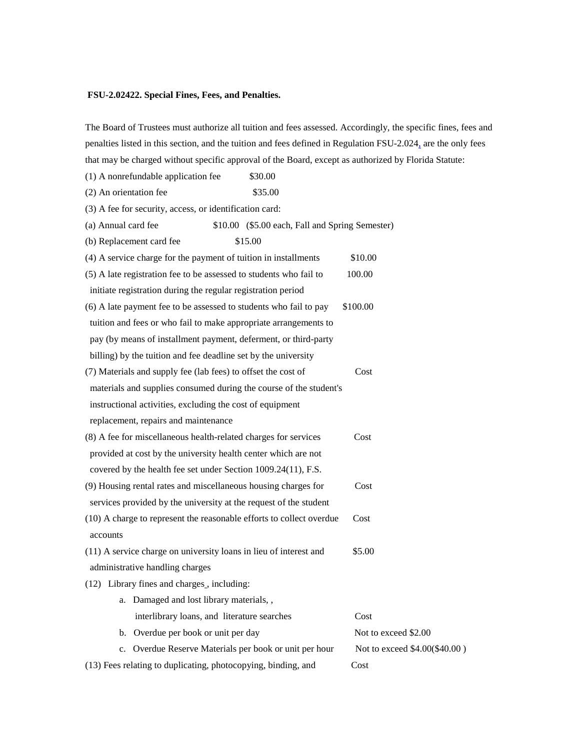### **FSU-2.02422. Special Fines, Fees, and Penalties.**

(1) A nonrefundable application fee \$30.00

The Board of Trustees must authorize all tuition and fees assessed. Accordingly, the specific fines, fees and penalties listed in this section, and the tuition and fees defined in Regulation FSU-2.024, are the only fees that may be charged without specific approval of the Board, except as authorized by Florida Statute:

 $(2)$  An orientation fee  $$35.00$ (3) A fee for security, access, or identification card: (a) Annual card fee \$10.00 (\$5.00 each, Fall and Spring Semester) (b) Replacement card fee \$15.00 (4) A service charge for the payment of tuition in installments \$10.00 (5) A late registration fee to be assessed to students who fail to 100.00 initiate registration during the regular registration period  $(6)$  A late payment fee to be assessed to students who fail to pay  $$100.00$  tuition and fees or who fail to make appropriate arrangements to pay (by means of installment payment, deferment, or third-party billing) by the tuition and fee deadline set by the university (7) Materials and supply fee (lab fees) to offset the cost of Cost materials and supplies consumed during the course of the student's instructional activities, excluding the cost of equipment replacement, repairs and maintenance (8) A fee for miscellaneous health-related charges for services Cost provided at cost by the university health center which are not covered by the health fee set under Section 1009.24(11), F.S. (9) Housing rental rates and miscellaneous housing charges for Cost services provided by the university at the request of the student (10) A charge to represent the reasonable efforts to collect overdue Cost accounts (11) A service charge on university loans in lieu of interest and \$5.00 administrative handling charges (12) Library fines and charges , including: a. Damaged and lost library materials, , interlibrary loans, and literature searches Cost b. Overdue per book or unit per day Not to exceed \$2.00 c. Overdue Reserve Materials per book or unit per hour Not to exceed \$4.00(\$40.00) (13) Fees relating to duplicating, photocopying, binding, and Cost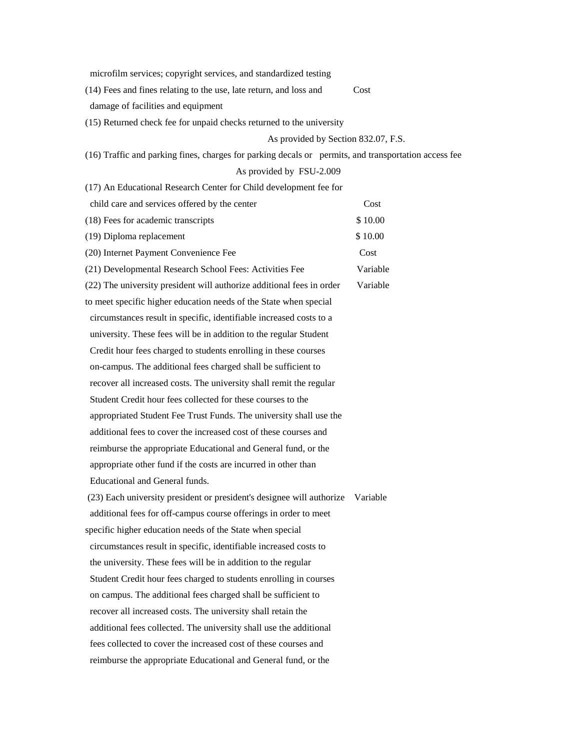microfilm services; copyright services, and standardized testing

(14) Fees and fines relating to the use, late return, and loss and Cost

damage of facilities and equipment

(15) Returned check fee for unpaid checks returned to the university

# As provided by Section 832.07, F.S.

(16) Traffic and parking fines, charges for parking decals or permits, and transportation access fee

# As provided by FSU-2.009

(17) An Educational Research Center for Child development fee for

| child care and services offered by the center                         | Cost     |
|-----------------------------------------------------------------------|----------|
| (18) Fees for academic transcripts                                    | \$10.00  |
| (19) Diploma replacement                                              | \$10.00  |
| (20) Internet Payment Convenience Fee                                 | Cost     |
| (21) Developmental Research School Fees: Activities Fee               | Variable |
| (22) The university president will authorize additional fees in order | Variable |
| to meet specific higher education needs of the State when special     |          |
| circumstances result in specific, identifiable increased costs to a   |          |
| university. These fees will be in addition to the regular Student     |          |
| Credit hour fees charged to students enrolling in these courses       |          |
| on-campus. The additional fees charged shall be sufficient to         |          |
| recover all increased costs. The university shall remit the regular   |          |
| Student Credit hour fees collected for these courses to the           |          |
| appropriated Student Fee Trust Funds. The university shall use the    |          |
| additional fees to cover the increased cost of these courses and      |          |
| reimburse the appropriate Educational and General fund, or the        |          |
| appropriate other fund if the costs are incurred in other than        |          |
| Educational and General funds.                                        |          |
| (23) Each university president or president's designee will authorize | Variable |
| additional fees for off-campus course offerings in order to meet      |          |
| specific higher education needs of the State when special             |          |
| circumstances result in specific, identifiable increased costs to     |          |
| the university. These fees will be in addition to the regular         |          |
| Student Credit hour fees charged to students enrolling in courses     |          |
| on campus. The additional fees charged shall be sufficient to         |          |
| recover all increased costs. The university shall retain the          |          |
| additional fees collected. The university shall use the additional    |          |
| fees collected to cover the increased cost of these courses and       |          |
| reimburse the appropriate Educational and General fund, or the        |          |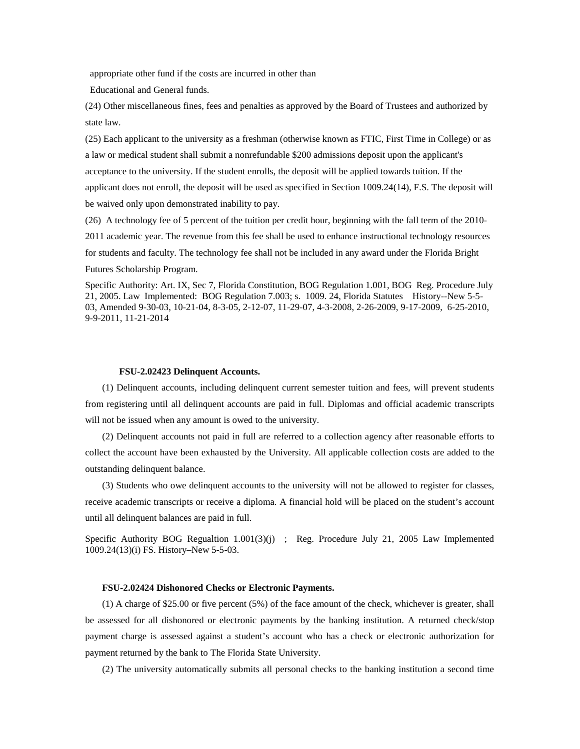appropriate other fund if the costs are incurred in other than

Educational and General funds.

(24) Other miscellaneous fines, fees and penalties as approved by the Board of Trustees and authorized by state law.

(25) Each applicant to the university as a freshman (otherwise known as FTIC, First Time in College) or as a law or medical student shall submit a nonrefundable \$200 admissions deposit upon the applicant's acceptance to the university. If the student enrolls, the deposit will be applied towards tuition. If the applicant does not enroll, the deposit will be used as specified in Section 1009.24(14), F.S. The deposit will be waived only upon demonstrated inability to pay.

(26) A technology fee of 5 percent of the tuition per credit hour, beginning with the fall term of the 2010-

2011 academic year. The revenue from this fee shall be used to enhance instructional technology resources

for students and faculty. The technology fee shall not be included in any award under the Florida Bright

Futures Scholarship Program.

Specific Authority: Art. IX, Sec 7, Florida Constitution, BOG Regulation 1.001, BOG Reg. Procedure July 21, 2005. Law Implemented: BOG Regulation 7.003; s. 1009. 24, Florida Statutes History--New 5-5- 03, Amended 9-30-03, 10-21-04, 8-3-05, 2-12-07, 11-29-07, 4-3-2008, 2-26-2009, 9-17-2009, 6-25-2010, 9-9-2011, 11-21-2014

### **FSU-2.02423 Delinquent Accounts.**

(1) Delinquent accounts, including delinquent current semester tuition and fees, will prevent students from registering until all delinquent accounts are paid in full. Diplomas and official academic transcripts will not be issued when any amount is owed to the university.

(2) Delinquent accounts not paid in full are referred to a collection agency after reasonable efforts to collect the account have been exhausted by the University. All applicable collection costs are added to the outstanding delinquent balance.

(3) Students who owe delinquent accounts to the university will not be allowed to register for classes, receive academic transcripts or receive a diploma. A financial hold will be placed on the student's account until all delinquent balances are paid in full.

Specific Authority BOG Regualtion 1.001(3)(j) ; Reg. Procedure July 21, 2005 Law Implemented 1009.24(13)(i) FS. History–New 5-5-03.

## **FSU-2.02424 Dishonored Checks or Electronic Payments.**

(1) A charge of \$25.00 or five percent (5%) of the face amount of the check, whichever is greater, shall be assessed for all dishonored or electronic payments by the banking institution. A returned check/stop payment charge is assessed against a student's account who has a check or electronic authorization for payment returned by the bank to The Florida State University.

(2) The university automatically submits all personal checks to the banking institution a second time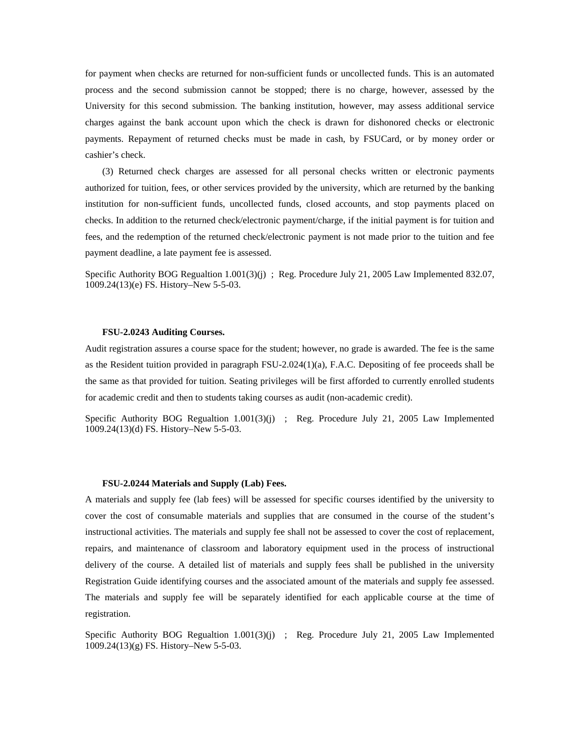for payment when checks are returned for non-sufficient funds or uncollected funds. This is an automated process and the second submission cannot be stopped; there is no charge, however, assessed by the University for this second submission. The banking institution, however, may assess additional service charges against the bank account upon which the check is drawn for dishonored checks or electronic payments. Repayment of returned checks must be made in cash, by FSUCard, or by money order or cashier's check.

(3) Returned check charges are assessed for all personal checks written or electronic payments authorized for tuition, fees, or other services provided by the university, which are returned by the banking institution for non-sufficient funds, uncollected funds, closed accounts, and stop payments placed on checks. In addition to the returned check/electronic payment/charge, if the initial payment is for tuition and fees, and the redemption of the returned check/electronic payment is not made prior to the tuition and fee payment deadline, a late payment fee is assessed.

Specific Authority BOG Regualtion 1.001(3)(j) ; Reg. Procedure July 21, 2005 Law Implemented 832.07, 1009.24(13)(e) FS. History–New 5-5-03.

## **FSU-2.0243 Auditing Courses.**

Audit registration assures a course space for the student; however, no grade is awarded. The fee is the same as the Resident tuition provided in paragraph FSU-2.024(1)(a), F.A.C. Depositing of fee proceeds shall be the same as that provided for tuition. Seating privileges will be first afforded to currently enrolled students for academic credit and then to students taking courses as audit (non-academic credit).

Specific Authority BOG Regualtion 1.001(3)(j) ; Reg. Procedure July 21, 2005 Law Implemented 1009.24(13)(d) FS. History–New 5-5-03.

#### **FSU-2.0244 Materials and Supply (Lab) Fees.**

A materials and supply fee (lab fees) will be assessed for specific courses identified by the university to cover the cost of consumable materials and supplies that are consumed in the course of the student's instructional activities. The materials and supply fee shall not be assessed to cover the cost of replacement, repairs, and maintenance of classroom and laboratory equipment used in the process of instructional delivery of the course. A detailed list of materials and supply fees shall be published in the university Registration Guide identifying courses and the associated amount of the materials and supply fee assessed. The materials and supply fee will be separately identified for each applicable course at the time of registration.

Specific Authority BOG Regualtion 1.001(3)(j) ; Reg. Procedure July 21, 2005 Law Implemented 1009.24(13)(g) FS. History–New 5-5-03.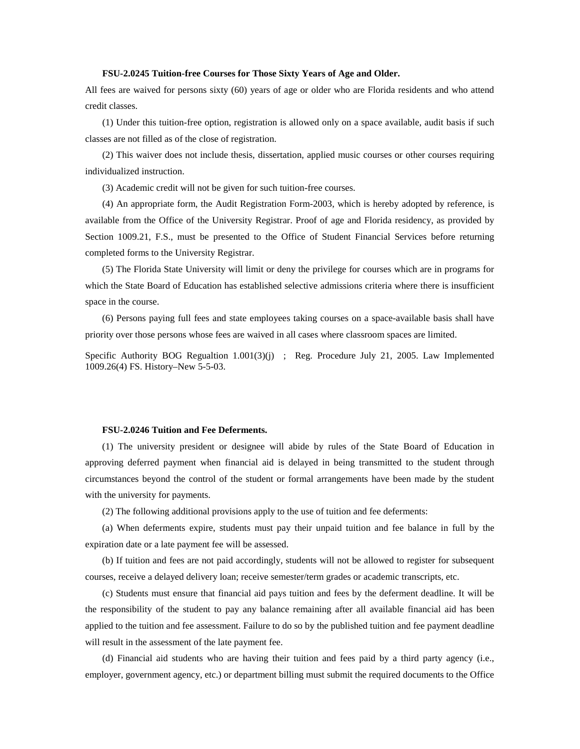## **FSU-2.0245 Tuition-free Courses for Those Sixty Years of Age and Older.**

All fees are waived for persons sixty (60) years of age or older who are Florida residents and who attend credit classes.

(1) Under this tuition-free option, registration is allowed only on a space available, audit basis if such classes are not filled as of the close of registration.

(2) This waiver does not include thesis, dissertation, applied music courses or other courses requiring individualized instruction.

(3) Academic credit will not be given for such tuition-free courses.

(4) An appropriate form, the Audit Registration Form-2003, which is hereby adopted by reference, is available from the Office of the University Registrar. Proof of age and Florida residency, as provided by Section 1009.21, F.S., must be presented to the Office of Student Financial Services before returning completed forms to the University Registrar.

(5) The Florida State University will limit or deny the privilege for courses which are in programs for which the State Board of Education has established selective admissions criteria where there is insufficient space in the course.

(6) Persons paying full fees and state employees taking courses on a space-available basis shall have priority over those persons whose fees are waived in all cases where classroom spaces are limited.

Specific Authority BOG Regualtion 1.001(3)(j) ; Reg. Procedure July 21, 2005. Law Implemented 1009.26(4) FS. History–New 5-5-03.

### **FSU-2.0246 Tuition and Fee Deferments.**

(1) The university president or designee will abide by rules of the State Board of Education in approving deferred payment when financial aid is delayed in being transmitted to the student through circumstances beyond the control of the student or formal arrangements have been made by the student with the university for payments.

(2) The following additional provisions apply to the use of tuition and fee deferments:

(a) When deferments expire, students must pay their unpaid tuition and fee balance in full by the expiration date or a late payment fee will be assessed.

(b) If tuition and fees are not paid accordingly, students will not be allowed to register for subsequent courses, receive a delayed delivery loan; receive semester/term grades or academic transcripts, etc.

(c) Students must ensure that financial aid pays tuition and fees by the deferment deadline. It will be the responsibility of the student to pay any balance remaining after all available financial aid has been applied to the tuition and fee assessment. Failure to do so by the published tuition and fee payment deadline will result in the assessment of the late payment fee.

(d) Financial aid students who are having their tuition and fees paid by a third party agency (i.e., employer, government agency, etc.) or department billing must submit the required documents to the Office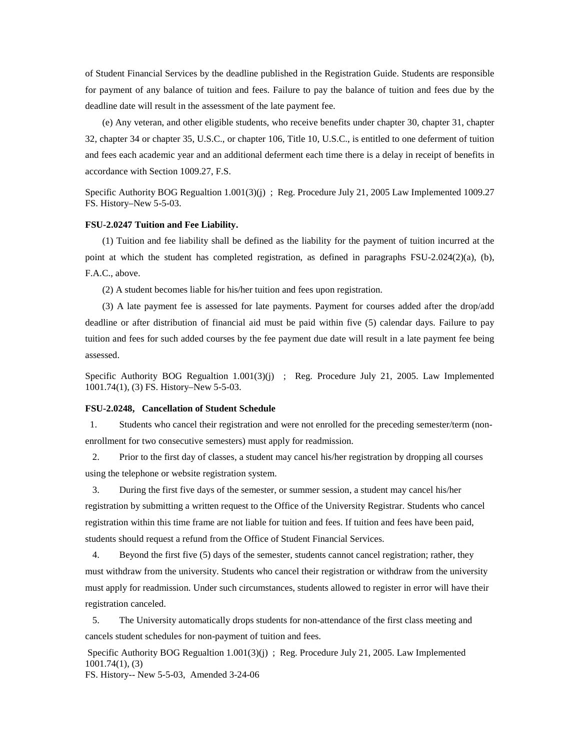of Student Financial Services by the deadline published in the Registration Guide. Students are responsible for payment of any balance of tuition and fees. Failure to pay the balance of tuition and fees due by the deadline date will result in the assessment of the late payment fee.

(e) Any veteran, and other eligible students, who receive benefits under chapter 30, chapter 31, chapter 32, chapter 34 or chapter 35, U.S.C., or chapter 106, Title 10, U.S.C., is entitled to one deferment of tuition and fees each academic year and an additional deferment each time there is a delay in receipt of benefits in accordance with Section 1009.27, F.S.

Specific Authority BOG Regualtion 1.001(3)(j) ; Reg. Procedure July 21, 2005 Law Implemented 1009.27 FS. History–New 5-5-03.

### **FSU-2.0247 Tuition and Fee Liability.**

(1) Tuition and fee liability shall be defined as the liability for the payment of tuition incurred at the point at which the student has completed registration, as defined in paragraphs FSU-2.024(2)(a), (b), F.A.C., above.

(2) A student becomes liable for his/her tuition and fees upon registration.

(3) A late payment fee is assessed for late payments. Payment for courses added after the drop/add deadline or after distribution of financial aid must be paid within five (5) calendar days. Failure to pay tuition and fees for such added courses by the fee payment due date will result in a late payment fee being assessed.

Specific Authority BOG Regualtion 1.001(3)(j) ; Reg. Procedure July 21, 2005. Law Implemented 1001.74(1), (3) FS. History–New 5-5-03.

### **FSU-2.0248, Cancellation of Student Schedule**

1. Students who cancel their registration and were not enrolled for the preceding semester/term (nonenrollment for two consecutive semesters) must apply for readmission.

 2. Prior to the first day of classes, a student may cancel his/her registration by dropping all courses using the telephone or website registration system.

 3. During the first five days of the semester, or summer session, a student may cancel his/her registration by submitting a written request to the Office of the University Registrar. Students who cancel registration within this time frame are not liable for tuition and fees. If tuition and fees have been paid, students should request a refund from the Office of Student Financial Services.

 4. Beyond the first five (5) days of the semester, students cannot cancel registration; rather, they must withdraw from the university. Students who cancel their registration or withdraw from the university must apply for readmission. Under such circumstances, students allowed to register in error will have their registration canceled.

 5. The University automatically drops students for non-attendance of the first class meeting and cancels student schedules for non-payment of tuition and fees.

Specific Authority BOG Regualtion 1.001(3)(j) ; Reg. Procedure July 21, 2005. Law Implemented 1001.74(1), (3) FS. History-- New 5-5-03, Amended 3-24-06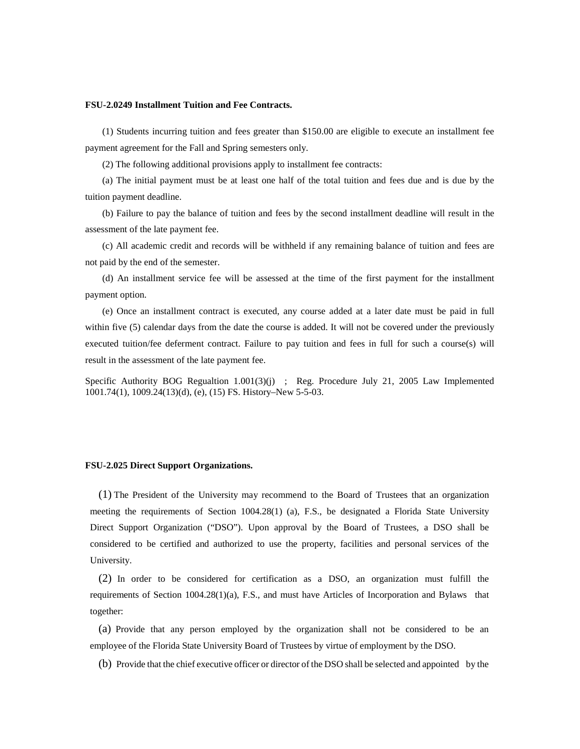# **FSU-2.0249 Installment Tuition and Fee Contracts.**

(1) Students incurring tuition and fees greater than \$150.00 are eligible to execute an installment fee payment agreement for the Fall and Spring semesters only.

(2) The following additional provisions apply to installment fee contracts:

(a) The initial payment must be at least one half of the total tuition and fees due and is due by the tuition payment deadline.

(b) Failure to pay the balance of tuition and fees by the second installment deadline will result in the assessment of the late payment fee.

(c) All academic credit and records will be withheld if any remaining balance of tuition and fees are not paid by the end of the semester.

(d) An installment service fee will be assessed at the time of the first payment for the installment payment option.

(e) Once an installment contract is executed, any course added at a later date must be paid in full within five (5) calendar days from the date the course is added. It will not be covered under the previously executed tuition/fee deferment contract. Failure to pay tuition and fees in full for such a course(s) will result in the assessment of the late payment fee.

Specific Authority BOG Regualtion 1.001(3)(j) ; Reg. Procedure July 21, 2005 Law Implemented 1001.74(1), 1009.24(13)(d), (e), (15) FS. History–New 5-5-03.

### **FSU-2.025 Direct Support Organizations.**

(1) The President of the University may recommend to the Board of Trustees that an organization meeting the requirements of Section 1004.28(1) (a), F.S., be designated a Florida State University Direct Support Organization ("DSO"). Upon approval by the Board of Trustees, a DSO shall be considered to be certified and authorized to use the property, facilities and personal services of the University.

(2) In order to be considered for certification as a DSO, an organization must fulfill the requirements of Section 1004.28(1)(a), F.S., and must have Articles of Incorporation and Bylaws that together:

(a) Provide that any person employed by the organization shall not be considered to be an employee of the Florida State University Board of Trustees by virtue of employment by the DSO.

(b) Provide that the chief executive officer or director of the DSO shall be selected and appointed by the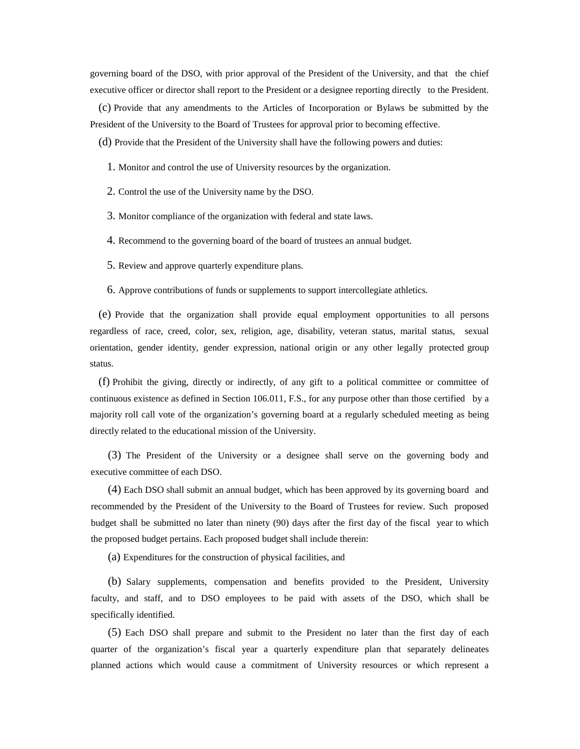governing board of the DSO, with prior approval of the President of the University, and that the chief executive officer or director shall report to the President or a designee reporting directly to the President.

(c) Provide that any amendments to the Articles of Incorporation or Bylaws be submitted by the President of the University to the Board of Trustees for approval prior to becoming effective.

(d) Provide that the President of the University shall have the following powers and duties:

1. Monitor and control the use of University resources by the organization.

2. Control the use of the University name by the DSO.

3. Monitor compliance of the organization with federal and state laws.

4. Recommend to the governing board of the board of trustees an annual budget.

5. Review and approve quarterly expenditure plans.

6. Approve contributions of funds or supplements to support intercollegiate athletics.

(e) Provide that the organization shall provide equal employment opportunities to all persons regardless of race, creed, color, sex, religion, age, disability, veteran status, marital status, sexual orientation, gender identity, gender expression, national origin or any other legally protected group status.

(f) Prohibit the giving, directly or indirectly, of any gift to a political committee or committee of continuous existence as defined in Section 106.011, F.S., for any purpose other than those certified by a majority roll call vote of the organization's governing board at a regularly scheduled meeting as being directly related to the educational mission of the University.

(3) The President of the University or a designee shall serve on the governing body and executive committee of each DSO.

(4) Each DSO shall submit an annual budget, which has been approved by its governing board and recommended by the President of the University to the Board of Trustees for review. Such proposed budget shall be submitted no later than ninety (90) days after the first day of the fiscal year to which the proposed budget pertains. Each proposed budget shall include therein:

(a) Expenditures for the construction of physical facilities, and

(b) Salary supplements, compensation and benefits provided to the President, University faculty, and staff, and to DSO employees to be paid with assets of the DSO, which shall be specifically identified.

(5) Each DSO shall prepare and submit to the President no later than the first day of each quarter of the organization's fiscal year a quarterly expenditure plan that separately delineates planned actions which would cause a commitment of University resources or which represent a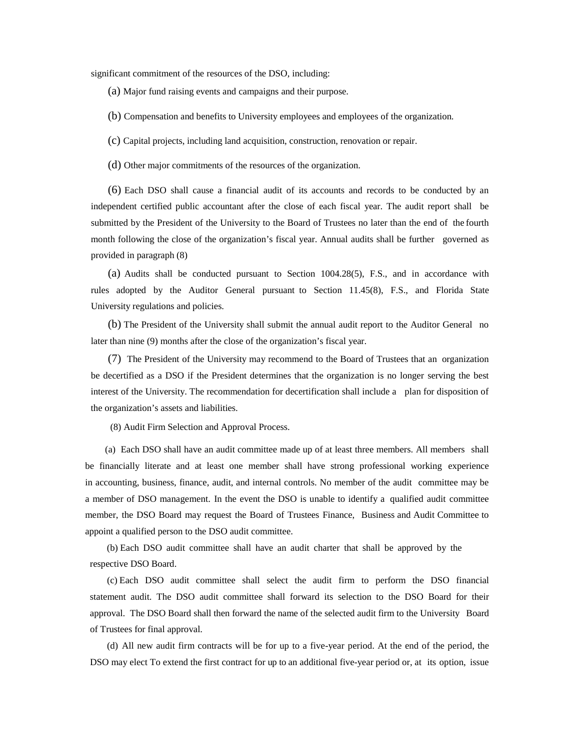significant commitment of the resources of the DSO, including:

(a) Major fund raising events and campaigns and their purpose.

- (b) Compensation and benefits to University employees and employees of the organization.
- (c) Capital projects, including land acquisition, construction, renovation or repair.
- (d) Other major commitments of the resources of the organization.

(6) Each DSO shall cause a financial audit of its accounts and records to be conducted by an independent certified public accountant after the close of each fiscal year. The audit report shall be submitted by the President of the University to the Board of Trustees no later than the end of the fourth month following the close of the organization's fiscal year. Annual audits shall be further governed as provided in paragraph (8)

(a) Audits shall be conducted pursuant to Section 1004.28(5), F.S., and in accordance with rules adopted by the Auditor General pursuant to Section 11.45(8), F.S., and Florida State University regulations and policies.

(b) The President of the University shall submit the annual audit report to the Auditor General no later than nine (9) months after the close of the organization's fiscal year.

(7) The President of the University may recommend to the Board of Trustees that an organization be decertified as a DSO if the President determines that the organization is no longer serving the best interest of the University. The recommendation for decertification shall include a plan for disposition of the organization's assets and liabilities.

(8) Audit Firm Selection and Approval Process.

 (a) Each DSO shall have an audit committee made up of at least three members. All members shall be financially literate and at least one member shall have strong professional working experience in accounting, business, finance, audit, and internal controls. No member of the audit committee may be a member of DSO management. In the event the DSO is unable to identify a qualified audit committee member, the DSO Board may request the Board of Trustees Finance, Business and Audit Committee to appoint a qualified person to the DSO audit committee.

(b) Each DSO audit committee shall have an audit charter that shall be approved by the respective DSO Board.

(c) Each DSO audit committee shall select the audit firm to perform the DSO financial statement audit. The DSO audit committee shall forward its selection to the DSO Board for their approval. The DSO Board shall then forward the name of the selected audit firm to the University Board of Trustees for final approval.

(d) All new audit firm contracts will be for up to a five-year period. At the end of the period, the DSO may elect To extend the first contract for up to an additional five-year period or, at its option, issue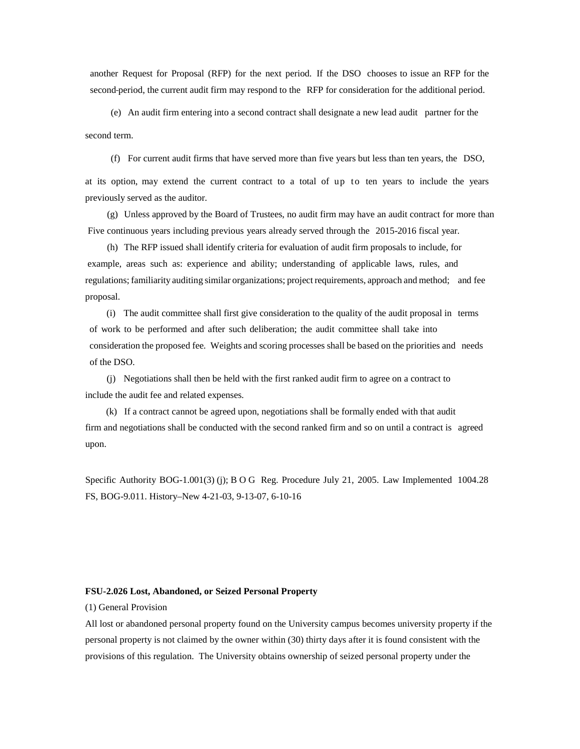another Request for Proposal (RFP) for the next period. If the DSO chooses to issue an RFP for the second period, the current audit firm may respond to the RFP for consideration for the additional period.

(e) An audit firm entering into a second contract shall designate a new lead audit partner for the second term.

(f) For current audit firms that have served more than five years but less than ten years, the DSO,

at its option, may extend the current contract to a total of up to ten years to include the years previously served as the auditor.

(g) Unless approved by the Board of Trustees, no audit firm may have an audit contract for more than Five continuous years including previous years already served through the 2015-2016 fiscal year.

(h) The RFP issued shall identify criteria for evaluation of audit firm proposals to include, for example, areas such as: experience and ability; understanding of applicable laws, rules, and regulations; familiarity auditing similar organizations; project requirements, approach and method; and fee proposal.

(i) The audit committee shall first give consideration to the quality of the audit proposal in terms of work to be performed and after such deliberation; the audit committee shall take into consideration the proposed fee. Weights and scoring processes shall be based on the priorities and needs of the DSO.

(j) Negotiations shall then be held with the first ranked audit firm to agree on a contract to include the audit fee and related expenses.

 (k) If a contract cannot be agreed upon, negotiations shall be formally ended with that audit firm and negotiations shall be conducted with the second ranked firm and so on until a contract is agreed upon.

Specific Authority BOG-1.001(3) (j); B O G Reg. Procedure July 21, 2005. Law Implemented 1004.28 FS, BOG-9.011. History–New 4-21-03, 9-13-07, 6-10-16

## **FSU-2.026 Lost, Abandoned, or Seized Personal Property**

(1) General Provision

All lost or abandoned personal property found on the University campus becomes university property if the personal property is not claimed by the owner within (30) thirty days after it is found consistent with the provisions of this regulation. The University obtains ownership of seized personal property under the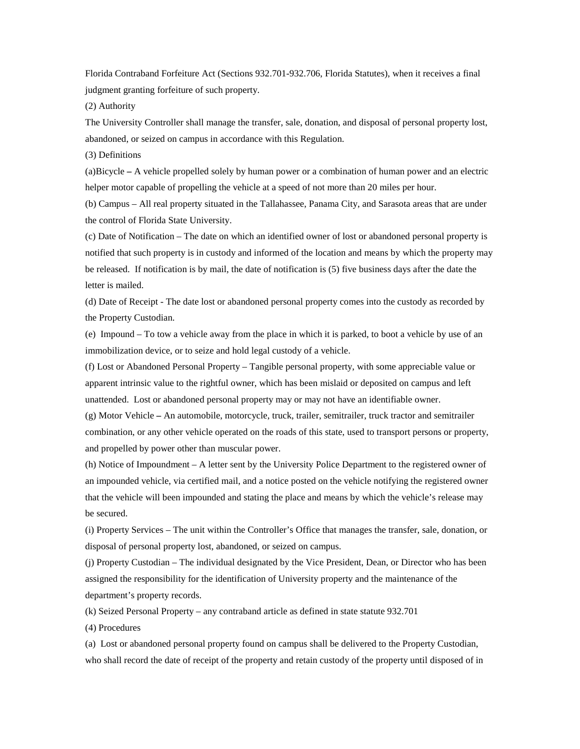Florida Contraband Forfeiture Act (Sections 932.701-932.706, Florida Statutes), when it receives a final judgment granting forfeiture of such property.

(2) Authority

The University Controller shall manage the transfer, sale, donation, and disposal of personal property lost, abandoned, or seized on campus in accordance with this Regulation.

(3) Definitions

(a)Bicycle **–** A vehicle propelled solely by human power or a combination of human power and an electric helper motor capable of propelling the vehicle at a speed of not more than 20 miles per hour.

(b) Campus – All real property situated in the Tallahassee, Panama City, and Sarasota areas that are under the control of Florida State University.

(c) Date of Notification – The date on which an identified owner of lost or abandoned personal property is notified that such property is in custody and informed of the location and means by which the property may be released. If notification is by mail, the date of notification is (5) five business days after the date the letter is mailed.

(d) Date of Receipt - The date lost or abandoned personal property comes into the custody as recorded by the Property Custodian.

(e) Impound – To tow a vehicle away from the place in which it is parked, to boot a vehicle by use of an immobilization device, or to seize and hold legal custody of a vehicle.

(f) Lost or Abandoned Personal Property – Tangible personal property, with some appreciable value or apparent intrinsic value to the rightful owner, which has been mislaid or deposited on campus and left unattended. Lost or abandoned personal property may or may not have an identifiable owner.

(g) Motor Vehicle **–** An automobile, motorcycle, truck, trailer, semitrailer, truck tractor and semitrailer combination, or any other vehicle operated on the roads of this state, used to transport persons or property, and propelled by power other than muscular power.

(h) Notice of Impoundment – A letter sent by the University Police Department to the registered owner of an impounded vehicle, via certified mail, and a notice posted on the vehicle notifying the registered owner that the vehicle will been impounded and stating the place and means by which the vehicle's release may be secured.

(i) Property Services – The unit within the Controller's Office that manages the transfer, sale, donation, or disposal of personal property lost, abandoned, or seized on campus.

(j) Property Custodian – The individual designated by the Vice President, Dean, or Director who has been assigned the responsibility for the identification of University property and the maintenance of the department's property records.

(k) Seized Personal Property – any contraband article as defined in state statute 932.701

(4) Procedures

(a) Lost or abandoned personal property found on campus shall be delivered to the Property Custodian, who shall record the date of receipt of the property and retain custody of the property until disposed of in